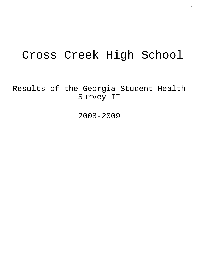# Cross Creek High School

Results of the Georgia Student Health Survey II

2008-2009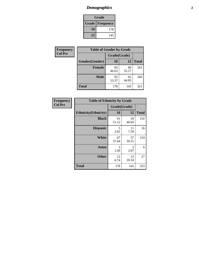# *Demographics* **2**

| Grade                    |     |  |  |  |
|--------------------------|-----|--|--|--|
| <b>Grade   Frequency</b> |     |  |  |  |
| 10                       | 178 |  |  |  |
| 12                       | 145 |  |  |  |

| Frequency      | <b>Table of Gender by Grade</b> |              |             |              |  |  |
|----------------|---------------------------------|--------------|-------------|--------------|--|--|
| <b>Col Pct</b> |                                 | Grade(Grade) |             |              |  |  |
|                | Gender(Gender)                  | 10           | 12          | <b>Total</b> |  |  |
|                | <b>Female</b>                   | 83<br>46.63  | 80<br>55.17 | 163          |  |  |
|                | <b>Male</b>                     | 95<br>53.37  | 65<br>44.83 | 160          |  |  |
|                | <b>Total</b>                    | 178          | 145         | 323          |  |  |

| Frequency<br>Col Pct |
|----------------------|

| <b>Table of Ethnicity by Grade</b> |              |             |              |  |  |  |
|------------------------------------|--------------|-------------|--------------|--|--|--|
|                                    | Grade(Grade) |             |              |  |  |  |
| <b>Ethnicity</b> (Ethnicity)       | 10           | 12          | <b>Total</b> |  |  |  |
| <b>Black</b>                       | 91<br>51.12  | 59<br>40.69 | 150          |  |  |  |
| <b>Hispanic</b>                    | 5<br>2.81    | 11<br>7.59  | 16           |  |  |  |
| <b>White</b>                       | 67<br>37.64  | 57<br>39.31 | 124          |  |  |  |
| <b>Asian</b>                       | 3<br>1.69    | 3<br>2.07   | 6            |  |  |  |
| <b>Other</b>                       | 12<br>6.74   | 15<br>10.34 | 27           |  |  |  |
| <b>Total</b>                       | 178          | 145         | 323          |  |  |  |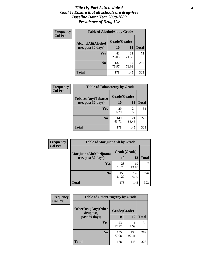### *Title IV, Part A, Schedule A* **3** *Goal 1: Ensure that all schools are drug-free Baseline Data: Year 2008-2009 Prevalence of Drug Use*

| Frequency<br><b>Col Pct</b> | <b>Table of AlcoholAlt by Grade</b> |              |              |              |  |  |
|-----------------------------|-------------------------------------|--------------|--------------|--------------|--|--|
|                             | AlcoholAlt(Alcohol                  | Grade(Grade) |              |              |  |  |
|                             | use, past 30 days)                  | <b>10</b>    | 12           | <b>Total</b> |  |  |
|                             | Yes                                 | 41<br>23.03  | 31<br>21.38  | 72           |  |  |
|                             | N <sub>0</sub>                      | 137<br>76.97 | 114<br>78.62 | 251          |  |  |
|                             | <b>Total</b>                        | 178          | 145          | 323          |  |  |

| Frequency<br><b>Col Pct</b> | <b>Table of TobaccoAny by Grade</b> |              |              |              |  |
|-----------------------------|-------------------------------------|--------------|--------------|--------------|--|
|                             | TobaccoAny(Tobacco                  | Grade(Grade) |              |              |  |
|                             | use, past 30 days)                  | 10           | 12           | <b>Total</b> |  |
|                             | <b>Yes</b>                          | 29<br>16.29  | 24<br>16.55  | 53           |  |
|                             | N <sub>0</sub>                      | 149<br>83.71 | 121<br>83.45 | 270          |  |
|                             | Total                               | 178          | 145          | 323          |  |

| Frequency<br><b>Col Pct</b> | <b>Table of MarijuanaAlt by Grade</b> |              |              |              |  |  |
|-----------------------------|---------------------------------------|--------------|--------------|--------------|--|--|
|                             | MarijuanaAlt(Marijuana                | Grade(Grade) |              |              |  |  |
|                             | use, past 30 days)                    | <b>10</b>    | 12           | <b>Total</b> |  |  |
|                             | <b>Yes</b>                            | 28<br>15.73  | 19<br>13.10  | 47           |  |  |
|                             | N <sub>0</sub>                        | 150<br>84.27 | 126<br>86.90 | 276          |  |  |
|                             | <b>Total</b>                          | 178          | 145          | 323          |  |  |

| Frequency      | <b>Table of OtherDrugAny by Grade</b>  |              |              |              |  |
|----------------|----------------------------------------|--------------|--------------|--------------|--|
| <b>Col Pct</b> | <b>OtherDrugAny(Other</b><br>drug use, | Grade(Grade) |              |              |  |
|                | past 30 days)                          | 10           | 12           | <b>Total</b> |  |
|                | Yes                                    | 23<br>12.92  | 11<br>7.59   | 34           |  |
|                | N <sub>0</sub>                         | 155<br>87.08 | 134<br>92.41 | 289          |  |
|                | <b>Total</b>                           | 178          | 145          | 323          |  |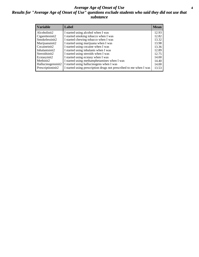### *Average Age of Onset of Use* **4** *Results for "Average Age of Onset of Use" questions exclude students who said they did not use that substance*

| <b>Variable</b>    | Label                                                              | <b>Mean</b> |
|--------------------|--------------------------------------------------------------------|-------------|
| Alcoholinit2       | I started using alcohol when I was                                 | 12.93       |
| Cigarettesinit2    | I started smoking tobacco when I was                               | 12.82       |
| Smokelessinit2     | I started chewing tobacco when I was                               | 13.32       |
| Marijuanainit2     | I started using marijuana when I was                               | 13.98       |
| Cocaineinit2       | I started using cocaine when I was                                 | 13.36       |
| Inhalantsinit2     | I started using inhalants when I was                               | 12.89       |
| Steroidsinit2      | I started using steroids when I was                                | 12.75       |
| Ecstasyinit2       | I started using ecstasy when I was                                 | 14.00       |
| Methinit2          | I started using methamphetamines when I was                        | 14.40       |
| Hallucinogensinit2 | I started using hallucinogens when I was                           | 14.00       |
| Prescriptioninit2  | I started using prescription drugs not prescribed to me when I was | 13.53       |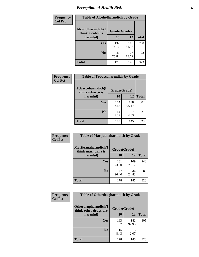# *Perception of Health Risk* **5**

| <b>Frequency</b> | <b>Table of Alcoholharmdich by Grade</b> |              |              |              |  |
|------------------|------------------------------------------|--------------|--------------|--------------|--|
| <b>Col Pct</b>   | Alcoholharmdich(I<br>think alcohol is    | Grade(Grade) |              |              |  |
|                  | harmful)                                 | 10           | 12           | <b>Total</b> |  |
|                  | <b>Yes</b>                               | 132<br>74.16 | 118<br>81.38 | 250          |  |
|                  | N <sub>0</sub>                           | 46<br>25.84  | 27<br>18.62  | 73           |  |
|                  | <b>Total</b>                             | 178          | 145          | 323          |  |

| Frequency      | <b>Table of Tobaccoharmdich by Grade</b> |              |              |              |  |
|----------------|------------------------------------------|--------------|--------------|--------------|--|
| <b>Col Pct</b> | Tobaccoharmdich(I<br>think tobacco is    | Grade(Grade) |              |              |  |
|                | harmful)                                 | 10           | 12           | <b>Total</b> |  |
|                | Yes                                      | 164<br>92.13 | 138<br>95.17 | 302          |  |
|                | N <sub>0</sub>                           | 14<br>7.87   | 7<br>4.83    | 21           |  |
|                | <b>Total</b>                             | 178          | 145          | 323          |  |

| <b>Frequency</b> | <b>Table of Marijuanaharmdich by Grade</b> |              |              |              |  |
|------------------|--------------------------------------------|--------------|--------------|--------------|--|
| <b>Col Pct</b>   | Marijuanaharmdich(I<br>think marijuana is  | Grade(Grade) |              |              |  |
|                  | harmful)                                   | 10           | 12           | <b>Total</b> |  |
|                  | Yes                                        | 131<br>73.60 | 109<br>75.17 | 240          |  |
|                  | N <sub>0</sub>                             | 47<br>26.40  | 36<br>24.83  | 83           |  |
|                  | <b>Total</b>                               | 178          | 145          | 323          |  |

| <b>Frequency</b> | <b>Table of Otherdrugharmdich by Grade</b>                   |              |              |              |  |  |  |  |
|------------------|--------------------------------------------------------------|--------------|--------------|--------------|--|--|--|--|
| <b>Col Pct</b>   | Otherdrugharmdich(I<br>Grade(Grade)<br>think other drugs are |              |              |              |  |  |  |  |
|                  | harmful)                                                     | 10           | 12           | <b>Total</b> |  |  |  |  |
|                  | Yes                                                          | 163<br>91.57 | 142<br>97.93 | 305          |  |  |  |  |
|                  | N <sub>0</sub>                                               | 15<br>8.43   | 2.07         | 18           |  |  |  |  |
|                  | <b>Total</b>                                                 | 178          | 145          | 323          |  |  |  |  |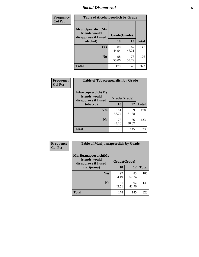# *Social Disapproval* **6**

| Frequency      | <b>Table of Alcoholpeerdich by Grade</b>                    |              |             |              |  |  |  |
|----------------|-------------------------------------------------------------|--------------|-------------|--------------|--|--|--|
| <b>Col Pct</b> | Alcoholpeerdich(My<br>friends would<br>disapprove if I used | Grade(Grade) |             |              |  |  |  |
|                | alcohol)                                                    | 10<br>12     |             | <b>Total</b> |  |  |  |
|                | <b>Yes</b>                                                  | 80<br>44.94  | 67<br>46.21 | 147          |  |  |  |
|                | N <sub>0</sub>                                              | 98<br>55.06  | 78<br>53.79 | 176          |  |  |  |
|                | <b>Total</b>                                                | 178          | 145         | 323          |  |  |  |

| <b>Frequency</b> |
|------------------|
| <b>Col Pct</b>   |

| <b>Table of Tobaccopeerdich by Grade</b>                    |              |             |              |  |  |  |  |
|-------------------------------------------------------------|--------------|-------------|--------------|--|--|--|--|
| Tobaccopeerdich(My<br>friends would<br>disapprove if I used | Grade(Grade) |             |              |  |  |  |  |
| tobacco)                                                    | 10           | 12          | <b>Total</b> |  |  |  |  |
| Yes                                                         | 101<br>56.74 | 89<br>61.38 | 190          |  |  |  |  |
| N <sub>0</sub>                                              | 77<br>43.26  | 56<br>38.62 | 133          |  |  |  |  |
| <b>Total</b>                                                | 178          | 145         | 323          |  |  |  |  |

| <b>Frequency</b> | <b>Table of Marijuanapeerdich by Grade</b>                    |              |             |              |  |  |  |  |
|------------------|---------------------------------------------------------------|--------------|-------------|--------------|--|--|--|--|
| <b>Col Pct</b>   | Marijuanapeerdich(My<br>friends would<br>disapprove if I used | Grade(Grade) |             |              |  |  |  |  |
|                  | marijuana)                                                    | 10           | 12          | <b>Total</b> |  |  |  |  |
|                  | <b>Yes</b>                                                    | 97<br>54.49  | 83<br>57.24 | 180          |  |  |  |  |
|                  | N <sub>0</sub>                                                | 81<br>45.51  | 62<br>42.76 | 143          |  |  |  |  |
|                  | <b>Total</b>                                                  | 178          | 145         | 323          |  |  |  |  |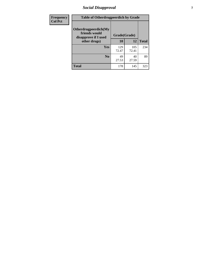# *Social Disapproval* **7**

| Frequency      | <b>Table of Otherdrugpeerdich by Grade</b>                    |              |              |              |  |  |  |
|----------------|---------------------------------------------------------------|--------------|--------------|--------------|--|--|--|
| <b>Col Pct</b> | Otherdrugpeerdich(My<br>friends would<br>disapprove if I used |              | Grade(Grade) |              |  |  |  |
|                | other drugs)                                                  | 10           | 12           | <b>Total</b> |  |  |  |
|                | Yes                                                           | 129<br>72.47 | 105<br>72.41 | 234          |  |  |  |
|                | N <sub>0</sub>                                                | 49<br>27.53  | 40<br>27.59  | 89           |  |  |  |
|                | <b>Total</b>                                                  | 178          | 145          | 323          |  |  |  |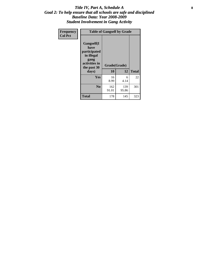### Title IV, Part A, Schedule A **8** *Goal 2: To help ensure that all schools are safe and disciplined Baseline Data: Year 2008-2009 Student Involvement in Gang Activity*

| Frequency      | <b>Table of Gangself by Grade</b>                                                                 |                    |              |              |
|----------------|---------------------------------------------------------------------------------------------------|--------------------|--------------|--------------|
| <b>Col Pct</b> | Gangself(I<br>have<br>participated<br>in illegal<br>gang<br>activities in<br>the past 30<br>days) | Grade(Grade)<br>10 | 12           | <b>Total</b> |
|                | Yes                                                                                               | 16<br>8.99         | 6<br>4.14    | 22           |
|                | N <sub>0</sub>                                                                                    | 162<br>91.01       | 139<br>95.86 | 301          |
|                | Total                                                                                             | 178                | 145          | 323          |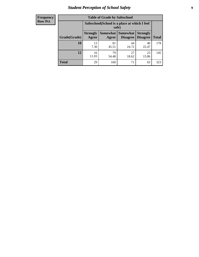# *Student Perception of School Safety* **9**

| <b>Frequency</b><br>Row Pct |
|-----------------------------|
|                             |

| <b>Table of Grade by Safeschool</b> |                          |                                                        |                                        |                                    |              |  |  |
|-------------------------------------|--------------------------|--------------------------------------------------------|----------------------------------------|------------------------------------|--------------|--|--|
|                                     |                          | Safeschool (School is a place at which I feel<br>safe) |                                        |                                    |              |  |  |
| Grade(Grade)                        | <b>Strongly</b><br>Agree | Agree                                                  | <b>Somewhat   Somewhat</b><br>Disagree | <b>Strongly</b><br><b>Disagree</b> | <b>Total</b> |  |  |
| 10                                  | 13<br>7.30               | 81<br>45.51                                            | 44<br>24.72                            | 40<br>22.47                        | 178          |  |  |
| 12                                  | 16<br>11.03              | 79<br>54.48                                            | 27<br>18.62                            | 23<br>15.86                        | 145          |  |  |
| <b>Total</b>                        | 29                       | 160                                                    | 71                                     | 63                                 | 323          |  |  |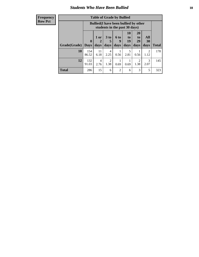### *Students Who Have Been Bullied* **10**

| <b>Frequency</b> |  |
|------------------|--|
| <b>Row Pct</b>   |  |

| <b>Table of Grade by Bullied</b> |                             |                                                                               |                        |                   |                               |                               |                          |              |
|----------------------------------|-----------------------------|-------------------------------------------------------------------------------|------------------------|-------------------|-------------------------------|-------------------------------|--------------------------|--------------|
|                                  |                             | <b>Bullied</b> (I have been bullied by other<br>students in the past 30 days) |                        |                   |                               |                               |                          |              |
| Grade(Grade)                     | $\mathbf{0}$<br><b>Days</b> | 1 or<br>2<br>days                                                             | $3$ to<br>5<br>days    | 6 to<br>9<br>days | <b>10</b><br>to<br>19<br>days | <b>20</b><br>to<br>29<br>days | <b>All</b><br>30<br>days | <b>Total</b> |
| 10                               | 154<br>86.52                | 11<br>6.18                                                                    | $\overline{4}$<br>2.25 | 0.56              | 5<br>2.81                     | 0.56                          | $\mathfrak{D}$<br>1.12   | 178          |
| 12                               | 132<br>91.03                | 4<br>2.76                                                                     | 2<br>1.38              | 0.69              | 0.69                          | $\overline{2}$<br>1.38        | 3<br>2.07                | 145          |
| <b>Total</b>                     | 286                         | 15                                                                            | 6                      | 2                 | 6                             | 3                             | 5                        | 323          |

 $\blacksquare$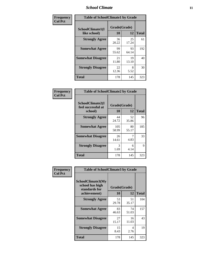### *School Climate* **11**

| <b>Frequency</b> | <b>Table of SchoolClimate1 by Grade</b> |                    |             |              |  |  |  |
|------------------|-----------------------------------------|--------------------|-------------|--------------|--|--|--|
| <b>Col Pct</b>   | SchoolClimate1(I<br>like school)        | Grade(Grade)<br>10 | 12          | <b>Total</b> |  |  |  |
|                  | <b>Strongly Agree</b>                   | 36<br>20.22        | 25<br>17.24 | 61           |  |  |  |
|                  | <b>Somewhat Agree</b>                   | 99<br>55.62        | 93<br>64.14 | 192          |  |  |  |
|                  | <b>Somewhat Disagree</b>                | 21<br>11.80        | 19<br>13.10 | 40           |  |  |  |
|                  | <b>Strongly Disagree</b>                | 22<br>12.36        | 8<br>5.52   | 30           |  |  |  |
|                  | <b>Total</b>                            | 178                | 145         | 323          |  |  |  |

| <b>Table of SchoolClimate2 by Grade</b>           |                    |             |              |  |  |
|---------------------------------------------------|--------------------|-------------|--------------|--|--|
| SchoolClimate2(I<br>feel successful at<br>school) | Grade(Grade)<br>10 | 12          | <b>Total</b> |  |  |
| <b>Strongly Agree</b>                             | 44<br>24.72        | 52<br>35.86 | 96           |  |  |
| <b>Somewhat Agree</b>                             | 105<br>58.99       | 80<br>55.17 | 185          |  |  |
| <b>Somewhat Disagree</b>                          | 26<br>14.61        | 7<br>4.83   | 33           |  |  |
| <b>Strongly Disagree</b>                          | 3<br>1.69          | 6<br>4.14   | 9            |  |  |
| <b>Total</b>                                      | 178                | 145         | 323          |  |  |

| Frequency      | <b>Table of SchoolClimate3 by Grade</b>                      |              |             |              |  |
|----------------|--------------------------------------------------------------|--------------|-------------|--------------|--|
| <b>Col Pct</b> | <b>SchoolClimate3(My</b><br>school has high<br>standards for | Grade(Grade) |             |              |  |
|                | achievement)                                                 | <b>10</b>    | 12          | <b>Total</b> |  |
|                | <b>Strongly Agree</b>                                        | 53<br>29.78  | 51<br>35.17 | 104          |  |
|                | <b>Somewhat Agree</b>                                        | 83<br>46.63  | 74<br>51.03 | 157          |  |
|                | <b>Somewhat Disagree</b>                                     | 27<br>15.17  | 16<br>11.03 | 43           |  |
|                | <b>Strongly Disagree</b>                                     | 15<br>8.43   | 4<br>2.76   | 19           |  |
|                | Total                                                        | 178          | 145         | 323          |  |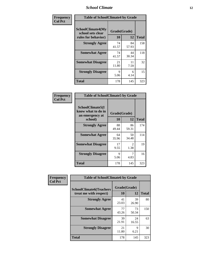### *School Climate* **12**

| Frequency      | <b>Table of SchoolClimate4 by Grade</b>                              |                    |             |              |
|----------------|----------------------------------------------------------------------|--------------------|-------------|--------------|
| <b>Col Pct</b> | <b>SchoolClimate4(My</b><br>school sets clear<br>rules for behavior) | Grade(Grade)<br>10 | 12          | <b>Total</b> |
|                | <b>Strongly Agree</b>                                                | 74<br>41.57        | 84<br>57.93 | 158          |
|                | <b>Somewhat Agree</b>                                                | 74<br>41.57        | 44<br>30.34 | 118          |
|                | <b>Somewhat Disagree</b>                                             | 21<br>11.80        | 11<br>7.59  | 32           |
|                | <b>Strongly Disagree</b>                                             | 9<br>5.06          | 6<br>4.14   | 15           |
|                | <b>Total</b>                                                         | 178                | 145         | 323          |

| <b>Table of SchoolClimate5 by Grade</b>                              |                    |                        |              |  |  |  |
|----------------------------------------------------------------------|--------------------|------------------------|--------------|--|--|--|
| SchoolClimate5(I<br>know what to do in<br>an emergency at<br>school) | Grade(Grade)<br>10 | 12                     | <b>Total</b> |  |  |  |
| <b>Strongly Agree</b>                                                | 88<br>49.44        | 86<br>59.31            | 174          |  |  |  |
| <b>Somewhat Agree</b>                                                | 64<br>35.96        | 50<br>34.48            | 114          |  |  |  |
| <b>Somewhat Disagree</b>                                             | 17<br>9.55         | $\mathfrak{D}$<br>1.38 | 19           |  |  |  |
| <b>Strongly Disagree</b>                                             | 9<br>5.06          | 4.83                   | 16           |  |  |  |
| Total                                                                | 178                | 145                    | 323          |  |  |  |

| Frequency      | <b>Table of SchoolClimate6 by Grade</b>                  |                    |             |              |  |
|----------------|----------------------------------------------------------|--------------------|-------------|--------------|--|
| <b>Col Pct</b> | <b>SchoolClimate6(Teachers</b><br>treat me with respect) | Grade(Grade)<br>10 | 12          | <b>Total</b> |  |
|                | <b>Strongly Agree</b>                                    | 41<br>23.03        | 39<br>26.90 | 80           |  |
|                | <b>Somewhat Agree</b>                                    | 77<br>43.26        | 73<br>50.34 | 150          |  |
|                | <b>Somewhat Disagree</b>                                 | 39<br>21.91        | 24<br>16.55 | 63           |  |
|                | <b>Strongly Disagree</b>                                 | 21<br>11.80        | 9<br>6.21   | 30           |  |
|                | <b>Total</b>                                             | 178                | 145         | 323          |  |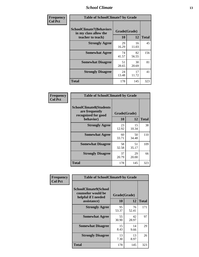### *School Climate* **13**

| Frequency      |                                                                               | <b>Table of SchoolClimate7 by Grade</b> |             |              |  |
|----------------|-------------------------------------------------------------------------------|-----------------------------------------|-------------|--------------|--|
| <b>Col Pct</b> | <b>SchoolClimate7(Behaviors</b><br>in my class allow the<br>teacher to teach) | Grade(Grade)<br><b>10</b>               | 12          | <b>Total</b> |  |
|                | <b>Strongly Agree</b>                                                         | 29<br>16.29                             | 16<br>11.03 | 45           |  |
|                | <b>Somewhat Agree</b>                                                         | 74<br>41.57                             | 82<br>56.55 | 156          |  |
|                | <b>Somewhat Disagree</b>                                                      | 51<br>28.65                             | 30<br>20.69 | 81           |  |
|                | <b>Strongly Disagree</b>                                                      | 24<br>13.48                             | 17<br>11.72 | 41           |  |
|                | <b>Total</b>                                                                  | 178                                     | 145         | 323          |  |

| Frequency      | <b>Table of SchoolClimate8 by Grade</b>                                              |                    |             |              |
|----------------|--------------------------------------------------------------------------------------|--------------------|-------------|--------------|
| <b>Col Pct</b> | <b>SchoolClimate8(Students</b><br>are frequently<br>recognized for good<br>behavior) | Grade(Grade)<br>10 | 12          | <b>Total</b> |
|                | <b>Strongly Agree</b>                                                                | 23<br>12.92        | 15<br>10.34 | 38           |
|                | <b>Somewhat Agree</b>                                                                | 60<br>33.71        | 50<br>34.48 | 110          |
|                | <b>Somewhat Disagree</b>                                                             | 58<br>32.58        | 51<br>35.17 | 109          |
|                | <b>Strongly Disagree</b>                                                             | 37<br>20.79        | 29<br>20.00 | 66           |
|                | <b>Total</b>                                                                         | 178                | 145         | 323          |

| Frequency      | <b>Table of SchoolClimate9 by Grade</b>                                           |                    |             |              |
|----------------|-----------------------------------------------------------------------------------|--------------------|-------------|--------------|
| <b>Col Pct</b> | SchoolClimate9(School<br>counselor would be<br>helpful if I needed<br>assistance) | Grade(Grade)<br>10 | 12          | <b>Total</b> |
|                | <b>Strongly Agree</b>                                                             | 95<br>53.37        | 76<br>52.41 | 171          |
|                | <b>Somewhat Agree</b>                                                             | 55<br>30.90        | 42<br>28.97 | 97           |
|                | <b>Somewhat Disagree</b>                                                          | 15<br>8.43         | 14<br>9.66  | 29           |
|                | <b>Strongly Disagree</b>                                                          | 13<br>7.30         | 13<br>8.97  | 26           |
|                | Total                                                                             | 178                | 145         | 323          |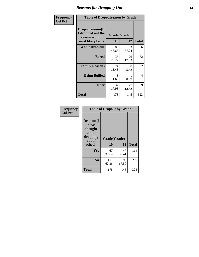### *Reasons for Dropping Out* **14**

| Frequency      | <b>Table of Dropoutreason by Grade</b>                                   |             |                    |              |
|----------------|--------------------------------------------------------------------------|-------------|--------------------|--------------|
| <b>Col Pct</b> | Dropoutreason(If<br>I dropped out the<br>reason would<br>most likely be) | 10          | Grade(Grade)<br>12 | <b>Total</b> |
|                | Won't Drop out                                                           | 83<br>46.63 | 83<br>57.24        | 166          |
|                | <b>Bored</b>                                                             | 36<br>20.22 | 26<br>17.93        | 62           |
|                | <b>Family Reasons</b>                                                    | 24<br>13.48 | 8<br>5.52          | 32           |
|                | <b>Being Bullied</b>                                                     | 3<br>1.69   | 0.69               | 4            |
|                | <b>Other</b>                                                             | 32<br>17.98 | 27<br>18.62        | 59           |
|                | <b>Total</b>                                                             | 178         | 145                | 323          |

| Frequency<br><b>Col Pct</b> | <b>Table of Dropout by Grade</b>                                       |                    |              |     |  |
|-----------------------------|------------------------------------------------------------------------|--------------------|--------------|-----|--|
|                             | Dropout(I<br>have<br>thought<br>about<br>dropping<br>out of<br>school) | Grade(Grade)<br>10 | <b>Total</b> |     |  |
|                             |                                                                        |                    | 12           |     |  |
|                             | Yes                                                                    | 67<br>37.64        | 47<br>32.41  | 114 |  |
|                             | N <sub>0</sub>                                                         | 111<br>62.36       | 98<br>67.59  | 209 |  |
|                             |                                                                        |                    |              |     |  |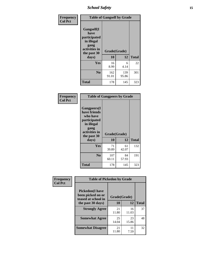*School Safety* **15**

| Frequency      | <b>Table of Gangself by Grade</b>                                                                 |                          |              |              |
|----------------|---------------------------------------------------------------------------------------------------|--------------------------|--------------|--------------|
| <b>Col Pct</b> | Gangself(I<br>have<br>participated<br>in illegal<br>gang<br>activities in<br>the past 30<br>days) | Grade(Grade)<br>10<br>12 |              | <b>Total</b> |
|                | Yes                                                                                               | 16<br>8.99               | 6<br>4.14    | 22           |
|                | N <sub>0</sub>                                                                                    | 162<br>91.01             | 139<br>95.86 | 301          |
|                | <b>Total</b>                                                                                      | 178                      | 145          | 323          |

| Frequency<br><b>Col Pct</b> | <b>Table of Gangpeers by Grade</b>                                                                                             |                    |             |              |
|-----------------------------|--------------------------------------------------------------------------------------------------------------------------------|--------------------|-------------|--------------|
|                             | <b>Gangpeers</b> (I<br>have friends<br>who have<br>participated<br>in illegal<br>gang<br>activities in<br>the past 30<br>days) | Grade(Grade)<br>10 | 12          | <b>Total</b> |
|                             | <b>Yes</b>                                                                                                                     | 71<br>39.89        | 61<br>42.07 | 132          |
|                             | N <sub>0</sub>                                                                                                                 | 107<br>60.11       | 84<br>57.93 | 191          |
|                             | Total                                                                                                                          | 178                | 145         | 323          |

| Frequency      |                                                                    | <b>Table of Pickedon by Grade</b> |             |              |  |  |  |  |  |  |
|----------------|--------------------------------------------------------------------|-----------------------------------|-------------|--------------|--|--|--|--|--|--|
| <b>Col Pct</b> | <b>Pickedon(I have</b><br>been picked on or<br>teased at school in | Grade(Grade)                      |             |              |  |  |  |  |  |  |
|                | the past 30 days)                                                  | 10                                | 12          | <b>Total</b> |  |  |  |  |  |  |
|                | <b>Strongly Agree</b>                                              | 21<br>11.80                       | 16<br>11.03 | 37           |  |  |  |  |  |  |
|                | <b>Somewhat Agree</b>                                              | 25<br>14.04                       | 23<br>15.86 | 48           |  |  |  |  |  |  |
|                | <b>Somewhat Disagree</b>                                           | 21<br>11.80                       | 11<br>7.59  | 32           |  |  |  |  |  |  |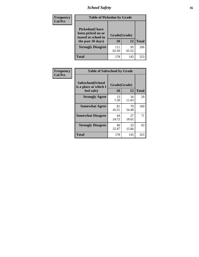# *School Safety* **16**

| Frequency      |                                                                                          | <b>Table of Pickedon by Grade</b> |             |              |  |  |  |  |  |  |  |  |
|----------------|------------------------------------------------------------------------------------------|-----------------------------------|-------------|--------------|--|--|--|--|--|--|--|--|
| <b>Col Pct</b> | <b>Pickedon</b> (I have<br>been picked on or<br>teased at school in<br>the past 30 days) | Grade(Grade)<br>10                | 12          | <b>Total</b> |  |  |  |  |  |  |  |  |
|                | <b>Strongly Disagree</b>                                                                 | 111<br>62.36                      | 95<br>65.52 | 206          |  |  |  |  |  |  |  |  |
|                | Total                                                                                    | 178                               | 145         | 323          |  |  |  |  |  |  |  |  |

| Frequency      |                                                          | <b>Table of Safeschool by Grade</b>             |             |     |  |  |  |  |  |  |  |
|----------------|----------------------------------------------------------|-------------------------------------------------|-------------|-----|--|--|--|--|--|--|--|
| <b>Col Pct</b> | Safeschool(School<br>is a place at which I<br>feel safe) | Grade(Grade)<br>12<br><b>10</b><br><b>Total</b> |             |     |  |  |  |  |  |  |  |
|                | <b>Strongly Agree</b>                                    | 13<br>7.30                                      | 16<br>11.03 | 29  |  |  |  |  |  |  |  |
|                | <b>Somewhat Agree</b>                                    | 81<br>45.51                                     | 79<br>54.48 | 160 |  |  |  |  |  |  |  |
|                | <b>Somewhat Disagree</b>                                 | 44<br>24.72                                     | 27<br>18.62 | 71  |  |  |  |  |  |  |  |
|                | <b>Strongly Disagree</b>                                 | 40<br>22.47                                     | 23<br>15.86 | 63  |  |  |  |  |  |  |  |
|                | <b>Total</b>                                             | 178                                             | 145         | 323 |  |  |  |  |  |  |  |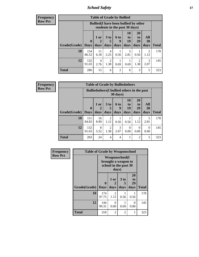*School Safety* **17**

**Frequency Row Pct**

|                             | <b>Table of Grade by Bullied</b> |                                                                               |                              |                   |                        |                               |                          |              |  |  |  |  |
|-----------------------------|----------------------------------|-------------------------------------------------------------------------------|------------------------------|-------------------|------------------------|-------------------------------|--------------------------|--------------|--|--|--|--|
|                             |                                  | <b>Bullied</b> (I have been bullied by other<br>students in the past 30 days) |                              |                   |                        |                               |                          |              |  |  |  |  |
| <b>Grade</b> (Grade)   Days | $\mathbf{0}$                     | 1 or<br>days                                                                  | 3 <sub>to</sub><br>5<br>days | 6 to<br>9<br>days | 10<br>to<br>19<br>days | <b>20</b><br>to<br>29<br>days | All<br><b>30</b><br>days | <b>Total</b> |  |  |  |  |
| 10                          | 154<br>86.52                     | 11<br>6.18                                                                    | 4<br>2.25                    | 0.56              | 5<br>2.81              | 0.56                          | 2<br>1.12                | 178          |  |  |  |  |
| 12                          | 132<br>91.03                     | 4<br>2.76                                                                     | $\overline{2}$<br>1.38       | 0.69              | 0.69                   | 2<br>1.38                     | 3<br>2.07                | 145          |  |  |  |  |
| <b>Total</b>                | 286                              | 15                                                                            | 6                            | $\overline{c}$    | 6                      | 3                             | 5                        | 323          |  |  |  |  |

**Frequency Row Pct**

| <b>Table of Grade by Bulliedothers</b> |                                                                         |            |                        |                |                  |                       |           |              |  |  |  |
|----------------------------------------|-------------------------------------------------------------------------|------------|------------------------|----------------|------------------|-----------------------|-----------|--------------|--|--|--|
|                                        | <b>Bulliedothers</b> (I bullied others in the past<br>$30 \text{ days}$ |            |                        |                |                  |                       |           |              |  |  |  |
|                                        | $\mathbf{0}$                                                            | 1 or       | 3 <sub>to</sub><br>5   | 6 to<br>9      | 10<br>to<br>19   | <b>20</b><br>to<br>29 | All<br>30 |              |  |  |  |
| Grade(Grade)                           | <b>Days</b>                                                             | days       | days                   | days           | days             | days                  | days      | <b>Total</b> |  |  |  |
| 10                                     | 151<br>84.83                                                            | 16<br>8.99 | $\overline{2}$<br>1.12 | 0.56           | 0.56             | 2<br>1.12             | 5<br>2.81 | 178          |  |  |  |
| 12                                     | 132<br>91.03                                                            | 8<br>5.52  | $\overline{2}$<br>1.38 | 3<br>2.07      | $\Omega$<br>0.00 | $\Omega$<br>0.00      | 0<br>0.00 | 145          |  |  |  |
| <b>Total</b>                           | 283                                                                     | 24         | 4                      | $\overline{4}$ |                  | $\overline{2}$        | 5         | 323          |  |  |  |

| Frequency      | <b>Table of Grade by Weaponschool</b> |                                                                        |                   |                     |                        |              |  |  |  |  |
|----------------|---------------------------------------|------------------------------------------------------------------------|-------------------|---------------------|------------------------|--------------|--|--|--|--|
| <b>Row Pct</b> |                                       | <b>Weaponschool</b> (I<br>brought a weapon to<br>school in the past 30 |                   |                     |                        |              |  |  |  |  |
|                | Grade(Grade)   Days                   | $\bf{0}$                                                               | 1 or<br>2<br>days | $3$ to<br>5<br>days | 20<br>to<br>29<br>days | <b>Total</b> |  |  |  |  |
|                | 10                                    | 174<br>97.75                                                           | 2<br>1.12         | 0.56                | 0.56                   | 178          |  |  |  |  |
|                | 12                                    | 144<br>99.31                                                           | 0<br>0.00         | 0.69                | $\Omega$<br>0.00       | 145          |  |  |  |  |
|                | <b>Total</b>                          | 318                                                                    | $\mathfrak{D}$    | $\overline{2}$      | 1                      | 323          |  |  |  |  |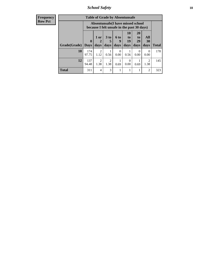*School Safety* **18**

| <b>Frequency</b> |              | <b>Table of Grade by Absentunsafe</b> |                        |                        |                  |                                                                                 |                       |                        |              |  |  |  |
|------------------|--------------|---------------------------------------|------------------------|------------------------|------------------|---------------------------------------------------------------------------------|-----------------------|------------------------|--------------|--|--|--|
| <b>Row Pct</b>   |              |                                       |                        |                        |                  | Absentunsafe(I have missed school<br>because I felt unsafe in the past 30 days) |                       |                        |              |  |  |  |
|                  |              | $\boldsymbol{0}$                      | $1$ or<br>2            | 3 <sub>to</sub><br>5   | 6 to<br>9        | 10<br>to<br>19                                                                  | <b>20</b><br>to<br>29 | All<br>30              |              |  |  |  |
|                  | Grade(Grade) | <b>Days</b>                           | days                   | days                   | days             | days                                                                            | days                  | days                   | <b>Total</b> |  |  |  |
|                  | 10           | 174<br>97.75                          | $\overline{2}$<br>1.12 | 0.56                   | $\Omega$<br>0.00 | 0.56                                                                            | 0<br>0.00             | $\Omega$<br>0.00       | 178          |  |  |  |
|                  | 12           | 137<br>94.48                          | $\overline{2}$<br>1.38 | $\overline{2}$<br>1.38 | 0.69             | $\Omega$<br>0.00                                                                | 0.69                  | $\overline{2}$<br>1.38 | 145          |  |  |  |
|                  | <b>Total</b> | 311                                   | 4                      | 3                      |                  |                                                                                 |                       | 2                      | 323          |  |  |  |
|                  |              |                                       |                        |                        |                  |                                                                                 |                       |                        |              |  |  |  |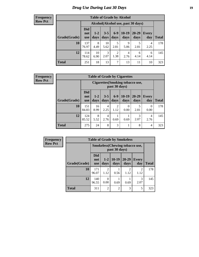# *Drug Use During Last 30 Days* **19**

#### **Frequency Row Pct**

| <b>Table of Grade by Alcohol</b> |                                 |                                    |                 |                        |                 |               |              |              |  |  |  |  |  |
|----------------------------------|---------------------------------|------------------------------------|-----------------|------------------------|-----------------|---------------|--------------|--------------|--|--|--|--|--|
|                                  |                                 | Alcohol(Alcohol use, past 30 days) |                 |                        |                 |               |              |              |  |  |  |  |  |
| Grade(Grade)                     | <b>Did</b><br>not<br><b>use</b> | $1-2$<br>days                      | $3 - 5$<br>days | $6 - 9$<br>days        | $10-19$<br>days | 20-29<br>days | Every<br>day | <b>Total</b> |  |  |  |  |  |
| 10                               | 137<br>76.97                    | 8<br>4.49                          | 10<br>5.62      | 5<br>2.81              | 9<br>5.06       | 5<br>2.81     | 4<br>2.25    | 178          |  |  |  |  |  |
| 12                               | 114<br>78.62                    | 10<br>6.90                         | 3<br>2.07       | $\overline{2}$<br>1.38 | 4<br>2.76       | 6<br>4.14     | 6<br>4.14    | 145          |  |  |  |  |  |
| <b>Total</b>                     | 251                             | 18                                 | 13              | 7                      | 13              | 11            | 10           | 323          |  |  |  |  |  |

#### **Frequency Row Pct**

| <b>Table of Grade by Cigarettes</b> |                                 |                                                                                                                             |           |           |           |           |           |     |  |  |  |  |  |
|-------------------------------------|---------------------------------|-----------------------------------------------------------------------------------------------------------------------------|-----------|-----------|-----------|-----------|-----------|-----|--|--|--|--|--|
|                                     |                                 | Cigarettes (Smoking tobacco use,<br>past 30 days)                                                                           |           |           |           |           |           |     |  |  |  |  |  |
| Grade(Grade)                        | <b>Did</b><br>not<br><b>use</b> | $10-19$<br>$6-9$<br>$20 - 29$<br>$3 - 5$<br>$1 - 2$<br><b>Every</b><br>days<br>days<br>Total<br>days<br>days<br>day<br>days |           |           |           |           |           |     |  |  |  |  |  |
| 10                                  | 151<br>84.83                    | 16<br>8.99                                                                                                                  | 4<br>2.25 | 2<br>1.12 | 0<br>0.00 | 5<br>2.81 | 0<br>0.00 | 178 |  |  |  |  |  |
| 12                                  | 124<br>85.52                    | 8<br>5.52                                                                                                                   | 4<br>2.76 | 0.69      | 0.69      | 3<br>2.07 | 4<br>2.76 | 145 |  |  |  |  |  |
| <b>Total</b>                        | 275                             | 24                                                                                                                          | 8         | 3         | 1         | 8         | 4         | 323 |  |  |  |  |  |

| Frequency      |              |                                 |                                                        | <b>Table of Grade by Smokeless</b> |                        |                        |              |  |  |
|----------------|--------------|---------------------------------|--------------------------------------------------------|------------------------------------|------------------------|------------------------|--------------|--|--|
| <b>Row Pct</b> |              |                                 | <b>Smokeless</b> (Chewing tobaccouse,<br>past 30 days) |                                    |                        |                        |              |  |  |
|                | Grade(Grade) | <b>Did</b><br>not<br><b>use</b> | $1 - 2$<br>days                                        | $10-19$<br>days                    | 20-29<br>days          | <b>Every</b><br>day    | <b>Total</b> |  |  |
|                | 10           | 171<br>96.07                    | 2<br>1.12                                              | 0.56                               | $\mathfrak{D}$<br>1.12 | $\mathfrak{D}$<br>1.12 | 178          |  |  |
|                | 12           | 140<br>96.55                    | 0<br>0.00                                              | 0.69                               | 0.69                   | 3<br>2.07              | 145          |  |  |
|                | <b>Total</b> | 311                             | $\overline{2}$                                         | 2                                  | 3                      | 5                      | 323          |  |  |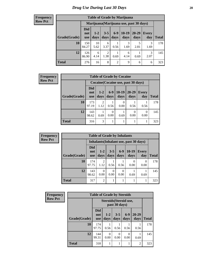#### **Frequency Row Pct**

| <b>Table of Grade by Marijuana</b> |                                 |                                         |                        |                |                 |                   |              |       |  |  |  |  |  |
|------------------------------------|---------------------------------|-----------------------------------------|------------------------|----------------|-----------------|-------------------|--------------|-------|--|--|--|--|--|
|                                    |                                 | Marijuana (Marijuana use, past 30 days) |                        |                |                 |                   |              |       |  |  |  |  |  |
| Grade(Grade)                       | <b>Did</b><br>not<br><b>use</b> | $1 - 2$<br>days                         | $3 - 5$<br>days        | $6-9$<br>days  | $10-19$<br>days | $20 - 29$<br>days | Every<br>day | Total |  |  |  |  |  |
| 10                                 | 150<br>84.27                    | 10<br>5.62                              | 6<br>3.37              | 0.56           | 3<br>1.69       | 5<br>2.81         | 3<br>1.69    | 178   |  |  |  |  |  |
| 12                                 | 126<br>86.90                    | 6<br>4.14                               | $\overline{2}$<br>1.38 | 0.69           | 6<br>4.14       | 0.69              | 3<br>2.07    | 145   |  |  |  |  |  |
| <b>Total</b>                       | 276                             | 16                                      | 8                      | $\overline{c}$ | 9               | 6                 | 6            | 323   |  |  |  |  |  |

| <b>Frequency</b> |              | <b>Table of Grade by Cocaine</b>    |                 |                  |                  |                   |                  |              |  |  |  |  |
|------------------|--------------|-------------------------------------|-----------------|------------------|------------------|-------------------|------------------|--------------|--|--|--|--|
| <b>Row Pct</b>   |              | Cocaine (Cocaine use, past 30 days) |                 |                  |                  |                   |                  |              |  |  |  |  |
|                  | Grade(Grade) | <b>Did</b><br>not<br><b>use</b>     | $1 - 2$<br>days | $6 - 9$<br>days  | $10-19$<br>days  | $20 - 29$<br>days | Every<br>day     | <b>Total</b> |  |  |  |  |
|                  | 10           | 173<br>97.19                        | 2<br>1.12       | 0.56             | $\Omega$<br>0.00 | 0.56              | 0.56             | 178          |  |  |  |  |
|                  | 12           | 143<br>98.62                        | 0.69            | $\Omega$<br>0.00 | 0.69             | 0.00              | $\theta$<br>0.00 | 145          |  |  |  |  |
|                  | <b>Total</b> | 316                                 | 3               |                  |                  |                   |                  | 323          |  |  |  |  |

| Frequency      |                      | <b>Table of Grade by Inhalants</b> |                                        |                 |               |                  |                     |              |  |  |
|----------------|----------------------|------------------------------------|----------------------------------------|-----------------|---------------|------------------|---------------------|--------------|--|--|
| <b>Row Pct</b> |                      |                                    | Inhalants (Inhalant use, past 30 days) |                 |               |                  |                     |              |  |  |
|                | <b>Grade</b> (Grade) | <b>Did</b><br>not<br><b>use</b>    | $1-2$<br>days                          | $3 - 5$<br>days | $6-9$<br>days | $10-19$<br>days  | <b>Every</b><br>day | <b>Total</b> |  |  |
|                | 10                   | 174<br>97.75                       | $\overline{2}$<br>1.12                 | 0.56            | 0.56          | $\Omega$<br>0.00 | 0<br>0.00           | 178          |  |  |
|                | 12                   | 143<br>98.62                       | 0<br>0.00                              | 0<br>0.00       | 0<br>0.00     | 0.69             | 0.69                | 145          |  |  |
|                | <b>Total</b>         | 317                                | $\overline{2}$                         |                 |               |                  |                     | 323          |  |  |

| Frequency      | <b>Table of Grade by Steroids</b> |                                 |                  |                                         |               |                   |              |
|----------------|-----------------------------------|---------------------------------|------------------|-----------------------------------------|---------------|-------------------|--------------|
| <b>Row Pct</b> |                                   |                                 |                  | Steroids (Steroid use,<br>past 30 days) |               |                   |              |
|                | Grade(Grade)                      | <b>Did</b><br>not<br><b>use</b> | $1 - 2$<br>days  | $3 - 5$<br>days                         | $6-9$<br>days | $20 - 29$<br>days | <b>Total</b> |
|                | 10                                | 174<br>97.75                    | 0.56             | 0.56                                    | 0.56          | 0.56              | 178          |
|                | 12                                | 144<br>99.31                    | $\Omega$<br>0.00 | $\theta$<br>0.00                        | 0.00          | 0.69              | 145          |
|                | <b>Total</b>                      | 318                             |                  |                                         |               | $\overline{2}$    | 323          |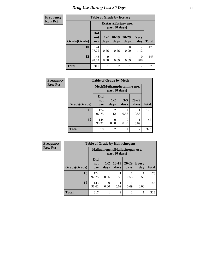#### **Frequency Row Pct**

п

# **Table of Grade by Ecstasy**

| equency |              |                                 |                                       | Table of Grade by Ecstasy |               |                        |              |  |
|---------|--------------|---------------------------------|---------------------------------------|---------------------------|---------------|------------------------|--------------|--|
| w Pct   |              |                                 | Ecstasy(Ecstasy use,<br>past 30 days) |                           |               |                        |              |  |
|         | Grade(Grade) | <b>Did</b><br>not<br><b>use</b> | $1 - 2$<br>days                       | $10-19$<br>days           | 20-29<br>days | <b>Every</b><br>day    | <b>Total</b> |  |
|         | 10           | 174<br>97.75                    | 0.56                                  | 0.56                      | 0.00          | $\mathfrak{D}$<br>1.12 | 178          |  |
|         | 12           | 143<br>98.62                    | 0<br>0.00                             | 0.69                      | 0.69          | 0<br>0.00              | 145          |  |
|         | <b>Total</b> | 317                             |                                       | $\overline{2}$            |               | $\overline{2}$         | 323          |  |

| Frequency      |                                            |                          | <b>Table of Grade by Meth</b> |                  |                |              |  |
|----------------|--------------------------------------------|--------------------------|-------------------------------|------------------|----------------|--------------|--|
| <b>Row Pct</b> | Meth(Methamphetamine use,<br>past 30 days) |                          |                               |                  |                |              |  |
|                | Grade(Grade)                               | Did<br>not<br><b>use</b> | $1 - 2$<br>days               | $3 - 5$<br>days  | 20-29<br>days  | <b>Total</b> |  |
|                | 10                                         | 174<br>97.75             | $\overline{2}$<br>1.12        | 0.56             | 0.56           | 178          |  |
|                | 12                                         | 144<br>99.31             | 0<br>0.00                     | $\left($<br>0.00 | 0.69           | 145          |  |
|                | <b>Total</b>                               | 318                      | $\overline{2}$                |                  | $\overline{2}$ | 323          |  |

| <b>Frequency</b> | <b>Table of Grade by Hallucinogens</b> |                                                   |                 |                 |                   |              |              |  |
|------------------|----------------------------------------|---------------------------------------------------|-----------------|-----------------|-------------------|--------------|--------------|--|
| <b>Row Pct</b>   |                                        | Hallucinogens (Hallucinogen use,<br>past 30 days) |                 |                 |                   |              |              |  |
|                  | Grade(Grade)                           | <b>Did</b><br>not<br><b>use</b>                   | $1 - 2$<br>days | $10-19$<br>days | $20 - 29$<br>days | Every<br>day | <b>Total</b> |  |
|                  | 10                                     | 174<br>97.75                                      | 0.56            | 0.56            | 0.56              | 0.56         | 178          |  |
|                  | 12                                     | 143<br>98.62                                      | ∩<br>0.00       | 0.69            | 0.69              | 0<br>0.00    | 145          |  |
|                  | <b>Total</b>                           | 317                                               |                 | $\overline{2}$  | $\overline{c}$    | 1            | 323          |  |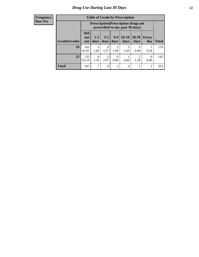| <b>Frequency</b> |
|------------------|
| <b>Row Pct</b>   |

| <b>Table of Grade by Prescription</b> |                          |                                                                                                                    |           |           |           |                  |                  |     |  |
|---------------------------------------|--------------------------|--------------------------------------------------------------------------------------------------------------------|-----------|-----------|-----------|------------------|------------------|-----|--|
|                                       |                          | <b>Prescription</b> (Prescription drugs not<br>prescribed to me, past 30 days)                                     |           |           |           |                  |                  |     |  |
| Grade(Grade)                          | Did<br>not<br><b>use</b> | $6 - 9$<br>$10-19$<br>$3 - 5$<br>20-29<br>$1 - 2$<br>Every<br>days<br>days<br>Total<br>days<br>days<br>day<br>days |           |           |           |                  |                  |     |  |
| 10                                    | 162<br>91.01             | $\mathcal{R}$<br>1.69                                                                                              | 6<br>3.37 | 3<br>1.69 | 3<br>1.69 | $\Omega$<br>0.00 | 0.56             | 178 |  |
| 12                                    | 135<br>93.10             | 4<br>2.76                                                                                                          | 3<br>2.07 | 0<br>0.00 | 0.69      | ာ<br>1.38        | $\theta$<br>0.00 | 145 |  |
| <b>Total</b>                          | 297                      | 7                                                                                                                  | 9         | 3         | 4         | $\overline{2}$   |                  | 323 |  |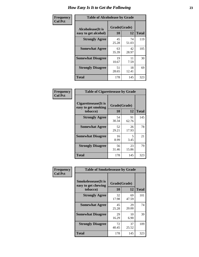| Frequency      | <b>Table of Alcoholease by Grade</b>              |                    |             |              |  |  |  |
|----------------|---------------------------------------------------|--------------------|-------------|--------------|--|--|--|
| <b>Col Pct</b> | <b>Alcoholease</b> (It is<br>easy to get alcohol) | Grade(Grade)<br>10 | 12          | <b>Total</b> |  |  |  |
|                | <b>Strongly Agree</b>                             | 45<br>25.28        | 74<br>51.03 | 119          |  |  |  |
|                | <b>Somewhat Agree</b>                             | 63<br>35.39        | 42<br>28.97 | 105          |  |  |  |
|                | <b>Somewhat Disagree</b>                          | 19<br>10.67        | 11<br>7.59  | 30           |  |  |  |
|                | <b>Strongly Disagree</b>                          | 51<br>28.65        | 18<br>12.41 | 69           |  |  |  |
|                | <b>Total</b>                                      | 178                | 145         | 323          |  |  |  |

| Frequency      | <b>Table of Cigarettesease by Grade</b>                 |                           |             |              |  |  |
|----------------|---------------------------------------------------------|---------------------------|-------------|--------------|--|--|
| <b>Col Pct</b> | Cigarettesease(It is<br>easy to get smoking<br>tobacco) | Grade(Grade)<br><b>10</b> | 12          | <b>Total</b> |  |  |
|                | <b>Strongly Agree</b>                                   | 54<br>30.34               | 91<br>62.76 | 145          |  |  |
|                | <b>Somewhat Agree</b>                                   | 52<br>29.21               | 26<br>17.93 | 78           |  |  |
|                | <b>Somewhat Disagree</b>                                | 16<br>8.99                | 5<br>3.45   | 21           |  |  |
|                | <b>Strongly Disagree</b>                                | 56<br>31.46               | 23<br>15.86 | 79           |  |  |
|                | <b>Total</b>                                            | 178                       | 145         | 323          |  |  |

| Frequency      | <b>Table of Smokelessease by Grade</b>                         |                          |             |              |  |  |  |  |  |
|----------------|----------------------------------------------------------------|--------------------------|-------------|--------------|--|--|--|--|--|
| <b>Col Pct</b> | <b>Smokelessease</b> (It is<br>easy to get chewing<br>tobacco) | Grade(Grade)<br>12<br>10 |             | <b>Total</b> |  |  |  |  |  |
|                | <b>Strongly Agree</b>                                          | 32<br>17.98              | 69<br>47.59 | 101          |  |  |  |  |  |
|                | <b>Somewhat Agree</b>                                          | 45<br>25.28              | 29<br>20.00 | 74           |  |  |  |  |  |
|                | <b>Somewhat Disagree</b>                                       | 29<br>16.29              | 10<br>6.90  | 39           |  |  |  |  |  |
|                | <b>Strongly Disagree</b>                                       | 72<br>40.45              | 37<br>25.52 | 109          |  |  |  |  |  |
|                | <b>Total</b>                                                   | 178                      | 145         | 323          |  |  |  |  |  |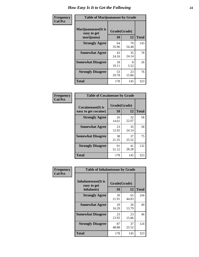| Frequency      | <b>Table of Marijuanaease by Grade</b>           |                    |             |              |  |  |  |
|----------------|--------------------------------------------------|--------------------|-------------|--------------|--|--|--|
| <b>Col Pct</b> | Marijuanaease(It is<br>easy to get<br>marijuana) | Grade(Grade)<br>10 | 12          | <b>Total</b> |  |  |  |
|                | <b>Strongly Agree</b>                            | 64<br>35.96        | 79<br>54.48 | 143          |  |  |  |
|                | <b>Somewhat Agree</b>                            | 43<br>24.16        | 35<br>24.14 | 78           |  |  |  |
|                | <b>Somewhat Disagree</b>                         | 18<br>10.11        | 8<br>5.52   | 26           |  |  |  |
|                | <b>Strongly Disagree</b>                         | 53<br>29.78        | 23<br>15.86 | 76           |  |  |  |
|                | <b>Total</b>                                     | 178                | 145         | 323          |  |  |  |

| <b>Table of Cocaineease by Grade</b>      |                    |             |              |  |  |  |  |
|-------------------------------------------|--------------------|-------------|--------------|--|--|--|--|
| Cocaineease(It is<br>easy to get cocaine) | Grade(Grade)<br>10 | 12          | <b>Total</b> |  |  |  |  |
| <b>Strongly Agree</b>                     | 26<br>14.61        | 32<br>22.07 | 58           |  |  |  |  |
| <b>Somewhat Agree</b>                     | 23<br>12.92        | 35<br>24.14 | 58           |  |  |  |  |
| <b>Somewhat Disagree</b>                  | 38<br>21.35        | 37<br>25.52 | 75           |  |  |  |  |
| <b>Strongly Disagree</b>                  | 91<br>51.12        | 41<br>28.28 | 132          |  |  |  |  |
| <b>Total</b>                              | 178                | 145         | 323          |  |  |  |  |

| Frequency      | <b>Table of Inhalantsease by Grade</b>           |             |                    |     |  |  |  |  |  |  |  |
|----------------|--------------------------------------------------|-------------|--------------------|-----|--|--|--|--|--|--|--|
| <b>Col Pct</b> | Inhalantsease(It is<br>easy to get<br>inhalants) | 10          | Grade(Grade)<br>12 |     |  |  |  |  |  |  |  |
|                | <b>Strongly Agree</b>                            | 39<br>21.91 | 65<br>44.83        | 104 |  |  |  |  |  |  |  |
|                | <b>Somewhat Agree</b>                            | 29<br>16.29 | 20<br>13.79        | 49  |  |  |  |  |  |  |  |
|                | <b>Somewhat Disagree</b>                         | 23<br>12.92 | 23<br>15.86        | 46  |  |  |  |  |  |  |  |
|                | <b>Strongly Disagree</b>                         | 87<br>48.88 | 37<br>25.52        | 124 |  |  |  |  |  |  |  |
|                | <b>Total</b>                                     | 178         | 145                | 323 |  |  |  |  |  |  |  |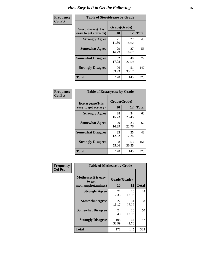| Frequency      | <b>Table of Steroidsease by Grade</b>               |                    |             |                              |  |  |  |  |  |  |  |
|----------------|-----------------------------------------------------|--------------------|-------------|------------------------------|--|--|--|--|--|--|--|
| <b>Col Pct</b> | <b>Steroidsease</b> (It is<br>easy to get steroids) | Grade(Grade)<br>10 | 12          | <b>Total</b>                 |  |  |  |  |  |  |  |
|                | <b>Strongly Agree</b>                               | 21<br>11.80        | 27<br>18.62 | 48<br>56<br>72<br>147<br>323 |  |  |  |  |  |  |  |
|                | <b>Somewhat Agree</b>                               | 29<br>16.29        | 27<br>18.62 |                              |  |  |  |  |  |  |  |
|                | <b>Somewhat Disagree</b>                            | 32<br>17.98        | 40<br>27.59 |                              |  |  |  |  |  |  |  |
|                | <b>Strongly Disagree</b>                            | 96<br>53.93        | 51<br>35.17 |                              |  |  |  |  |  |  |  |
|                | Total                                               | 178                | 145         |                              |  |  |  |  |  |  |  |

| Frequency      | <b>Table of Ecstasyease by Grade</b>              |                           |              |     |  |  |  |  |  |  |  |  |
|----------------|---------------------------------------------------|---------------------------|--------------|-----|--|--|--|--|--|--|--|--|
| <b>Col Pct</b> | <b>Ecstasyease</b> (It is<br>easy to get ecstasy) | Grade(Grade)<br><b>10</b> | <b>Total</b> |     |  |  |  |  |  |  |  |  |
|                | <b>Strongly Agree</b>                             | 28<br>15.73               | 34<br>23.45  | 62  |  |  |  |  |  |  |  |  |
|                | <b>Somewhat Agree</b>                             | 29<br>16.29               | 33<br>22.76  | 62  |  |  |  |  |  |  |  |  |
|                | <b>Somewhat Disagree</b>                          | 23<br>12.92               | 25<br>17.24  | 48  |  |  |  |  |  |  |  |  |
|                | <b>Strongly Disagree</b>                          | 98<br>55.06               | 53<br>36.55  | 151 |  |  |  |  |  |  |  |  |
|                | <b>Total</b>                                      | 178                       | 145          | 323 |  |  |  |  |  |  |  |  |

| Frequency      | <b>Table of Methease by Grade</b>     |              |             |              |
|----------------|---------------------------------------|--------------|-------------|--------------|
| <b>Col Pct</b> | <b>Methease</b> (It is easy<br>to get | Grade(Grade) |             |              |
|                | methamphetamines)                     | <b>10</b>    | 12          | <b>Total</b> |
|                | <b>Strongly Agree</b>                 | 22<br>12.36  | 26<br>17.93 | 48           |
|                | <b>Somewhat Agree</b>                 | 27<br>15.17  | 31<br>21.38 | 58           |
|                | <b>Somewhat Disagree</b>              | 24<br>13.48  | 26<br>17.93 | 50           |
|                | <b>Strongly Disagree</b>              | 105<br>58.99 | 62<br>42.76 | 167          |
|                | <b>Total</b>                          | 178          | 145         | 323          |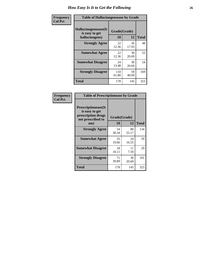| <b>Frequency</b> | <b>Table of Hallucinogensease by Grade</b>               |                    |             |              |  |  |  |  |  |  |
|------------------|----------------------------------------------------------|--------------------|-------------|--------------|--|--|--|--|--|--|
| <b>Col Pct</b>   | Hallucinogensease(It<br>is easy to get<br>hallucinogens) | Grade(Grade)<br>10 | 12          | <b>Total</b> |  |  |  |  |  |  |
|                  | <b>Strongly Agree</b>                                    | 22<br>12.36        | 26<br>17.93 | 48           |  |  |  |  |  |  |
|                  | <b>Somewhat Agree</b>                                    | 22<br>12.36        | 30<br>20.69 | 52           |  |  |  |  |  |  |
|                  | <b>Somewhat Disagree</b>                                 | 24<br>13.48        | 30<br>20.69 | 54           |  |  |  |  |  |  |
|                  | <b>Strongly Disagree</b>                                 | 110<br>61.80       | 59<br>40.69 | 169          |  |  |  |  |  |  |
|                  | <b>Total</b>                                             | 178                | 145         | 323          |  |  |  |  |  |  |

| Frequency<br>Col Pct |
|----------------------|
|                      |

| <b>Table of Prescriptionease by Grade</b>                                                |             |              |              |  |  |  |  |  |  |
|------------------------------------------------------------------------------------------|-------------|--------------|--------------|--|--|--|--|--|--|
| <b>Prescriptionease</b> (It<br>is easy to get<br>prescription drugs<br>not prescribed to |             | Grade(Grade) |              |  |  |  |  |  |  |
| me)                                                                                      | 10          | 12           | <b>Total</b> |  |  |  |  |  |  |
| <b>Strongly Agree</b>                                                                    | 54<br>30.34 | 80<br>55.17  | 134          |  |  |  |  |  |  |
| <b>Somewhat Agree</b>                                                                    | 35<br>19.66 | 24<br>16.55  | 59           |  |  |  |  |  |  |
| <b>Somewhat Disagree</b>                                                                 | 18<br>10.11 | 11<br>7.59   | 29           |  |  |  |  |  |  |
| <b>Strongly Disagree</b>                                                                 | 71<br>39.89 | 30<br>20.69  | 101          |  |  |  |  |  |  |
| Total                                                                                    | 178         | 145          | 323          |  |  |  |  |  |  |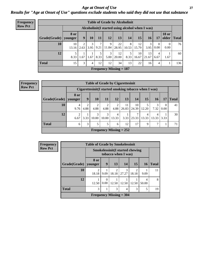### *Age at Onset of Use* **27** *Results for "Age at Onset of Use" questions exclude students who said they did not use that substance*

| <b>Frequency</b> | <b>Table of Grade by Alcoholinit</b> |                        |                                                 |           |      |            |                           |            |             |             |                        |                       |              |
|------------------|--------------------------------------|------------------------|-------------------------------------------------|-----------|------|------------|---------------------------|------------|-------------|-------------|------------------------|-----------------------|--------------|
| <b>Row Pct</b>   |                                      |                        | Alcoholinit(I started using alcohol when I was) |           |      |            |                           |            |             |             |                        |                       |              |
|                  | Grade(Grade)                         | <b>8 or</b><br>younger | 9                                               | 10        | 11   | 12         | 13                        | 14         | 15          | 16          | 17                     | <b>18 or</b><br>older | <b>Total</b> |
|                  | 10                                   | 10<br>13.16            | 2<br>2.63                                       | 3<br>3.95 | 9.21 | 9<br>11.84 | 22<br>28.95               | 8<br>10.53 | 12<br>15.79 | 3<br>3.95   | $\overline{0}$<br>0.00 | 0.00                  | 76           |
|                  | 12                                   | 5<br>8.33              | 1.67                                            | 1.67      | 8.33 | 3<br>5.00  | 12<br>20.00               | 5<br>8.33  | 10<br>16.67 | 13<br>21.67 | 4<br>6.67              | 1.67                  | 60           |
|                  | <b>Total</b>                         | 15                     | 3                                               | 4         | 12   | 12         | 34                        | 13         | 22          | 16          | $\overline{4}$         |                       | 136          |
|                  |                                      |                        |                                                 |           |      |            | Frequency Missing $= 187$ |            |             |             |                        |                       |              |

| <b>Frequency</b> |
|------------------|
| <b>Row Pct</b>   |

| <b>Table of Grade by Cigarettesinit</b> |                                                                                             |                        |                        |                           |                        |             |             |            |            |      |    |  |
|-----------------------------------------|---------------------------------------------------------------------------------------------|------------------------|------------------------|---------------------------|------------------------|-------------|-------------|------------|------------|------|----|--|
|                                         | Cigarettesinit (I started smoking tobacco when I was)                                       |                        |                        |                           |                        |             |             |            |            |      |    |  |
| Grade(Grade)                            | 8 or<br>9<br>13<br><b>10</b><br>12<br>15<br>14<br>16<br><b>Total</b><br>11<br>17<br>younger |                        |                        |                           |                        |             |             |            |            |      |    |  |
| 10                                      | 4<br>9.76                                                                                   | $\mathfrak{D}$<br>4.88 | $\overline{2}$<br>4.88 | $\overline{2}$<br>4.88    | $\mathfrak{D}$<br>4.88 | 11<br>26.83 | 10<br>24.39 | 5<br>12.20 | 3<br>7.32  | 0.00 | 41 |  |
| 12                                      | 2<br>6.67                                                                                   | 3.33                   | 3<br>10.00             | 3<br>10.00                | 4<br>13.33             | 3.33        | 7<br>23.33  | 4<br>13.33 | 4<br>13.33 | 3.33 | 30 |  |
| <b>Total</b>                            | 3<br>17<br>5<br>5<br>12<br>9<br>6<br>6                                                      |                        |                        |                           |                        |             |             |            |            |      |    |  |
|                                         |                                                                                             |                        |                        | Frequency Missing $= 252$ |                        |             |             |            |            |      |    |  |

| Frequency      |              | <b>Table of Grade by Smokelessinit</b> |                                                                |                           |            |       |            |              |  |  |  |
|----------------|--------------|----------------------------------------|----------------------------------------------------------------|---------------------------|------------|-------|------------|--------------|--|--|--|
| <b>Row Pct</b> |              |                                        | <b>Smokelessinit (I started chewing</b><br>tobacco when I was) |                           |            |       |            |              |  |  |  |
|                | Grade(Grade) | 8 or<br>vounger                        | 9                                                              | 13                        | 14         | 15    | 16         | <b>Total</b> |  |  |  |
|                | 10           | 18.18                                  | 9.09                                                           | $\mathfrak{D}$<br>18.18   | 3<br>27.27 | 18.18 | 9.09       | 11           |  |  |  |
|                | 12           | 12.50                                  | 0.00                                                           | 12.50                     | 12.50      | 12.50 | 4<br>50.00 | 8            |  |  |  |
|                | <b>Total</b> | 3                                      |                                                                | 3                         | 4          | 3     | 5          | 19           |  |  |  |
|                |              |                                        |                                                                | Frequency Missing $=$ 304 |            |       |            |              |  |  |  |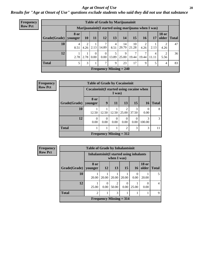#### *Age at Onset of Use* **28**

*Results for "Age at Onset of Use" questions exclude students who said they did not use that substance*

| Frequency      | <b>Table of Grade by Marijuanainit</b> |             |      |           |                  |                        |                                                      |             |           |            |                       |              |  |
|----------------|----------------------------------------|-------------|------|-----------|------------------|------------------------|------------------------------------------------------|-------------|-----------|------------|-----------------------|--------------|--|
| <b>Row Pct</b> |                                        |             |      |           |                  |                        | Marijuanainit (I started using marijuana when I was) |             |           |            |                       |              |  |
|                | Grade(Grade)   younger                 | <b>8 or</b> | 10   | <b>11</b> | <b>12</b>        | 13                     | 14                                                   | 15          | <b>16</b> | 17         | <b>18 or</b><br>older | <b>Total</b> |  |
|                | 10                                     | 4<br>8.51   | 4.26 | 2.13      | 7<br>14.89       | $\overline{4}$<br>8.51 | 14<br>29.79                                          | 10<br>21.28 | 4.26      | 2.13       | ∍<br>4.26             | 47           |  |
|                | 12                                     | 2.78        | 2.78 | $0.00\,$  | $\Omega$<br>0.00 | 13.89                  | 9<br>25.00                                           | 7<br>19.44  | 19.44     | 4<br>11.11 | 2<br>5.56             | 36           |  |
|                | <b>Total</b>                           |             | 3    |           | 7                | 9                      | 23                                                   | 17          | 9         |            | 4                     | 83           |  |
|                |                                        |             |      |           |                  |                        | Frequency Missing $= 240$                            |             |           |            |                       |              |  |

| <b>Frequency</b> |                                                     | <b>Table of Grade by Cocaineinit</b> |       |                                |                                      |            |                         |              |  |  |
|------------------|-----------------------------------------------------|--------------------------------------|-------|--------------------------------|--------------------------------------|------------|-------------------------|--------------|--|--|
| <b>Row Pct</b>   | Cocaineinit (I started using cocaine when<br>I was) |                                      |       |                                |                                      |            |                         |              |  |  |
|                  | Grade(Grade)                                        | 8 or<br>younger                      | 9     | <b>11</b>                      | 13                                   | <b>15</b>  | <b>16</b>               | <b>Total</b> |  |  |
|                  | 10                                                  | 12.50                                | 12.50 | 12.50                          | $\mathcal{D}_{\mathcal{A}}$<br>25.00 | 3<br>37.50 | $\Omega$<br>0.00        | 8            |  |  |
|                  | 12                                                  | $\Omega$<br>0.00                     | 0.00  | 0<br>0.00                      | $\Omega$<br>0.00                     | 0<br>0.00  | $\mathcal{R}$<br>100.00 | 3            |  |  |
|                  | <b>Total</b>                                        |                                      |       |                                | $\overline{2}$                       | 3          | 3                       | 11           |  |  |
|                  |                                                     |                                      |       | <b>Frequency Missing = 312</b> |                                      |            |                         |              |  |  |

| <b>Frequency</b> |
|------------------|
| <b>Row Pct</b>   |

| <b>Table of Grade by Inhalantsinit</b> |                 |                                                                      |       |       |      |       |  |  |  |  |
|----------------------------------------|-----------------|----------------------------------------------------------------------|-------|-------|------|-------|--|--|--|--|
|                                        |                 | Inhalantsinit (I started using inhalants<br>when I was)              |       |       |      |       |  |  |  |  |
| Grade(Grade)                           | 8 or<br>younger | <b>18 or</b><br><b>12</b><br>15<br>older<br><b>Total</b><br>13<br>16 |       |       |      |       |  |  |  |  |
| 10                                     | 20.00           | 20.00                                                                | 20.00 | 20.00 | 0.00 | 20.00 |  |  |  |  |
| 12                                     | 25.00           | $\mathfrak{D}$<br>0<br>0.00<br>0.00<br>50.00<br>0.00<br>25.00        |       |       |      |       |  |  |  |  |
| <b>Total</b><br>$\overline{c}$<br>3    |                 |                                                                      |       |       |      |       |  |  |  |  |
| Frequency Missing $= 314$              |                 |                                                                      |       |       |      |       |  |  |  |  |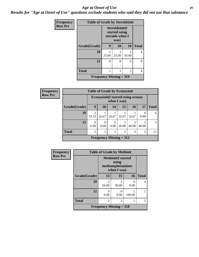#### *Age at Onset of Use* **29**

*Results for "Age at Onset of Use" questions exclude students who said they did not use that substance*

| Frequency      | <b>Table of Grade by Steroidsinit</b> |          |                                                            |                         |              |  |  |
|----------------|---------------------------------------|----------|------------------------------------------------------------|-------------------------|--------------|--|--|
| <b>Row Pct</b> |                                       |          | Steroidsinit(I<br>started using<br>steroids when I<br>was) |                         |              |  |  |
|                | Grade(Grade)                          | 9        | 10                                                         | 16                      | <b>Total</b> |  |  |
|                | 10                                    | 25.00    | 25.00                                                      | $\mathfrak{D}$<br>50.00 | 4            |  |  |
|                | 12                                    | $\Omega$ | 0<br>٠                                                     | 0                       | 0            |  |  |
|                | <b>Total</b>                          |          | 4                                                          |                         |              |  |  |
|                | Frequency Missing $= 319$             |          |                                                            |                         |              |  |  |

| <b>Frequency</b> |              | <b>Table of Grade by Ecstasyinit</b>            |                                                           |                  |                           |            |                         |              |  |
|------------------|--------------|-------------------------------------------------|-----------------------------------------------------------|------------------|---------------------------|------------|-------------------------|--------------|--|
| <b>Row Pct</b>   |              |                                                 | <b>Ecstasyinit(I started using ecstasy</b><br>when I was) |                  |                           |            |                         |              |  |
|                  | Grade(Grade) | 9                                               | <b>10</b>                                                 | 14               | 15                        | <b>16</b>  | 17                      | <b>Total</b> |  |
|                  | 10           | $\mathfrak{D}$<br>33.33                         | 16.67                                                     | 16.67            | 16.67                     | 16.67      | 0.00                    | 6            |  |
|                  | 12           | $\Omega$<br>0.00                                | $\theta$<br>0.00                                          | $\Omega$<br>0.00 | 20.00                     | ◠<br>40.00 | $\mathfrak{D}$<br>40.00 | 5            |  |
|                  | <b>Total</b> | 2<br>3<br>$\overline{2}$<br>$\overline{2}$<br>1 |                                                           |                  |                           |            |                         |              |  |
|                  |              |                                                 |                                                           |                  | Frequency Missing $= 312$ |            |                         |              |  |

| Frequency      |              | <b>Table of Grade by Methinit</b> |                                                                       |        |              |  |  |  |
|----------------|--------------|-----------------------------------|-----------------------------------------------------------------------|--------|--------------|--|--|--|
| <b>Row Pct</b> |              |                                   | <b>Methinit(I started</b><br>using<br>methamphetamines<br>when I was) |        |              |  |  |  |
|                | Grade(Grade) | 13                                | 15                                                                    | 16     | <b>Total</b> |  |  |  |
|                | 10           | $\mathfrak{D}$<br>50.00           | $\mathfrak{D}$<br>50.00                                               | 0.00   | 4            |  |  |  |
|                | 12           | 0<br>0.00                         | 0.00                                                                  | 100.00 |              |  |  |  |
|                | <b>Total</b> | 2                                 | 2                                                                     |        | 5            |  |  |  |
|                |              | Frequency Missing $=$ 318         |                                                                       |        |              |  |  |  |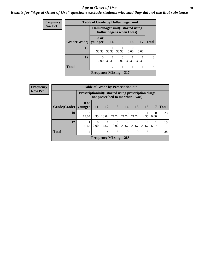#### Age at Onset of Use **30**

### *Results for "Age at Onset of Use" questions exclude students who said they did not use that substance*

| Frequency      |              | <b>Table of Grade by Hallucinogensinit</b>                     |           |           |           |       |               |  |
|----------------|--------------|----------------------------------------------------------------|-----------|-----------|-----------|-------|---------------|--|
| <b>Row Pct</b> |              | Hallucinogensinit(I started using<br>hallucinogens when I was) |           |           |           |       |               |  |
|                | Grade(Grade) | 8 or<br>younger                                                | <b>14</b> | 15        | <b>16</b> | 17    | <b>Total</b>  |  |
|                | 10           | 33.33                                                          | 33.33     | 33.33     | 0.00      | 0.00  | 3             |  |
|                | 12           | 0<br>0.00                                                      | 33.33     | 0<br>0.00 | 33.33     | 33.33 | $\mathcal{R}$ |  |
|                | <b>Total</b> | $\overline{2}$                                                 |           |           |           |       |               |  |
|                |              | Frequency Missing $= 317$                                      |           |           |           |       |               |  |

| <b>Frequency</b>                                |              |                 |                                                                                         | <b>Table of Grade by Prescriptioninit</b> |                  |            |            |            |                  |              |
|-------------------------------------------------|--------------|-----------------|-----------------------------------------------------------------------------------------|-------------------------------------------|------------------|------------|------------|------------|------------------|--------------|
| <b>Row Pct</b>                                  |              |                 | Prescriptioninit(I started using prescription drugs<br>not prescribed to me when I was) |                                           |                  |            |            |            |                  |              |
|                                                 | Grade(Grade) | 8 or<br>younger | 11                                                                                      | <b>12</b>                                 | 13               | 14         | 15         | 16         | 17               | <b>Total</b> |
|                                                 | 10           | 3<br>13.04      | 4.35                                                                                    | 3<br>13.04                                | 21.74            | 5<br>21.74 | 21.74      | 4.35       | $\Omega$<br>0.00 | 23           |
|                                                 | 12           | 6.67            | $\theta$<br>0.00                                                                        | 6.67                                      | $\Omega$<br>0.00 | 4<br>26.67 | 4<br>26.67 | 4<br>26.67 | 6.67             | 15           |
| <b>Total</b><br>5<br>9<br>9<br>1<br>5<br>4<br>4 |              |                 |                                                                                         |                                           |                  |            |            |            |                  | 38           |
|                                                 |              |                 |                                                                                         | <b>Frequency Missing = 285</b>            |                  |            |            |            |                  |              |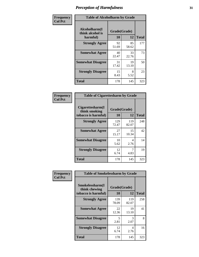| Frequency      | <b>Table of Alcoholharm by Grade</b>          |                    |             |              |  |  |
|----------------|-----------------------------------------------|--------------------|-------------|--------------|--|--|
| <b>Col Pct</b> | Alcoholharm(I<br>think alcohol is<br>harmful) | Grade(Grade)<br>10 | 12          | <b>Total</b> |  |  |
|                | <b>Strongly Agree</b>                         | 92<br>51.69        | 85<br>58.62 | 177          |  |  |
|                | <b>Somewhat Agree</b>                         | 40<br>22.47        | 33<br>22.76 | 73           |  |  |
|                | <b>Somewhat Disagree</b>                      | 31<br>17.42        | 19<br>13.10 | 50           |  |  |
|                | <b>Strongly Disagree</b>                      | 15<br>8.43         | 8<br>5.52   | 23           |  |  |
|                | <b>Total</b>                                  | 178                | 145         | 323          |  |  |

|                                                          | <b>Table of Cigarettesharm by Grade</b> |              |              |  |  |  |  |  |
|----------------------------------------------------------|-----------------------------------------|--------------|--------------|--|--|--|--|--|
| Cigarettesharm(I<br>think smoking<br>tobacco is harmful) | Grade(Grade)<br>10                      | 12           | <b>Total</b> |  |  |  |  |  |
| <b>Strongly Agree</b>                                    | 129<br>72.47                            | 119<br>82.07 | 248          |  |  |  |  |  |
| <b>Somewhat Agree</b>                                    | 27<br>15.17                             | 15<br>10.34  | 42           |  |  |  |  |  |
| <b>Somewhat Disagree</b>                                 | 10<br>5.62                              | 4<br>2.76    | 14           |  |  |  |  |  |
| <b>Strongly Disagree</b>                                 | 12<br>6.74                              | 7<br>4.83    | 19           |  |  |  |  |  |
| <b>Total</b>                                             | 178                                     | 145          | 323          |  |  |  |  |  |

| Frequency      | <b>Table of Smokelessharm by Grade</b>                  |                    |              |              |
|----------------|---------------------------------------------------------|--------------------|--------------|--------------|
| <b>Col Pct</b> | Smokelessharm(I<br>think chewing<br>tobacco is harmful) | Grade(Grade)<br>10 | 12           | <b>Total</b> |
|                | <b>Strongly Agree</b>                                   | 139<br>78.09       | 119<br>82.07 | 258          |
|                | <b>Somewhat Agree</b>                                   | 22<br>12.36        | 19<br>13.10  | 41           |
|                | <b>Somewhat Disagree</b>                                | 5<br>2.81          | 3<br>2.07    | 8            |
|                | <b>Strongly Disagree</b>                                | 12<br>6.74         | 4<br>2.76    | 16           |
|                | Total                                                   | 178                | 145          | 323          |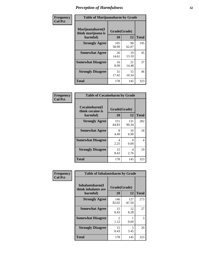| Frequency      | <b>Table of Marijuanaharm by Grade</b>            |                    |             |              |  |  |
|----------------|---------------------------------------------------|--------------------|-------------|--------------|--|--|
| <b>Col Pct</b> | Marijuanaharm(I<br>think marijuana is<br>harmful) | Grade(Grade)<br>10 | 12          | <b>Total</b> |  |  |
|                | <b>Strongly Agree</b>                             | 105<br>58.99       | 90<br>62.07 | 195          |  |  |
|                | <b>Somewhat Agree</b>                             | 26<br>14.61        | 19<br>13.10 | 45           |  |  |
|                | <b>Somewhat Disagree</b>                          | 16<br>8.99         | 21<br>14.48 | 37           |  |  |
|                | <b>Strongly Disagree</b>                          | 31<br>17.42        | 15<br>10.34 | 46           |  |  |
|                | <b>Total</b>                                      | 178                | 145         | 323          |  |  |

| <b>Table of Cocaineharm by Grade</b>          |                    |              |              |  |  |
|-----------------------------------------------|--------------------|--------------|--------------|--|--|
| Cocaineharm(I<br>think cocaine is<br>harmful) | Grade(Grade)<br>10 | 12           | <b>Total</b> |  |  |
| <b>Strongly Agree</b>                         | 151<br>84.83       | 131<br>90.34 | 282          |  |  |
| <b>Somewhat Agree</b>                         | 8<br>4.49          | 10<br>6.90   | 18           |  |  |
| <b>Somewhat Disagree</b>                      | 4<br>2.25          | 0<br>0.00    | 4            |  |  |
| <b>Strongly Disagree</b>                      | 15<br>8.43         | 4<br>2.76    | 19           |  |  |
| <b>Total</b>                                  | 178                | 145          | 323          |  |  |

| Frequency      | <b>Table of Inhalantsharm by Grade</b>  |                        |              |              |  |
|----------------|-----------------------------------------|------------------------|--------------|--------------|--|
| <b>Col Pct</b> | Inhalantsharm(I)<br>think inhalants are | Grade(Grade)           |              |              |  |
|                | harmful)                                | 10                     | 12           | <b>Total</b> |  |
|                | <b>Strongly Agree</b>                   | 146<br>82.02           | 127<br>87.59 | 273          |  |
|                | <b>Somewhat Agree</b>                   | 15<br>8.43             | 12<br>8.28   | 27           |  |
|                | <b>Somewhat Disagree</b>                | $\mathfrak{D}$<br>1.12 | 0.69         | 3            |  |
|                | <b>Strongly Disagree</b>                | 15<br>8.43             | 5<br>3.45    | 20           |  |
|                | <b>Total</b>                            | 178                    | 145          | 323          |  |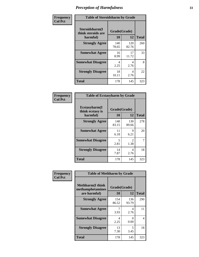| Frequency      | <b>Table of Steroidsharm by Grade</b>            |                    |              |              |
|----------------|--------------------------------------------------|--------------------|--------------|--------------|
| <b>Col Pct</b> | Steroidsharm(I<br>think steroids are<br>harmful) | Grade(Grade)<br>10 | 12           | <b>Total</b> |
|                | <b>Strongly Agree</b>                            | 140<br>78.65       | 120<br>82.76 | 260          |
|                | <b>Somewhat Agree</b>                            | 16<br>8.99         | 17<br>11.72  | 33           |
|                | <b>Somewhat Disagree</b>                         | 4<br>2.25          | 4<br>2.76    | 8            |
|                | <b>Strongly Disagree</b>                         | 18<br>10.11        | 4<br>2.76    | 22           |
|                | <b>Total</b>                                     | 178                | 145          | 323          |

| <b>Table of Ecstasyharm by Grade</b>                |                    |                        |              |  |  |
|-----------------------------------------------------|--------------------|------------------------|--------------|--|--|
| $E$ cstasyharm $(I$<br>think ecstasy is<br>harmful) | Grade(Grade)<br>10 | 12                     | <b>Total</b> |  |  |
| <b>Strongly Agree</b>                               | 148<br>83.15       | 130<br>89.66           | 278          |  |  |
| <b>Somewhat Agree</b>                               | 11<br>6.18         | 9<br>6.21              | 20           |  |  |
| <b>Somewhat Disagree</b>                            | 5<br>2.81          | $\mathfrak{D}$<br>1.38 | 7            |  |  |
| <b>Strongly Disagree</b>                            | 14<br>7.87         | 4<br>2.76              | 18           |  |  |
| Total                                               | 178                | 145                    | 323          |  |  |

| Frequency      | <b>Table of Methharm by Grade</b>                            |                           |              |              |
|----------------|--------------------------------------------------------------|---------------------------|--------------|--------------|
| <b>Col Pct</b> | <b>Methharm</b> (I think<br>methamphetamines<br>are harmful) | Grade(Grade)<br><b>10</b> | 12           | <b>Total</b> |
|                | <b>Strongly Agree</b>                                        | 154<br>86.52              | 136<br>93.79 | 290          |
|                | <b>Somewhat Agree</b>                                        | 3.93                      | 4<br>2.76    | 11           |
|                | <b>Somewhat Disagree</b>                                     | 4<br>2.25                 | 0<br>0.00    | 4            |
|                | <b>Strongly Disagree</b>                                     | 13<br>7.30                | 5<br>3.45    | 18           |
|                | Total                                                        | 178                       | 145          | 323          |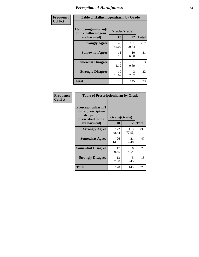| Frequency      | <b>Table of Hallucinogensharm by Grade</b>                 |                    |              |              |
|----------------|------------------------------------------------------------|--------------------|--------------|--------------|
| <b>Col Pct</b> | Hallucinogensharm(I<br>think hallucinogens<br>are harmful) | Grade(Grade)<br>10 | 12           | <b>Total</b> |
|                | <b>Strongly Agree</b>                                      | 146<br>82.02       | 131<br>90.34 | 277          |
|                | <b>Somewhat Agree</b>                                      | 11<br>6.18         | 10<br>6.90   | 21           |
|                | <b>Somewhat Disagree</b>                                   | 2<br>1.12          | 0.69         | 3            |
|                | <b>Strongly Disagree</b>                                   | 19<br>10.67        | 3<br>2.07    | 22           |
|                | <b>Total</b>                                               | 178                | 145          | 323          |

| <b>Table of Prescriptionharm by Grade</b>                                 |                    |              |              |  |  |
|---------------------------------------------------------------------------|--------------------|--------------|--------------|--|--|
| Prescriptionharm(I<br>think prescription<br>drugs not<br>prescribed to me | Grade(Grade)<br>10 | 12           | <b>Total</b> |  |  |
| are harmful)                                                              |                    |              |              |  |  |
| <b>Strongly Agree</b>                                                     | 122<br>68.54       | 113<br>77.93 | 235          |  |  |
| <b>Somewhat Agree</b>                                                     | 26<br>14.61        | 21<br>14.48  | 47           |  |  |
| <b>Somewhat Disagree</b>                                                  | 17<br>9.55         | 6<br>4.14    | 23           |  |  |
| <b>Strongly Disagree</b>                                                  | 13<br>7.30         | 5<br>3.45    | 18           |  |  |
| <b>Total</b>                                                              | 178                | 145          | 323          |  |  |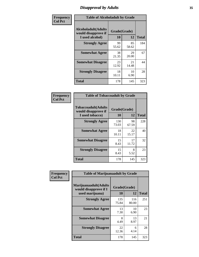# *Disapproval by Adults* **35**

| Frequency      | <b>Table of Alcoholadult by Grade</b>                                 |                    |             |              |  |
|----------------|-----------------------------------------------------------------------|--------------------|-------------|--------------|--|
| <b>Col Pct</b> | <b>Alcoholadult</b> (Adults<br>would disapprove if<br>I used alcohol) | Grade(Grade)<br>10 | 12          | <b>Total</b> |  |
|                | <b>Strongly Agree</b>                                                 | 99<br>55.62        | 85<br>58.62 | 184          |  |
|                | <b>Somewhat Agree</b>                                                 | 38<br>21.35        | 29<br>20.00 | 67           |  |
|                | <b>Somewhat Disagree</b>                                              | 23<br>12.92        | 21<br>14.48 | 44           |  |
|                | <b>Strongly Disagree</b>                                              | 18<br>10.11        | 10<br>6.90  | 28           |  |
|                | <b>Total</b>                                                          | 178                | 145         | 323          |  |

| <b>Table of Tobaccoadult by Grade</b>                                 |                    |             |              |  |  |  |
|-----------------------------------------------------------------------|--------------------|-------------|--------------|--|--|--|
| <b>Tobaccoadult</b> (Adults<br>would disapprove if<br>I used tobacco) | Grade(Grade)<br>10 | 12          | <b>Total</b> |  |  |  |
| <b>Strongly Agree</b>                                                 | 130<br>73.03       | 98<br>67.59 | 228          |  |  |  |
| <b>Somewhat Agree</b>                                                 | 18<br>10.11        | 22<br>15.17 | 40           |  |  |  |
| <b>Somewhat Disagree</b>                                              | 15<br>8.43         | 17<br>11.72 | 32           |  |  |  |
| <b>Strongly Disagree</b>                                              | 15<br>8.43         | 8<br>5.52   | 23           |  |  |  |
| <b>Total</b>                                                          | 178                | 145         | 323          |  |  |  |

| Frequency      | <b>Table of Marijuanaadult by Grade</b>                           |                    |              |              |  |
|----------------|-------------------------------------------------------------------|--------------------|--------------|--------------|--|
| <b>Col Pct</b> | Marijuanaadult(Adults<br>would disapprove if I<br>used marijuana) | Grade(Grade)<br>10 | 12           | <b>Total</b> |  |
|                | <b>Strongly Agree</b>                                             | 135<br>75.84       | 116<br>80.00 | 251          |  |
|                | <b>Somewhat Agree</b>                                             | 13<br>7.30         | 10<br>6.90   | 23           |  |
|                | <b>Somewhat Disagree</b>                                          | 8<br>4.49          | 13<br>8.97   | 21           |  |
|                | <b>Strongly Disagree</b>                                          | 22<br>12.36        | 6<br>4.14    | 28           |  |
|                | <b>Total</b>                                                      | 178                | 145          | 323          |  |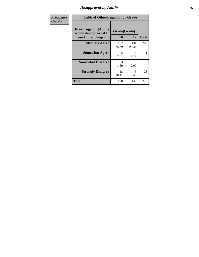### *Disapproval by Adults* **36**

| <b>Frequency</b> | <b>Table of Otherdrugadult by Grade</b>                                     |                    |              |              |
|------------------|-----------------------------------------------------------------------------|--------------------|--------------|--------------|
| <b>Col Pct</b>   | <b>Otherdrugadult</b> (Adults<br>would disapprove if I<br>used other drugs) | Grade(Grade)<br>10 | 12           | <b>Total</b> |
|                  | <b>Strongly Agree</b>                                                       | 152<br>85.39       | 131<br>90.34 | 283          |
|                  | <b>Somewhat Agree</b>                                                       | 5<br>2.81          | 6<br>4.14    | 11           |
|                  | <b>Somewhat Disagree</b>                                                    | 3<br>1.69          | 3<br>2.07    | 6            |
|                  | <b>Strongly Disagree</b>                                                    | 18<br>10.11        | 5<br>3.45    | 23           |
|                  | <b>Total</b>                                                                | 178                | 145          | 323          |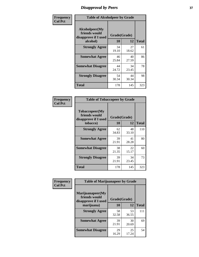# *Disapproval by Peers* **37**

| Frequency      | <b>Table of Alcoholpeer by Grade</b>                    |              |             |              |  |
|----------------|---------------------------------------------------------|--------------|-------------|--------------|--|
| <b>Col Pct</b> | Alcoholpeer(My<br>friends would<br>disapprove if I used | Grade(Grade) |             |              |  |
|                | alcohol)                                                | 10           | 12          | <b>Total</b> |  |
|                | <b>Strongly Agree</b>                                   | 34<br>19.10  | 27<br>18.62 | 61           |  |
|                | <b>Somewhat Agree</b>                                   | 46<br>25.84  | 40<br>27.59 | 86           |  |
|                | <b>Somewhat Disagree</b>                                | 44<br>24.72  | 34<br>23.45 | 78           |  |
|                | <b>Strongly Disagree</b>                                | 54<br>30.34  | 44<br>30.34 | 98           |  |
|                | Total                                                   | 178          | 145         | 323          |  |

| Frequency      | <b>Table of Tobaccopeer by Grade</b>                    |                    |             |              |
|----------------|---------------------------------------------------------|--------------------|-------------|--------------|
| <b>Col Pct</b> | Tobaccopeer(My<br>friends would<br>disapprove if I used | Grade(Grade)<br>10 | 12          |              |
|                | tobacco)                                                |                    |             | <b>Total</b> |
|                | <b>Strongly Agree</b>                                   | 62<br>34.83        | 48<br>33.10 | 110          |
|                | <b>Somewhat Agree</b>                                   | 39<br>21.91        | 41<br>28.28 | 80           |
|                | <b>Somewhat Disagree</b>                                | 38<br>21.35        | 22<br>15.17 | 60           |
|                | <b>Strongly Disagree</b>                                | 39<br>21.91        | 34<br>23.45 | 73           |
|                | Total                                                   | 178                | 145         | 323          |

| Frequency      | <b>Table of Marijuanapeer by Grade</b>                    |              |             |              |  |
|----------------|-----------------------------------------------------------|--------------|-------------|--------------|--|
| <b>Col Pct</b> | Marijuanapeer(My<br>friends would<br>disapprove if I used | Grade(Grade) |             |              |  |
|                | marijuana)                                                | 10           | 12          | <b>Total</b> |  |
|                | <b>Strongly Agree</b>                                     | 58<br>32.58  | 53<br>36.55 | 111          |  |
|                | <b>Somewhat Agree</b>                                     | 39<br>21.91  | 30<br>20.69 | 69           |  |
|                | <b>Somewhat Disagree</b>                                  | 29<br>16.29  | 25<br>17.24 | 54           |  |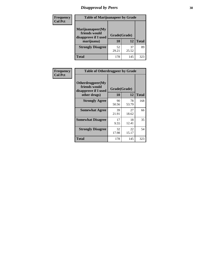# *Disapproval by Peers* **38**

| <b>Frequency</b> | <b>Table of Marijuanapeer by Grade</b>                                  |                           |             |              |  |
|------------------|-------------------------------------------------------------------------|---------------------------|-------------|--------------|--|
| <b>Col Pct</b>   | Marijuanapeer(My<br>friends would<br>disapprove if I used<br>marijuana) | Grade(Grade)<br><b>10</b> | 12          | <b>Total</b> |  |
|                  | <b>Strongly Disagree</b>                                                | 52<br>29.21               | 37<br>25.52 | 89           |  |
|                  | <b>Total</b>                                                            | 178                       | 145         | 323          |  |

| <b>Frequency</b> | <b>Table of Otherdrugpeer by Grade</b>                                    |                           |             |              |
|------------------|---------------------------------------------------------------------------|---------------------------|-------------|--------------|
| <b>Col Pct</b>   | Otherdrugpeer(My<br>friends would<br>disapprove if I used<br>other drugs) | Grade(Grade)<br><b>10</b> | 12          | <b>Total</b> |
|                  | <b>Strongly Agree</b>                                                     | 90<br>50.56               | 78<br>53.79 | 168          |
|                  | <b>Somewhat Agree</b>                                                     | 39<br>21.91               | 27<br>18.62 | 66           |
|                  | <b>Somewhat Disagree</b>                                                  | 17<br>9.55                | 18<br>12.41 | 35           |
|                  | <b>Strongly Disagree</b>                                                  | 32<br>17.98               | 22<br>15.17 | 54           |
|                  | <b>Total</b>                                                              | 178                       | 145         | 323          |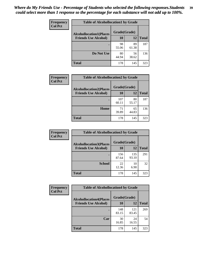| Frequency      | <b>Table of Alcohollocation1 by Grade</b> |              |             |              |
|----------------|-------------------------------------------|--------------|-------------|--------------|
| <b>Col Pct</b> | <b>Alcohollocation1(Places</b>            | Grade(Grade) |             |              |
|                | <b>Friends Use Alcohol)</b>               | 10           | 12          | <b>Total</b> |
|                |                                           | 98<br>55.06  | 89<br>61.38 | 187          |
|                | Do Not Use                                | 80<br>44.94  | 56<br>38.62 | 136          |
|                | <b>Total</b>                              | 178          | 145         | 323          |

| Frequency      | <b>Table of Alcohollocation2 by Grade</b>                     |                           |             |              |
|----------------|---------------------------------------------------------------|---------------------------|-------------|--------------|
| <b>Col Pct</b> | <b>Alcohollocation2(Places</b><br><b>Friends Use Alcohol)</b> | Grade(Grade)<br><b>10</b> | <b>12</b>   | <b>Total</b> |
|                |                                                               | 107<br>60.11              | 80<br>55.17 | 187          |
|                | Home                                                          | 71<br>39.89               | 65<br>44.83 | 136          |
|                | <b>Total</b>                                                  | 178                       | 145         | 323          |

| Frequency<br><b>Col Pct</b> | <b>Table of Alcohollocation 3 by Grade</b>                    |                    |              |              |
|-----------------------------|---------------------------------------------------------------|--------------------|--------------|--------------|
|                             | <b>Alcohollocation3(Places</b><br><b>Friends Use Alcohol)</b> | Grade(Grade)<br>10 | 12           | <b>Total</b> |
|                             |                                                               | 156<br>87.64       | 135<br>93.10 | 291          |
|                             | <b>School</b>                                                 | 22<br>12.36        | 10<br>6.90   | 32           |
|                             | <b>Total</b>                                                  | 178                | 145          | 323          |

| Frequency      | <b>Table of Alcohollocation4 by Grade</b> |              |              |              |  |
|----------------|-------------------------------------------|--------------|--------------|--------------|--|
| <b>Col Pct</b> | <b>Alcohollocation4(Places</b>            | Grade(Grade) |              |              |  |
|                | <b>Friends Use Alcohol)</b>               | 10           | 12           | <b>Total</b> |  |
|                |                                           | 148<br>83.15 | 121<br>83.45 | 269          |  |
|                | Car                                       | 30<br>16.85  | 24<br>16.55  | 54           |  |
|                | <b>Total</b>                              | 178          | 145          | 323          |  |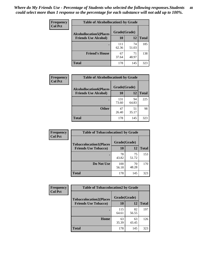| Frequency<br><b>Col Pct</b> | <b>Table of Alcohollocation5 by Grade</b> |              |             |              |
|-----------------------------|-------------------------------------------|--------------|-------------|--------------|
|                             | <b>Alcohollocation5(Places</b>            | Grade(Grade) |             |              |
|                             | <b>Friends Use Alcohol)</b>               | 10           | 12          | <b>Total</b> |
|                             |                                           | 111<br>62.36 | 74<br>51.03 | 185          |
|                             | <b>Friend's House</b>                     | 67<br>37.64  | 71<br>48.97 | 138          |
|                             | <b>Total</b>                              | 178          | 145         | 323          |

| Frequency      | <b>Table of Alcohollocation6 by Grade</b>                     |                           |             |              |
|----------------|---------------------------------------------------------------|---------------------------|-------------|--------------|
| <b>Col Pct</b> | <b>Alcohollocation6(Places</b><br><b>Friends Use Alcohol)</b> | Grade(Grade)<br><b>10</b> | 12          | <b>Total</b> |
|                |                                                               | 131<br>73.60              | 94<br>64.83 | 225          |
|                | <b>Other</b>                                                  | 47<br>26.40               | 51<br>35.17 | 98           |
|                | Total                                                         | 178                       | 145         | 323          |

| Frequency      | <b>Table of Tobaccolocation1 by Grade</b> |              |             |              |
|----------------|-------------------------------------------|--------------|-------------|--------------|
| <b>Col Pct</b> | <b>Tobaccolocation1(Places</b>            | Grade(Grade) |             |              |
|                | <b>Friends Use Tobacco)</b>               | 10           | <b>12</b>   | <b>Total</b> |
|                |                                           | 78<br>43.82  | 75<br>51.72 | 153          |
|                | <b>Do Not Use</b>                         | 100<br>56.18 | 70<br>48.28 | 170          |
|                | <b>Total</b>                              | 178          | 145         | 323          |

| <b>Frequency</b> | <b>Table of Tobaccolocation2 by Grade</b> |              |             |              |  |
|------------------|-------------------------------------------|--------------|-------------|--------------|--|
| <b>Col Pct</b>   | <b>Tobaccolocation2(Places</b>            | Grade(Grade) |             |              |  |
|                  | <b>Friends Use Tobacco)</b>               | 10           | 12          | <b>Total</b> |  |
|                  |                                           | 115<br>64.61 | 82<br>56.55 | 197          |  |
|                  | Home                                      | 63<br>35.39  | 63<br>43.45 | 126          |  |
|                  | <b>Total</b>                              | 178          | 145         | 323          |  |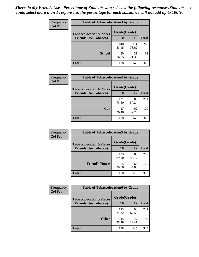| Frequency      | <b>Table of Tobaccolocation 3 by Grade</b> |              |              |              |
|----------------|--------------------------------------------|--------------|--------------|--------------|
| <b>Col Pct</b> | <b>Tobaccolocation3(Places</b>             | Grade(Grade) |              |              |
|                | <b>Friends Use Tobacco)</b>                | 10           | <b>12</b>    | <b>Total</b> |
|                |                                            | 148<br>83.15 | 114<br>78.62 | 262          |
|                | <b>School</b>                              | 30<br>16.85  | 31<br>21.38  | 61           |
|                | <b>Total</b>                               | 178          | 145          | 323          |

| Frequency      | <b>Table of Tobaccolocation4 by Grade</b> |              |             |              |
|----------------|-------------------------------------------|--------------|-------------|--------------|
| <b>Col Pct</b> | <b>Tobaccolocation4(Places</b>            | Grade(Grade) |             |              |
|                | <b>Friends Use Tobacco)</b>               | 10           | 12          | <b>Total</b> |
|                |                                           | 131<br>73.60 | 83<br>57.24 | 214          |
|                | Car                                       | 47<br>26.40  | 62<br>42.76 | 109          |
|                | <b>Total</b>                              | 178          | 145         | 323          |

| <b>Frequency</b> | <b>Table of Tobaccolocation5 by Grade</b>                     |                    |             |              |
|------------------|---------------------------------------------------------------|--------------------|-------------|--------------|
| <b>Col Pct</b>   | <b>Tobaccolocation5(Places</b><br><b>Friends Use Tobacco)</b> | Grade(Grade)<br>10 | 12          | <b>Total</b> |
|                  |                                                               | 123<br>69.10       | 80<br>55.17 | 203          |
|                  | <b>Friend's House</b>                                         | 55<br>30.90        | 65<br>44.83 | 120          |
|                  | <b>Total</b>                                                  | 178                | 145         | 323          |

| <b>Frequency</b> | <b>Table of Tobaccolocation6 by Grade</b> |              |             |              |  |
|------------------|-------------------------------------------|--------------|-------------|--------------|--|
| <b>Col Pct</b>   | <b>Tobaccolocation6(Places</b>            | Grade(Grade) |             |              |  |
|                  | <b>Friends Use Tobacco)</b>               | 10           | 12          | <b>Total</b> |  |
|                  |                                           | 133<br>74.72 | 98<br>67.59 | 231          |  |
|                  | <b>Other</b>                              | 45<br>25.28  | 47<br>32.41 | 92           |  |
|                  | <b>Total</b>                              | 178          | 145         | 323          |  |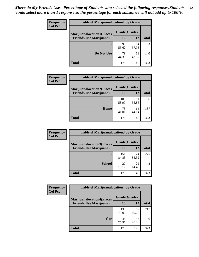| <b>Frequency</b> | <b>Table of Marijuanalocation1 by Grade</b> |              |             |              |
|------------------|---------------------------------------------|--------------|-------------|--------------|
| <b>Col Pct</b>   | <b>Marijuanalocation1(Places</b>            | Grade(Grade) |             |              |
|                  | <b>Friends Use Marijuana</b> )              | 10           | 12          | <b>Total</b> |
|                  |                                             | 99<br>55.62  | 84<br>57.93 | 183          |
|                  | Do Not Use                                  | 79<br>44.38  | 61<br>42.07 | 140          |
|                  | Total                                       | 178          | 145         | 323          |

| <b>Frequency</b> | <b>Table of Marijuanalocation2 by Grade</b> |              |             |              |
|------------------|---------------------------------------------|--------------|-------------|--------------|
| <b>Col Pct</b>   | <b>Marijuanalocation2(Places</b>            | Grade(Grade) |             |              |
|                  | <b>Friends Use Marijuana</b> )              | 10           | 12          | <b>Total</b> |
|                  |                                             | 105<br>58.99 | 81<br>55.86 | 186          |
|                  | <b>Home</b>                                 | 73<br>41.01  | 64<br>44.14 | 137          |
|                  | <b>Total</b>                                | 178          | 145         | 323          |

| Frequency<br><b>Col Pct</b> | <b>Table of Marijuanalocation3 by Grade</b> |              |              |       |
|-----------------------------|---------------------------------------------|--------------|--------------|-------|
|                             | <b>Marijuanalocation3</b> (Places           | Grade(Grade) |              |       |
|                             | <b>Friends Use Marijuana</b> )              | 10           | 12           | Total |
|                             |                                             | 151<br>84.83 | 124<br>85.52 | 275   |
|                             | <b>School</b>                               | 27<br>15.17  | 21<br>14.48  | 48    |
|                             | <b>Total</b>                                | 178          | 145          | 323   |

| <b>Frequency</b> | <b>Table of Marijuanalocation4 by Grade</b> |              |             |              |  |
|------------------|---------------------------------------------|--------------|-------------|--------------|--|
| <b>Col Pct</b>   | <b>Marijuanalocation4(Places</b>            | Grade(Grade) |             |              |  |
|                  | <b>Friends Use Marijuana</b> )              | 10           | 12          | <b>Total</b> |  |
|                  |                                             | 130<br>73.03 | 87<br>60.00 | 217          |  |
|                  | Car                                         | 48<br>26.97  | 58<br>40.00 | 106          |  |
|                  | <b>Total</b>                                | 178          | 145         | 323          |  |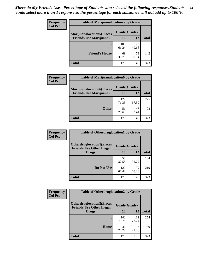| <b>Frequency</b> | <b>Table of Marijuanalocation5 by Grade</b> |              |             |              |
|------------------|---------------------------------------------|--------------|-------------|--------------|
| <b>Col Pct</b>   | <b>Marijuanalocation5</b> (Places           | Grade(Grade) |             |              |
|                  | <b>Friends Use Marijuana</b> )              | 10           | 12          | <b>Total</b> |
|                  |                                             | 109<br>61.24 | 72<br>49.66 | 181          |
|                  | <b>Friend's House</b>                       | 69<br>38.76  | 73<br>50.34 | 142          |
|                  | <b>Total</b>                                | 178          | 145         | 323          |

| <b>Frequency</b> | <b>Table of Marijuanalocation6 by Grade</b>                        |                    |             |              |
|------------------|--------------------------------------------------------------------|--------------------|-------------|--------------|
| <b>Col Pct</b>   | <b>Marijuanalocation6(Places</b><br><b>Friends Use Marijuana</b> ) | Grade(Grade)<br>10 | 12          | <b>Total</b> |
|                  |                                                                    | 127<br>71.35       | 98<br>67.59 | 225          |
|                  | <b>Other</b>                                                       | 51<br>28.65        | 47<br>32.41 | 98           |
|                  | <b>Total</b>                                                       | 178                | 145         | 323          |

| Frequency      | <b>Table of Otherdruglocation1 by Grade</b>                          |              |             |              |
|----------------|----------------------------------------------------------------------|--------------|-------------|--------------|
| <b>Col Pct</b> | <b>Otherdruglocation1(Places</b><br><b>Friends Use Other Illegal</b> | Grade(Grade) |             |              |
|                | Drugs)                                                               | 10           | 12          | <b>Total</b> |
|                |                                                                      | 58<br>32.58  | 46<br>31.72 | 104          |
|                | Do Not Use                                                           | 120<br>67.42 | 99<br>68.28 | 219          |
|                | <b>Total</b>                                                         | 178          | 145         | 323          |

| Frequency      | <b>Table of Otherdruglocation2 by Grade</b>                          |              |              |              |
|----------------|----------------------------------------------------------------------|--------------|--------------|--------------|
| <b>Col Pct</b> | <b>Otherdruglocation2(Places</b><br><b>Friends Use Other Illegal</b> | Grade(Grade) |              |              |
|                | Drugs)                                                               | 10           | 12           | <b>Total</b> |
|                |                                                                      | 142<br>79.78 | 112<br>77.24 | 254          |
|                | Home                                                                 | 36<br>20.22  | 33<br>22.76  | 69           |
|                | <b>Total</b>                                                         | 178          | 145          | 323          |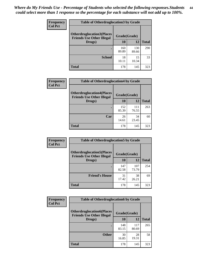| <b>Frequency</b> | <b>Table of Otherdruglocation 3 by Grade</b>                         |              |              |              |
|------------------|----------------------------------------------------------------------|--------------|--------------|--------------|
| <b>Col Pct</b>   | <b>Otherdruglocation3(Places</b><br><b>Friends Use Other Illegal</b> | Grade(Grade) |              |              |
|                  | Drugs)                                                               | 10           | 12           | <b>Total</b> |
|                  |                                                                      | 160<br>89.89 | 130<br>89.66 | 290          |
|                  | <b>School</b>                                                        | 18<br>10.11  | 15<br>10.34  | 33           |
|                  | <b>Total</b>                                                         | 178          | 145          | 323          |

| <b>Frequency</b> | <b>Table of Otherdruglocation4 by Grade</b>                          |              |              |              |
|------------------|----------------------------------------------------------------------|--------------|--------------|--------------|
| <b>Col Pct</b>   | <b>Otherdruglocation4(Places</b><br><b>Friends Use Other Illegal</b> | Grade(Grade) |              |              |
|                  | Drugs)                                                               | 10           | 12           | <b>Total</b> |
|                  |                                                                      | 152<br>85.39 | 111<br>76.55 | 263          |
|                  | Car                                                                  | 26<br>14.61  | 34<br>23.45  | 60           |
|                  | <b>Total</b>                                                         | 178          | 145          | 323          |

| Frequency      | <b>Table of Otherdruglocation5 by Grade</b>                          |              |              |              |
|----------------|----------------------------------------------------------------------|--------------|--------------|--------------|
| <b>Col Pct</b> | <b>Otherdruglocation5(Places</b><br><b>Friends Use Other Illegal</b> | Grade(Grade) |              |              |
|                | Drugs)                                                               | 10           | 12           | <b>Total</b> |
|                |                                                                      | 147<br>82.58 | 107<br>73.79 | 254          |
|                | <b>Friend's House</b>                                                | 31<br>17.42  | 38<br>26.21  | 69           |
|                | <b>Total</b>                                                         | 178          | 145          | 323          |

| <b>Frequency</b> | <b>Table of Otherdruglocation6 by Grade</b>                          |              |              |              |
|------------------|----------------------------------------------------------------------|--------------|--------------|--------------|
| <b>Col Pct</b>   | <b>Otherdruglocation6(Places</b><br><b>Friends Use Other Illegal</b> | Grade(Grade) |              |              |
|                  | Drugs)                                                               | 10           | 12           | <b>Total</b> |
|                  |                                                                      | 148<br>83.15 | 117<br>80.69 | 265          |
|                  | <b>Other</b>                                                         | 30<br>16.85  | 28<br>19.31  | 58           |
|                  | <b>Total</b>                                                         | 178          | 145          | 323          |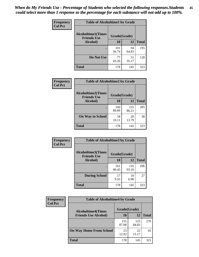| Frequency      | <b>Table of Alcoholtime1 by Grade</b>           |              |             |              |
|----------------|-------------------------------------------------|--------------|-------------|--------------|
| <b>Col Pct</b> | <b>Alcoholtime1(Times</b><br><b>Friends Use</b> | Grade(Grade) |             |              |
|                | Alcohol)                                        | <b>10</b>    | 12          | <b>Total</b> |
|                |                                                 | 101<br>56.74 | 94<br>64.83 | 195          |
|                | Do Not Use                                      | 77<br>43.26  | 51<br>35.17 | 128          |
|                | <b>Total</b>                                    | 178          | 145         | 323          |

| Frequency      | <b>Table of Alcoholtime2 by Grade</b>           |              |              |              |
|----------------|-------------------------------------------------|--------------|--------------|--------------|
| <b>Col Pct</b> | <b>Alcoholtime2(Times</b><br><b>Friends Use</b> | Grade(Grade) |              |              |
|                | Alcohol)                                        | 10           | 12           | <b>Total</b> |
|                |                                                 | 160<br>89.89 | 125<br>86.21 | 285          |
|                | <b>On Way to School</b>                         | 18<br>10.11  | 20<br>13.79  | 38           |
|                | <b>Total</b>                                    | 178          | 145          | 323          |

| Frequency<br><b>Col Pct</b> | <b>Table of Alcoholtime3 by Grade</b>                           |              |              |              |
|-----------------------------|-----------------------------------------------------------------|--------------|--------------|--------------|
|                             | <b>Alcoholtime3(Times</b><br>Grade(Grade)<br><b>Friends Use</b> |              |              |              |
|                             | Alcohol)                                                        | 10           | 12           | <b>Total</b> |
|                             |                                                                 | 161<br>90.45 | 135<br>93.10 | 296          |
|                             | <b>During School</b>                                            | 17<br>9.55   | 10<br>6.90   | 27           |
|                             | Total                                                           | 178          | 145          | 323          |

| <b>Frequency</b> | <b>Table of Alcoholtime4 by Grade</b> |              |              |              |  |
|------------------|---------------------------------------|--------------|--------------|--------------|--|
| <b>Col Pct</b>   | <b>Alcoholtime4(Times</b>             | Grade(Grade) |              |              |  |
|                  | <b>Friends Use Alcohol)</b>           | 10           | 12           | <b>Total</b> |  |
|                  | ٠                                     | 155<br>87.08 | 123<br>84.83 | 278          |  |
|                  | <b>On Way Home From School</b>        | 23<br>12.92  | 22<br>15.17  | 45           |  |
|                  | <b>Total</b>                          | 178          | 145          | 323          |  |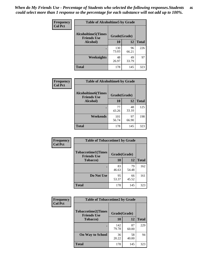*When do My Friends Use - Percentage of Students who selected the following responses.Students could select more than 1 response so the percentage for each substance will not add up to 100%.* **46**

| Frequency      | <b>Table of Alcoholtime5 by Grade</b>           |              |             |              |
|----------------|-------------------------------------------------|--------------|-------------|--------------|
| <b>Col Pct</b> | <b>Alcoholtime5(Times</b><br><b>Friends Use</b> | Grade(Grade) |             |              |
|                | Alcohol)                                        | 10           | 12          | <b>Total</b> |
|                |                                                 | 130<br>73.03 | 96<br>66.21 | 226          |
|                | Weeknights                                      | 48<br>26.97  | 49<br>33.79 | 97           |
|                | <b>Total</b>                                    | 178          | 145         | 323          |

| <b>Frequency</b> | <b>Table of Alcoholtime6 by Grade</b>           |              |             |              |
|------------------|-------------------------------------------------|--------------|-------------|--------------|
| <b>Col Pct</b>   | <b>Alcoholtime6(Times</b><br><b>Friends Use</b> | Grade(Grade) |             |              |
|                  | Alcohol)                                        | 10           | 12          | <b>Total</b> |
|                  |                                                 | 77<br>43.26  | 48<br>33.10 | 125          |
|                  | Weekends                                        | 101<br>56.74 | 97<br>66.90 | 198          |
|                  | <b>Total</b>                                    | 178          | 145         | 323          |

| Frequency      | <b>Table of Tobaccotime1 by Grade</b>           |              |             |              |
|----------------|-------------------------------------------------|--------------|-------------|--------------|
| <b>Col Pct</b> | <b>Tobaccotime1(Times</b><br><b>Friends Use</b> | Grade(Grade) |             |              |
|                | <b>Tobacco</b> )                                | 10           | 12          | <b>Total</b> |
|                | ٠                                               | 83<br>46.63  | 79<br>54.48 | 162          |
|                | Do Not Use                                      | 95<br>53.37  | 66<br>45.52 | 161          |
|                | <b>Total</b>                                    | 178          | 145         | 323          |

| <b>Frequency</b> | <b>Table of Tobaccotime2 by Grade</b>           |              |             |              |
|------------------|-------------------------------------------------|--------------|-------------|--------------|
| <b>Col Pct</b>   | <b>Tobaccotime2(Times</b><br><b>Friends Use</b> | Grade(Grade) |             |              |
|                  | <b>Tobacco</b> )                                | 10           | 12          | <b>Total</b> |
|                  |                                                 | 142<br>79.78 | 87<br>60.00 | 229          |
|                  | <b>On Way to School</b>                         | 36<br>20.22  | 58<br>40.00 | 94           |
|                  | <b>Total</b>                                    | 178          | 145         | 323          |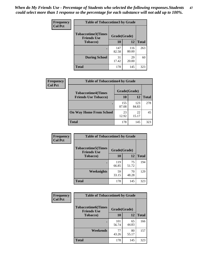*When do My Friends Use - Percentage of Students who selected the following responses.Students could select more than 1 response so the percentage for each substance will not add up to 100%.* **47**

| <b>Frequency</b> | <b>Table of Tobaccotime3 by Grade</b>           |              |              |              |  |
|------------------|-------------------------------------------------|--------------|--------------|--------------|--|
| <b>Col Pct</b>   | <b>Tobaccotime3(Times</b><br><b>Friends Use</b> | Grade(Grade) |              |              |  |
|                  | <b>Tobacco</b> )                                | 10           | 12           | <b>Total</b> |  |
|                  |                                                 | 147<br>82.58 | 116<br>80.00 | 263          |  |
|                  | <b>During School</b>                            | 31<br>17.42  | 29<br>20.00  | 60           |  |
|                  | <b>Total</b>                                    | 178          | 145          | 323          |  |

| Frequency<br><b>Col Pct</b> | <b>Table of Tobaccotime4 by Grade</b> |              |              |              |
|-----------------------------|---------------------------------------|--------------|--------------|--------------|
|                             | <b>Tobaccotime4(Times</b>             | Grade(Grade) |              |              |
|                             | <b>Friends Use Tobacco)</b>           | 10           | 12           | <b>Total</b> |
|                             |                                       | 155<br>87.08 | 123<br>84.83 | 278          |
|                             | <b>On Way Home From School</b>        | 23<br>12.92  | 22<br>15.17  | 45           |
|                             | <b>Total</b>                          | 178          | 145          | 323          |

| <b>Frequency</b> | <b>Table of Tobaccotime5 by Grade</b>            |              |             |              |
|------------------|--------------------------------------------------|--------------|-------------|--------------|
| <b>Col Pct</b>   | <b>Tobaccotime5</b> (Times<br><b>Friends Use</b> | Grade(Grade) |             |              |
|                  | <b>Tobacco</b> )                                 | 10           | 12          | <b>Total</b> |
|                  |                                                  | 119<br>66.85 | 75<br>51.72 | 194          |
|                  | Weeknights                                       | 59<br>33.15  | 70<br>48.28 | 129          |
|                  | <b>Total</b>                                     | 178          | 145         | 323          |

| <b>Frequency</b> | <b>Table of Tobaccotime6 by Grade</b>           |              |             |              |
|------------------|-------------------------------------------------|--------------|-------------|--------------|
| <b>Col Pct</b>   | <b>Tobaccotime6(Times</b><br><b>Friends Use</b> | Grade(Grade) |             |              |
|                  | <b>Tobacco</b> )                                | 10           | 12          | <b>Total</b> |
|                  | ٠                                               | 101<br>56.74 | 65<br>44.83 | 166          |
|                  | Weekends                                        | 77<br>43.26  | 80<br>55.17 | 157          |
|                  | <b>Total</b>                                    | 178          | 145         | 323          |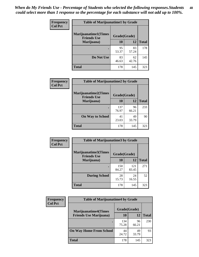| Frequency      | <b>Table of Marijuanatime1 by Grade</b>           |              |             |              |  |
|----------------|---------------------------------------------------|--------------|-------------|--------------|--|
| <b>Col Pct</b> | <b>Marijuanatime1(Times</b><br><b>Friends Use</b> | Grade(Grade) |             |              |  |
|                | Marijuana)                                        | 10           | 12          | <b>Total</b> |  |
|                |                                                   | 95<br>53.37  | 83<br>57.24 | 178          |  |
|                | Do Not Use                                        | 83<br>46.63  | 62<br>42.76 | 145          |  |
|                | <b>Total</b>                                      | 178          | 145         | 323          |  |

| Frequency      | <b>Table of Marijuanatime2 by Grade</b>    |              |             |              |
|----------------|--------------------------------------------|--------------|-------------|--------------|
| <b>Col Pct</b> | Marijuanatime2(Times<br><b>Friends Use</b> | Grade(Grade) |             |              |
|                | Marijuana)                                 | 10           | 12          | <b>Total</b> |
|                | ٠                                          | 137<br>76.97 | 96<br>66.21 | 233          |
|                | <b>On Way to School</b>                    | 41<br>23.03  | 49<br>33.79 | 90           |
|                | <b>Total</b>                               | 178          | 145         | 323          |

| Frequency      | <b>Table of Marijuanatime3 by Grade</b>    |              |              |              |  |
|----------------|--------------------------------------------|--------------|--------------|--------------|--|
| <b>Col Pct</b> | Marijuanatime3(Times<br><b>Friends Use</b> | Grade(Grade) |              |              |  |
|                | Marijuana)                                 | 10           | 12           | <b>Total</b> |  |
|                |                                            | 150<br>84.27 | 121<br>83.45 | 271          |  |
|                | <b>During School</b>                       | 28<br>15.73  | 24<br>16.55  | 52           |  |
|                | <b>Total</b>                               | 178          | 145          | 323          |  |

| Frequency      | <b>Table of Marijuanatime4 by Grade</b> |              |             |              |
|----------------|-----------------------------------------|--------------|-------------|--------------|
| <b>Col Pct</b> | <b>Marijuanatime4</b> (Times            | Grade(Grade) |             |              |
|                | <b>Friends Use Marijuana</b> )          | 10           | 12          | <b>Total</b> |
|                |                                         | 134<br>75.28 | 96<br>66.21 | 230          |
|                | <b>On Way Home From School</b>          | 44<br>24.72  | 49<br>33.79 | 93           |
|                | <b>Total</b>                            | 178          | 145         | 323          |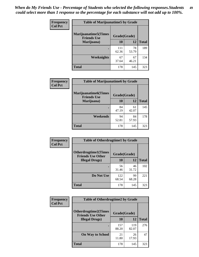| Frequency      | <b>Table of Marijuanatime5 by Grade</b>            |              |             |              |  |
|----------------|----------------------------------------------------|--------------|-------------|--------------|--|
| <b>Col Pct</b> | <b>Marijuanatime5</b> (Times<br><b>Friends Use</b> | Grade(Grade) |             |              |  |
|                | Marijuana)                                         | 10           | 12          | <b>Total</b> |  |
|                |                                                    | 111<br>62.36 | 78<br>53.79 | 189          |  |
|                | <b>Weeknights</b>                                  | 67<br>37.64  | 67<br>46.21 | 134          |  |
|                | <b>Total</b>                                       | 178          | 145         | 323          |  |

| <b>Frequency</b> | <b>Table of Marijuanatime6 by Grade</b>           |              |             |              |
|------------------|---------------------------------------------------|--------------|-------------|--------------|
| <b>Col Pct</b>   | <b>Marijuanatime6(Times</b><br><b>Friends Use</b> | Grade(Grade) |             |              |
|                  | Marijuana)                                        | 10           | 12          | <b>Total</b> |
|                  | ٠                                                 | 84<br>47.19  | 61<br>42.07 | 145          |
|                  | Weekends                                          | 94<br>52.81  | 84<br>57.93 | 178          |
|                  | <b>Total</b>                                      | 178          | 145         | 323          |

| Frequency      | <b>Table of Otherdrugtime1 by Grade</b>                 |              |             |              |
|----------------|---------------------------------------------------------|--------------|-------------|--------------|
| <b>Col Pct</b> | <b>Otherdrugtime1(Times</b><br><b>Friends Use Other</b> | Grade(Grade) |             |              |
|                | <b>Illegal Drugs</b> )                                  | 10           | 12          | <b>Total</b> |
|                |                                                         | 56<br>31.46  | 46<br>31.72 | 102          |
|                | Do Not Use                                              | 122<br>68.54 | 99<br>68.28 | 221          |
|                | <b>Total</b>                                            | 178          | 145         | 323          |

| <b>Frequency</b><br><b>Col Pct</b> | <b>Table of Otherdrugtime2 by Grade</b>                 |              |              |              |
|------------------------------------|---------------------------------------------------------|--------------|--------------|--------------|
|                                    | <b>Otherdrugtime2(Times</b><br><b>Friends Use Other</b> | Grade(Grade) |              |              |
|                                    | <b>Illegal Drugs</b> )                                  | 10           | 12           | <b>Total</b> |
|                                    |                                                         | 157<br>88.20 | 119<br>82.07 | 276          |
|                                    | <b>On Way to School</b>                                 | 21<br>11.80  | 26<br>17.93  | 47           |
|                                    | Total                                                   | 178          | 145          | 323          |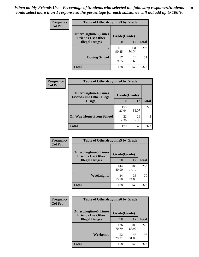| <b>Frequency</b> | <b>Table of Otherdrugtime3 by Grade</b>                 |              |              |              |  |
|------------------|---------------------------------------------------------|--------------|--------------|--------------|--|
| <b>Col Pct</b>   | <b>Otherdrugtime3(Times</b><br><b>Friends Use Other</b> | Grade(Grade) |              |              |  |
|                  | <b>Illegal Drugs</b> )                                  | 10           | 12           | <b>Total</b> |  |
|                  |                                                         | 161<br>90.45 | 131<br>90.34 | 292          |  |
|                  | <b>During School</b>                                    | 17<br>9.55   | 14<br>9.66   | 31           |  |
|                  | Total                                                   | 178          | 145          | 323          |  |

| <b>Frequency</b> | <b>Table of Otherdrugtime4 by Grade</b>                         |              |              |              |  |
|------------------|-----------------------------------------------------------------|--------------|--------------|--------------|--|
| <b>Col Pct</b>   | <b>Otherdrugtime4(Times</b><br><b>Friends Use Other Illegal</b> | Grade(Grade) |              |              |  |
|                  | Drugs)                                                          | 10           | 12           | <b>Total</b> |  |
|                  | $\bullet$                                                       | 156<br>87.64 | 119<br>82.07 | 275          |  |
|                  | <b>On Way Home From School</b>                                  | 22<br>12.36  | 26<br>17.93  | 48           |  |
|                  | <b>Total</b>                                                    | 178          | 145          | 323          |  |

| <b>Frequency</b> | <b>Table of Otherdrugtime5 by Grade</b>                  |              |              |              |  |  |
|------------------|----------------------------------------------------------|--------------|--------------|--------------|--|--|
| <b>Col Pct</b>   | <b>Otherdrugtime5</b> (Times<br><b>Friends Use Other</b> | Grade(Grade) |              |              |  |  |
|                  | <b>Illegal Drugs</b> )                                   | 10           | 12           | <b>Total</b> |  |  |
|                  |                                                          | 144<br>80.90 | 109<br>75.17 | 253          |  |  |
|                  | Weeknights                                               | 34<br>19.10  | 36<br>24.83  | 70           |  |  |
|                  | Total                                                    | 178          | 145          | 323          |  |  |

| <b>Frequency</b><br><b>Col Pct</b> | <b>Table of Otherdrugtime6 by Grade</b>                 |              |              |              |
|------------------------------------|---------------------------------------------------------|--------------|--------------|--------------|
|                                    | <b>Otherdrugtime6(Times</b><br><b>Friends Use Other</b> | Grade(Grade) |              |              |
|                                    | <b>Illegal Drugs</b> )                                  | 10           | 12           | <b>Total</b> |
|                                    |                                                         | 126<br>70.79 | 100<br>68.97 | 226          |
|                                    | Weekends                                                | 52<br>29.21  | 45<br>31.03  | 97           |
|                                    | Total                                                   | 178          | 145          | 323          |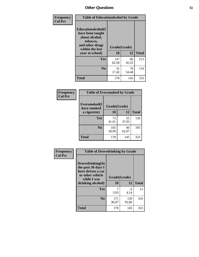| Frequency      | <b>Table of Educationalcohol by Grade</b>                                                                  |              |             |              |
|----------------|------------------------------------------------------------------------------------------------------------|--------------|-------------|--------------|
| <b>Col Pct</b> | Educationalcohol(I<br>have been taught<br>about alcohol,<br>tobacco,<br>and other drugs<br>within the last | Grade(Grade) |             |              |
|                | year at school)                                                                                            | 10           | 12          | <b>Total</b> |
|                | <b>Yes</b>                                                                                                 | 147<br>82.58 | 66<br>45.52 | 213          |
|                | N <sub>0</sub>                                                                                             | 31<br>17.42  | 79<br>54.48 | 110          |
|                | <b>Total</b>                                                                                               | 178          | 145         | 323          |

| Frequency      | <b>Table of Eversmoked by Grade</b> |              |             |              |  |  |
|----------------|-------------------------------------|--------------|-------------|--------------|--|--|
| <b>Col Pct</b> | Eversmoked(I<br>have smoked         | Grade(Grade) |             |              |  |  |
| a cigarette)   |                                     | 10           | 12          | <b>Total</b> |  |  |
|                | Yes                                 | 73<br>41.01  | 55<br>37.93 | 128          |  |  |
|                | N <sub>0</sub>                      | 105<br>58.99 | 90<br>62.07 | 195          |  |  |
|                | <b>Total</b>                        | 178          | 145         | 323          |  |  |

| Frequency      | <b>Table of Drovedrinking by Grade</b>                                                                              |                          |              |              |  |
|----------------|---------------------------------------------------------------------------------------------------------------------|--------------------------|--------------|--------------|--|
| <b>Col Pct</b> | Drovedrinking(In<br>the past 30 days I<br>have driven a car<br>or other vehicle<br>while I was<br>drinking alcohol) | Grade(Grade)<br>12<br>10 |              | <b>Total</b> |  |
|                | <b>Yes</b>                                                                                                          | 3.93                     | 6<br>4.14    | 13           |  |
|                | N <sub>0</sub>                                                                                                      | 171<br>96.07             | 139<br>95.86 | 310          |  |
|                | <b>Total</b>                                                                                                        | 178                      | 145          | 323          |  |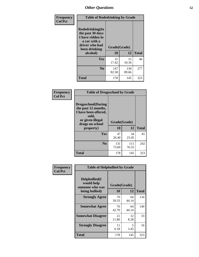| Frequency<br><b>Col Pct</b> | <b>Table of Rodedrinking by Grade</b>                                                                      |              |              |              |  |  |  |  |
|-----------------------------|------------------------------------------------------------------------------------------------------------|--------------|--------------|--------------|--|--|--|--|
|                             | Rodedrinking(In<br>the past 30 days<br>I have ridden in<br>a car with a<br>driver who had<br>been drinking | Grade(Grade) |              |              |  |  |  |  |
|                             | alcohol)                                                                                                   | 10           | 12           | <b>Total</b> |  |  |  |  |
|                             | Yes                                                                                                        | 31<br>17.42  | 15<br>10.34  | 46           |  |  |  |  |
|                             | N <sub>0</sub>                                                                                             | 147<br>82.58 | 130<br>89.66 | 277          |  |  |  |  |
|                             | <b>Total</b>                                                                                               | 178          | 145          | 323          |  |  |  |  |

#### **Frequency Col Pct**

|                                                                                                                           | <b>Table of Drugsschool by Grade</b> |              |              |  |  |
|---------------------------------------------------------------------------------------------------------------------------|--------------------------------------|--------------|--------------|--|--|
| <b>Drugsschool</b> (During<br>the past 12 months,<br>I have been offered,<br>sold,<br>or given illegal<br>drugs on school | Grade(Grade)                         |              |              |  |  |
| property)                                                                                                                 | 10                                   | 12           | <b>Total</b> |  |  |
| Yes                                                                                                                       | 47<br>26.40                          | 34<br>23.45  | 81           |  |  |
| N <sub>0</sub>                                                                                                            | 131<br>73.60                         | 111<br>76.55 | 242          |  |  |
| Total                                                                                                                     | 178                                  | 145          | 323          |  |  |

| Frequency      | <b>Table of Helpbullied by Grade</b>                 |              |             |              |  |
|----------------|------------------------------------------------------|--------------|-------------|--------------|--|
| <b>Col Pct</b> | $Helpb$ ullied $(I$<br>would help<br>someone who was | Grade(Grade) |             |              |  |
|                | being bullied)                                       | 10           | 12          | <b>Total</b> |  |
|                | <b>Strongly Agree</b>                                | 70<br>39.33  | 64<br>44.14 | 134          |  |
|                | <b>Somewhat Agree</b>                                | 76<br>42.70  | 64<br>44.14 | 140          |  |
|                | <b>Somewhat Disagree</b>                             | 21<br>11.80  | 12<br>8.28  | 33           |  |
|                | <b>Strongly Disagree</b>                             | 11<br>6.18   | 5<br>3.45   | 16           |  |
|                | Total                                                | 178          | 145         | 323          |  |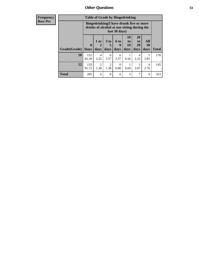| <b>Table of Grade by Bingedrinking</b><br><b>Frequency</b>    |                                                                                                         |                     |                                                                     |                               |                   |              |
|---------------------------------------------------------------|---------------------------------------------------------------------------------------------------------|---------------------|---------------------------------------------------------------------|-------------------------------|-------------------|--------------|
| <b>Row Pct</b>                                                | Bingedrinking(I have drunk five or more<br>drinks of alcohol at one sitting during the<br>last 30 days) |                     |                                                                     |                               |                   |              |
| $1$ or<br>$\mathbf{0}$<br>Grade(Grade)<br>days<br><b>Days</b> | 3 <sub>to</sub><br>2<br>5<br>days                                                                       | $6$ to<br>9<br>days | 10<br>$\mathbf{t}$ <sup><math>\mathbf{0}</math></sup><br>19<br>days | <b>20</b><br>to<br>29<br>days | All<br>30<br>days | <b>Total</b> |
| 10<br>152<br>85.39<br>2.25                                    | 4<br>6<br>3.37                                                                                          | 6<br>3.37           | 0.56                                                                | 4<br>2.25                     | 5<br>2.81         | 178          |
| 12<br>133<br>91.72<br>1.38                                    | $\overline{2}$<br>2<br>1.38                                                                             | $\Omega$<br>0.00    | 0.69                                                                | 3<br>2.07                     | 4<br>2.76         | 145          |
| Total<br>285                                                  | 8<br>6                                                                                                  | 6                   | $\overline{2}$                                                      | ┑                             | 9                 | 323          |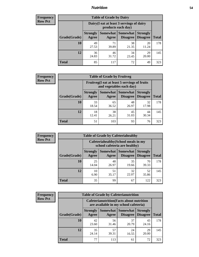## *Nutrition* **54**

| <b>Frequency</b><br>Row Pct |  |
|-----------------------------|--|
|                             |  |

| <b>Table of Grade by Dairy</b> |                          |                                                                 |                             |                                    |              |
|--------------------------------|--------------------------|-----------------------------------------------------------------|-----------------------------|------------------------------------|--------------|
|                                |                          | Dairy (I eat at least 3 servings of dairy<br>products each day) |                             |                                    |              |
| Grade(Grade)                   | <b>Strongly</b><br>Agree | Somewhat<br>Agree                                               | <b>Somewhat</b><br>Disagree | <b>Strongly</b><br><b>Disagree</b> | <b>Total</b> |
| 10                             | 49<br>27.53              | 71<br>39.89                                                     | 38<br>21.35                 | 20<br>11.24                        | 178          |
| 12                             | 36<br>24.83              | 46<br>31.72                                                     | 34<br>23.45                 | 29<br>20.00                        | 145          |
| <b>Total</b>                   | 85                       | 117                                                             | 72                          | 49                                 | 323          |

| <b>Frequency</b> |  |
|------------------|--|
| <b>Row Pct</b>   |  |

| <b>Table of Grade by Fruitveg</b> |                          |                                                                          |                                        |                                    |              |
|-----------------------------------|--------------------------|--------------------------------------------------------------------------|----------------------------------------|------------------------------------|--------------|
|                                   |                          | Fruitveg(I eat at least 5 servings of fruits<br>and vegetables each day) |                                        |                                    |              |
| Grade(Grade)                      | <b>Strongly</b><br>Agree | Agree                                                                    | <b>Somewhat   Somewhat</b><br>Disagree | <b>Strongly</b><br><b>Disagree</b> | <b>Total</b> |
| 10                                | 33<br>18.54              | 65<br>36.52                                                              | 48<br>26.97                            | 32<br>17.98                        | 178          |
| 12                                | 18<br>12.41              | 38<br>26.21                                                              | 45<br>31.03                            | 44<br>30.34                        | 145          |
| <b>Total</b>                      | 51                       | 103                                                                      | 93                                     | 76                                 | 323          |

| Frequency      | <b>Table of Grade by Cafeteriahealthy</b> |                          |                                                                       |                                        |                                    |              |  |
|----------------|-------------------------------------------|--------------------------|-----------------------------------------------------------------------|----------------------------------------|------------------------------------|--------------|--|
| <b>Row Pct</b> |                                           |                          | Cafeteriahealthy (School meals in my<br>school cafeteria are healthy) |                                        |                                    |              |  |
|                | Grade(Grade)                              | <b>Strongly</b><br>Agree | Agree                                                                 | Somewhat   Somewhat<br><b>Disagree</b> | <b>Strongly</b><br><b>Disagree</b> | <b>Total</b> |  |
|                | 10                                        | 25<br>14.04              | 48<br>26.97                                                           | 35<br>19.66                            | 70<br>39.33                        | 178          |  |
|                | 12                                        | 10<br>6.90               | 51<br>35.17                                                           | 32<br>22.07                            | 52<br>35.86                        | 145          |  |
|                | <b>Total</b>                              | 35                       | 99                                                                    | 67                                     | 122                                | 323          |  |

| <b>Frequency</b> |
|------------------|
| <b>Row Pct</b>   |

| <b>Table of Grade by Cafeterianutrition</b> |              |                          |                                                                                           |                                        |                                    |              |  |
|---------------------------------------------|--------------|--------------------------|-------------------------------------------------------------------------------------------|----------------------------------------|------------------------------------|--------------|--|
|                                             |              |                          | <b>Cafeterianutrition</b> (Facts about nutrition<br>are available in my school cafeteria) |                                        |                                    |              |  |
|                                             | Grade(Grade) | <b>Strongly</b><br>Agree | Agree                                                                                     | Somewhat   Somewhat<br><b>Disagree</b> | <b>Strongly</b><br><b>Disagree</b> | <b>Total</b> |  |
|                                             | 10           | 42<br>23.60              | 56<br>31.46                                                                               | 37<br>20.79                            | 43<br>24.16                        | 178          |  |
|                                             | 12           | 35<br>24.14              | 57<br>39.31                                                                               | 24<br>16.55                            | 29<br>20.00                        | 145          |  |
|                                             | Total        | 77                       | 113                                                                                       | 61                                     | 72                                 | 323          |  |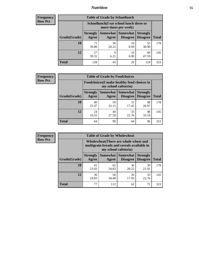## *Nutrition* **55**

| <b>Frequency</b> |
|------------------|
| Row Pct          |

| <b>Table of Grade by Schoollunch</b> |                          |                                                                 |                             |                                    |              |
|--------------------------------------|--------------------------|-----------------------------------------------------------------|-----------------------------|------------------------------------|--------------|
|                                      |                          | Schoollunch(I eat school lunch three or<br>more times per week) |                             |                                    |              |
| Grade(Grade)                         | <b>Strongly</b><br>Agree | Somewhat  <br>Agree                                             | <b>Somewhat</b><br>Disagree | <b>Strongly</b><br><b>Disagree</b> | <b>Total</b> |
| 10                                   | 71<br>39.89              | 36<br>20.22                                                     | 16<br>8.99                  | 55<br>30.90                        | 178          |
| 12                                   | 57<br>39.31              | Q<br>6.21                                                       | 10<br>6.90                  | 69<br>47.59                        | 145          |
| <b>Total</b>                         | 128                      | 45                                                              | 26                          | 124                                | 323          |

| <b>Frequency</b> |  |
|------------------|--|
| <b>Row Pct</b>   |  |

| <b>Table of Grade by Foodchoices</b> |                          |                                                                     |                      |                                    |              |
|--------------------------------------|--------------------------|---------------------------------------------------------------------|----------------------|------------------------------------|--------------|
|                                      |                          | Foodchoices (I make healthy food choices in<br>my school cafeteria) |                      |                                    |              |
| Grade(Grade)                         | <b>Strongly</b><br>Agree | Somewhat<br>Agree                                                   | Somewhat<br>Disagree | <b>Strongly</b><br><b>Disagree</b> | <b>Total</b> |
| 10                                   | 40<br>22.47              | 59<br>33.15                                                         | 31<br>17.42          | 48<br>26.97                        | 178          |
| 12                                   | 24<br>16.55              | 40<br>27.59                                                         | 33<br>22.76          | 48<br>33.10                        | 145          |
| <b>Total</b>                         | 64                       | 99                                                                  | 64                   | 96                                 | 323          |

| <b>Frequency</b> |
|------------------|
| <b>Row Pct</b>   |

| <b>Table of Grade by Wholewheat</b> |                                                                                                             |             |                                          |                                    |              |  |
|-------------------------------------|-------------------------------------------------------------------------------------------------------------|-------------|------------------------------------------|------------------------------------|--------------|--|
|                                     | Wholewheat (There are whole wheat and<br>multigrain breads and cereals available in<br>my school cafeteria) |             |                                          |                                    |              |  |
| Grade(Grade)                        | <b>Strongly</b><br>Agree                                                                                    | Agree       | Somewhat   Somewhat  <br><b>Disagree</b> | <b>Strongly</b><br><b>Disagree</b> | <b>Total</b> |  |
| 10                                  | 41<br>23.03                                                                                                 | 62<br>34.83 | 36<br>20.22                              | 39<br>21.91                        | 178          |  |
| 12                                  | 36<br>24.83                                                                                                 | 50<br>34.48 | 26<br>17.93                              | 33<br>22.76                        | 145          |  |
| <b>Total</b>                        | 77                                                                                                          | 112         | 62                                       | 72                                 | 323          |  |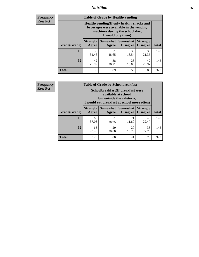## *Nutrition* **56**

**Frequency Row Pct**

| <b>Table of Grade by Healthyvending</b> |                                                                                                                                               |                          |                                    |                                    |              |  |
|-----------------------------------------|-----------------------------------------------------------------------------------------------------------------------------------------------|--------------------------|------------------------------------|------------------------------------|--------------|--|
|                                         | Healthyvending (If only healthy snacks and<br>beverages were available in the vending<br>machines during the school day,<br>I would buy them) |                          |                                    |                                    |              |  |
| Grade(Grade)                            | <b>Strongly</b><br>Agree                                                                                                                      | <b>Somewhat</b><br>Agree | <b>Somewhat</b><br><b>Disagree</b> | <b>Strongly</b><br><b>Disagree</b> | <b>Total</b> |  |
| 10                                      | 56<br>31.46                                                                                                                                   | 51<br>28.65              | 33<br>18.54                        | 38<br>21.35                        | 178          |  |
| 12                                      | 42<br>28.97                                                                                                                                   | 38<br>26.21              | 23<br>15.86                        | 42<br>28.97                        | 145          |  |
| <b>Total</b>                            | 98                                                                                                                                            | 89                       | 56                                 | 80                                 | 323          |  |

**Frequency Row Pct**

| <b>Table of Grade by Schoolbreakfast</b> |                                                                                                                                         |             |                                        |                                    |              |  |
|------------------------------------------|-----------------------------------------------------------------------------------------------------------------------------------------|-------------|----------------------------------------|------------------------------------|--------------|--|
|                                          | Schoolbreakfast (If breakfast were<br>available at school,<br>but outside the cafeteria,<br>I would eat breakfast at school more often) |             |                                        |                                    |              |  |
| Grade(Grade)                             | <b>Strongly</b><br>Agree                                                                                                                | Agree       | Somewhat   Somewhat<br><b>Disagree</b> | <b>Strongly</b><br><b>Disagree</b> | <b>Total</b> |  |
| 10                                       | 66<br>37.08                                                                                                                             | 51<br>28.65 | 21<br>11.80                            | 40<br>22.47                        | 178          |  |
| 12                                       | 63<br>43.45                                                                                                                             | 29<br>20.00 | 20<br>13.79                            | 33<br>22.76                        | 145          |  |
| <b>Total</b>                             | 129                                                                                                                                     | 80          | 41                                     | 73                                 | 323          |  |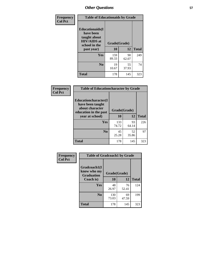| Frequency<br><b>Col Pct</b> | <b>Table of Educationaids by Grade</b>                                                                    |                    |             |              |
|-----------------------------|-----------------------------------------------------------------------------------------------------------|--------------------|-------------|--------------|
|                             | <b>Educationaids</b> (I<br>have been<br>taught about<br><b>HIV/AIDS</b> at<br>school in the<br>past year) | Grade(Grade)<br>10 | 12          | <b>Total</b> |
|                             | Yes                                                                                                       | 159<br>89.33       | 90<br>62.07 | 249          |
|                             | N <sub>0</sub>                                                                                            | 19<br>10.67        | 55<br>37.93 | 74           |
|                             | <b>Total</b>                                                                                              | 178                | 145         | 323          |

| Frequency      | <b>Table of Educationcharacter by Grade</b>                 |              |             |              |
|----------------|-------------------------------------------------------------|--------------|-------------|--------------|
| <b>Col Pct</b> | Educationcharacter(I<br>have been taught<br>about character |              |             |              |
|                | education in the past                                       | Grade(Grade) |             |              |
|                | year at school)                                             | 10           | 12          | <b>Total</b> |
|                | Yes                                                         | 133<br>74.72 | 93<br>64.14 | 226          |
|                | N <sub>0</sub>                                              | 45<br>25.28  | 52<br>35.86 | 97           |
|                | <b>Total</b>                                                | 178          | 145         | 323          |

| Frequency      | <b>Table of Gradcoach1 by Grade</b>              |              |             |              |
|----------------|--------------------------------------------------|--------------|-------------|--------------|
| <b>Col Pct</b> | Gradcoach1(I<br>know who my<br><b>Graduation</b> | Grade(Grade) |             |              |
|                | Coach is)                                        | 10           | 12          | <b>Total</b> |
|                | Yes                                              | 48<br>26.97  | 76<br>52.41 | 124          |
|                | N <sub>0</sub>                                   | 130<br>73.03 | 69<br>47.59 | 199          |
|                | <b>Total</b>                                     | 178          | 145         | 323          |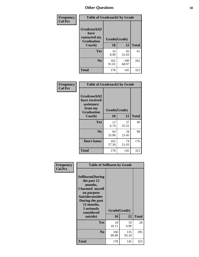| Frequency      | <b>Table of Gradcoach2 by Grade</b> |              |              |              |
|----------------|-------------------------------------|--------------|--------------|--------------|
| <b>Col Pct</b> | Gradcoach2(I<br>have                |              |              |              |
|                | contacted my<br><b>Graduation</b>   | Grade(Grade) |              |              |
|                | Coach)                              | 10           | 12           | <b>Total</b> |
|                | Yes                                 | 16<br>8.99   | 45<br>31.03  | 61           |
|                | N <sub>0</sub>                      | 162<br>91.01 | 100<br>68.97 | 262          |
|                | <b>Total</b>                        | 178          | 145          | 323          |

| Frequency<br><b>Col Pct</b> |                                                                             | <b>Table of Gradcoach3 by Grade</b> |             |              |  |  |
|-----------------------------|-----------------------------------------------------------------------------|-------------------------------------|-------------|--------------|--|--|
|                             | Gradcoach3(I<br>have received<br>assistance<br>from my<br><b>Graduation</b> | Grade(Grade)                        |             |              |  |  |
|                             | Coach)                                                                      | 10                                  | 12          | <b>Total</b> |  |  |
|                             | Yes                                                                         | 12<br>6.74                          | 37<br>25.52 | 49           |  |  |
|                             | N <sub>0</sub>                                                              | 64<br>35.96                         | 34<br>23.45 | 98           |  |  |
|                             | Don't know                                                                  | 102<br>57.30                        | 74<br>51.03 | 176          |  |  |
|                             | <b>Total</b>                                                                | 178                                 | 145         | 323          |  |  |

| Frequency      | <b>Table of Selfharm by Grade</b>                                                                                                                                                      |                    |              |              |  |
|----------------|----------------------------------------------------------------------------------------------------------------------------------------------------------------------------------------|--------------------|--------------|--------------|--|
| <b>Col Pct</b> | <b>Selfharm</b> (During<br>the past 12<br>months,<br>I harmed myself<br>on purpose<br><b>Suicideconsider</b><br>During the past<br>12 months,<br>I seriously<br>considered<br>suicide) | Grade(Grade)<br>10 | 12           | <b>Total</b> |  |
|                | Yes                                                                                                                                                                                    | 18<br>10.11        | 10<br>6.90   | 28           |  |
|                | N <sub>0</sub>                                                                                                                                                                         | 160<br>89.89       | 135<br>93.10 | 295          |  |
|                | Total                                                                                                                                                                                  | 178                | 145          | 323          |  |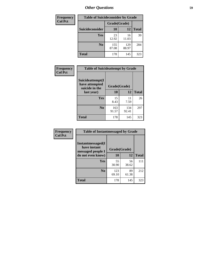| <b>Frequency</b> | <b>Table of Suicideconsider by Grade</b> |              |              |              |
|------------------|------------------------------------------|--------------|--------------|--------------|
| <b>Col Pct</b>   |                                          | Grade(Grade) |              |              |
|                  | <b>Suicideconsider</b>                   | <b>10</b>    | 12           | <b>Total</b> |
|                  | Yes                                      | 23<br>12.92  | 16<br>11.03  | 39           |
|                  | N <sub>0</sub>                           | 155<br>87.08 | 129<br>88.97 | 284          |
|                  | Total                                    | 178          | 145          | 323          |

| Frequency      | <b>Table of Suicideattempt by Grade</b>              |              |              |              |
|----------------|------------------------------------------------------|--------------|--------------|--------------|
| <b>Col Pct</b> | Suicideattempt(I<br>have attempted<br>suicide in the | Grade(Grade) |              |              |
|                | last year)                                           | 10           | 12           | <b>Total</b> |
|                | Yes                                                  | 15<br>8.43   | 11<br>7.59   | 26           |
|                | N <sub>0</sub>                                       | 163<br>91.57 | 134<br>92.41 | 297          |
|                | <b>Total</b>                                         | 178          | 145          | 323          |

| Frequency      | <b>Table of Instantmessaged by Grade</b>                       |              |             |              |  |
|----------------|----------------------------------------------------------------|--------------|-------------|--------------|--|
| <b>Col Pct</b> | <b>Instantmessaged</b> (I<br>have instant<br>messaged people I | Grade(Grade) |             |              |  |
|                | do not even know)                                              | 10           | 12          | <b>Total</b> |  |
|                | Yes                                                            | 55<br>30.90  | 56<br>38.62 | 111          |  |
|                | N <sub>0</sub>                                                 | 123<br>69.10 | 89<br>61.38 | 212          |  |
|                | <b>Total</b>                                                   | 178          | 145         | 323          |  |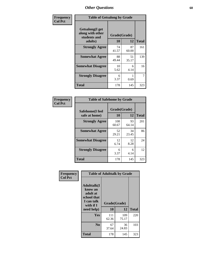| Frequency      |                                                             | <b>Table of Getsalong by Grade</b> |             |              |  |  |  |  |
|----------------|-------------------------------------------------------------|------------------------------------|-------------|--------------|--|--|--|--|
| <b>Col Pct</b> | <b>Getsalong</b> (I get<br>along with other<br>students and | Grade(Grade)                       |             |              |  |  |  |  |
|                | adults)                                                     | 10                                 | 12          | <b>Total</b> |  |  |  |  |
|                | <b>Strongly Agree</b>                                       | 74<br>41.57                        | 87<br>60.00 | 161          |  |  |  |  |
|                | <b>Somewhat Agree</b>                                       | 88<br>49.44                        | 51<br>35.17 | 139          |  |  |  |  |
|                | <b>Somewhat Disagree</b>                                    | 10<br>5.62                         | 6<br>4.14   | 16           |  |  |  |  |
|                | <b>Strongly Disagree</b>                                    | 6<br>3.37                          | 0.69        | 7            |  |  |  |  |
|                | <b>Total</b>                                                | 178                                | 145         | 323          |  |  |  |  |

| Frequency      | <b>Table of Safehome by Grade</b> |                    |             |              |  |  |
|----------------|-----------------------------------|--------------------|-------------|--------------|--|--|
| <b>Col Pct</b> | Safehome(I feel<br>safe at home)  | Grade(Grade)<br>10 | 12          | <b>Total</b> |  |  |
|                | <b>Strongly Agree</b>             | 108<br>60.67       | 93<br>64.14 | 201          |  |  |
|                | <b>Somewhat Agree</b>             | 52<br>29.21        | 34<br>23.45 | 86           |  |  |
|                | <b>Somewhat Disagree</b>          | 12<br>6.74         | 12<br>8.28  | 24           |  |  |
|                | <b>Strongly Disagree</b>          | 6<br>3.37          | 6<br>4.14   | 12           |  |  |
|                | <b>Total</b>                      | 178                | 145         | 323          |  |  |

| Frequency      | <b>Table of Adulttalk by Grade</b>                                                                 |                    |              |              |  |  |  |  |
|----------------|----------------------------------------------------------------------------------------------------|--------------------|--------------|--------------|--|--|--|--|
| <b>Col Pct</b> | <b>Adulttalk</b> (I<br>know an<br>adult at<br>school that<br>I can talk<br>with if I<br>need help) | Grade(Grade)<br>10 | 12           | <b>Total</b> |  |  |  |  |
|                |                                                                                                    |                    |              |              |  |  |  |  |
|                | <b>Yes</b>                                                                                         | 111<br>62.36       | 109<br>75.17 | 220          |  |  |  |  |
|                | N <sub>0</sub>                                                                                     | 67<br>37.64        | 36<br>24.83  | 103          |  |  |  |  |
|                | <b>Total</b>                                                                                       | 178                | 145          | 323          |  |  |  |  |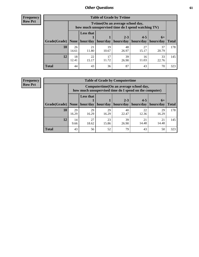**Frequency Row Pct**

| <b>Table of Grade by Tvtime</b> |             |                                                                                         |             |                      |                      |                     |              |  |  |  |
|---------------------------------|-------------|-----------------------------------------------------------------------------------------|-------------|----------------------|----------------------|---------------------|--------------|--|--|--|
|                                 |             | Tytime (On an average school day,<br>how much unsupervised time do I spend watching TV) |             |                      |                      |                     |              |  |  |  |
| Grade(Grade)   None             |             | Less that<br>hour/day                                                                   | hour/day    | $2 - 3$<br>hours/day | $4 - 5$<br>hours/day | $6+$<br>  hours/day | <b>Total</b> |  |  |  |
| 10                              | 26<br>14.61 | 21<br>11.80                                                                             | 19<br>10.67 | 48<br>26.97          | 27<br>15.17          | 37<br>20.79         | 178          |  |  |  |
| 12                              | 18<br>12.41 | 22<br>15.17                                                                             | 17<br>11.72 | 39<br>26.90          | 16<br>11.03          | 33<br>22.76         | 145          |  |  |  |
| <b>Total</b>                    | 44          | 43                                                                                      | 36          | 87                   | 43                   | 70                  | 323          |  |  |  |

**Frequency Row Pct**

| <b>Table of Grade by Computertime</b> |             |                                                                                                   |             |                      |                      |                   |              |  |  |  |
|---------------------------------------|-------------|---------------------------------------------------------------------------------------------------|-------------|----------------------|----------------------|-------------------|--------------|--|--|--|
|                                       |             | Computertime (On an average school day,<br>how much unsupervised time do I spend on the computer) |             |                      |                      |                   |              |  |  |  |
| Grade(Grade)                          | None        | <b>Less that</b><br>hour/day                                                                      | hour/day    | $2 - 3$<br>hours/day | $4 - 5$<br>hours/day | $6+$<br>hours/day | <b>Total</b> |  |  |  |
| 10                                    | 29<br>16.29 | 29<br>16.29                                                                                       | 29<br>16.29 | 40<br>22.47          | 22<br>12.36          | 29<br>16.29       | 178          |  |  |  |
| 12                                    | 14<br>9.66  | 27<br>23<br>39<br>21<br>21<br>14.48<br>14.48<br>18.62<br>15.86<br>26.90                           |             |                      |                      |                   |              |  |  |  |
| <b>Total</b>                          | 43          | 56                                                                                                | 52          | 79                   | 43                   | 50                | 323          |  |  |  |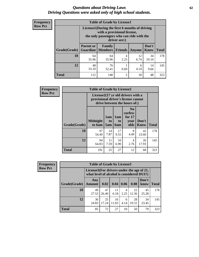#### *Questions about Driving Laws* **62** *Driving Questions were asked only of high school students.*

| <b>Frequency</b> |
|------------------|
| <b>Row Pct</b>   |

| <b>Table of Grade by License1</b> |                              |                                                                                                                                           |                |            |               |              |  |  |  |  |
|-----------------------------------|------------------------------|-------------------------------------------------------------------------------------------------------------------------------------------|----------------|------------|---------------|--------------|--|--|--|--|
|                                   |                              | License1(During the first 6 months of driving<br>with a provisional license,<br>the only passengers who can ride with the<br>driver are:) |                |            |               |              |  |  |  |  |
| Grade(Grade)                      | <b>Parent or</b><br>Guardian | <b>Family</b><br><b>Members</b>                                                                                                           | <b>Friends</b> | Anyone     | Don't<br>Know | <b>Total</b> |  |  |  |  |
| 10                                | 64<br>35.96                  | 64<br>35.96                                                                                                                               | 4<br>2.25      | 12<br>6.74 | 34<br>19.10   | 178          |  |  |  |  |
| 12                                | 48<br>33.10                  | 76<br>14<br>6<br>4.14<br>0.69<br>52.41<br>9.66                                                                                            |                |            |               |              |  |  |  |  |
| <b>Total</b>                      | 112                          | 140                                                                                                                                       | 5              | 18         | 48            | 323          |  |  |  |  |

| <b>Frequency</b> |              | <b>Table of Grade by License2</b> |                                                                                                          |                                     |                                                      |               |              |  |  |
|------------------|--------------|-----------------------------------|----------------------------------------------------------------------------------------------------------|-------------------------------------|------------------------------------------------------|---------------|--------------|--|--|
| <b>Row Pct</b>   |              |                                   | License2(17 yr old drivers with a<br>provisional driver's license cannot<br>drive between the hours of:) |                                     |                                                      |               |              |  |  |
|                  | Grade(Grade) | <b>Midnight</b><br>to 6am         | 1am<br>to<br>5am                                                                                         | 1am<br>t <sub>0</sub><br><b>6am</b> | N <sub>0</sub><br>curfew<br>for $17$<br>vear<br>olds | Don't<br>Know | <b>Total</b> |  |  |
|                  | 10           | 97<br>54.49                       | 14<br>7.87                                                                                               | 17<br>9.55                          | 8<br>4.49                                            | 42<br>23.60   | 178          |  |  |
|                  | 12           | 94<br>64.83                       | 11<br>7.59                                                                                               | 10<br>6.90                          | 4<br>2.76                                            | 26<br>17.93   | 145          |  |  |
|                  | <b>Total</b> | 191                               | 25                                                                                                       | 27                                  | 12                                                   | 68            | 323          |  |  |

| Frequency      |              | <b>Table of Grade by License3</b> |                                                                                        |             |           |             |               |              |  |  |
|----------------|--------------|-----------------------------------|----------------------------------------------------------------------------------------|-------------|-----------|-------------|---------------|--------------|--|--|
| <b>Row Pct</b> |              |                                   | License3(For drivers under the age of 21,<br>what level of alcohol is considered DUI?) |             |           |             |               |              |  |  |
|                | Grade(Grade) | Any<br><b>Amount</b>              | 0.02                                                                                   | 0.04        | 0.06      | 0.08        | Don't<br>know | <b>Total</b> |  |  |
|                | 10           | 49<br>27.53                       | 47<br>26.40                                                                            | 11<br>6.18  | 4<br>2.25 | 22<br>12.36 | 45<br>25.28   | 178          |  |  |
|                | 12           | 36<br>24.83                       | 25<br>17.24                                                                            | 16<br>11.03 | 6<br>4.14 | 28<br>19.31 | 34<br>23.45   | 145          |  |  |
|                | <b>Total</b> | 85                                | 72                                                                                     | 27          | 10        | 50          | 79            | 323          |  |  |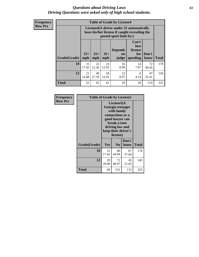#### *Questions about Driving Laws* **63** *Driving Questions were asked only of high school students.*

**Frequency Row Pct**

| <b>Table of Grade by License4</b> |              |                                                                                                                                               |             |            |            |             |     |  |  |
|-----------------------------------|--------------|-----------------------------------------------------------------------------------------------------------------------------------------------|-------------|------------|------------|-------------|-----|--|--|
|                                   |              | License4(A driver under 21 automatically<br>loses his/her license if caught exceeding the<br>posted speet limit by:)                          |             |            |            |             |     |  |  |
| Grade(Grade)                      | $15+$<br>mph | Can't<br>lose<br><b>Depends</b><br>license<br>$25+$<br>$35+$<br>Don't<br>for<br>on<br>mph<br><b>Total</b><br>speeding<br>know<br>mph<br>judge |             |            |            |             |     |  |  |
| 10                                | 31<br>17.42  | 22<br>12.36                                                                                                                                   | 23<br>12.92 | 16<br>8.99 | 14<br>7.87 | 72<br>40.45 | 178 |  |  |
| 12                                | 21<br>14.48  | 40<br>18<br>13<br>47<br>6<br>27.59<br>12.41<br>4.14<br>8.97<br>32.41                                                                          |             |            |            |             |     |  |  |
| <b>Total</b>                      | 52           | 62                                                                                                                                            | 41          | 29         | 20         | 119         | 323 |  |  |

| Frequency<br><b>Row Pct</b> | <b>Table of Grade by License5</b> |             | License5(A<br>Georgia teenager<br>with family                                                             |               |       |  |
|-----------------------------|-----------------------------------|-------------|-----------------------------------------------------------------------------------------------------------|---------------|-------|--|
|                             |                                   |             | connections or a<br>good lawyer can<br>break a teen<br>driving law and<br>keep their driver's<br>license) |               |       |  |
|                             | Grade(Grade)                      | <b>Yes</b>  | N <sub>0</sub>                                                                                            | Don't<br>know | Total |  |
|                             | 10                                | 31<br>17.42 | 80<br>44.94                                                                                               | 67<br>37.64   | 178   |  |
|                             | 12                                | 29<br>20.00 | 71<br>48.97                                                                                               | 45<br>31.03   | 145   |  |
|                             | <b>Total</b>                      | 60          | 151                                                                                                       | 112           | 323   |  |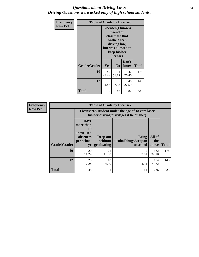#### *Questions about Driving Laws* **64** *Driving Questions were asked only of high school students.*

| <b>Frequency</b> | <b>Table of Grade by License6</b> |             |                                                                                                                                                 |               |              |  |
|------------------|-----------------------------------|-------------|-------------------------------------------------------------------------------------------------------------------------------------------------|---------------|--------------|--|
| <b>Row Pct</b>   |                                   |             | License <sub>6</sub> (I know a<br>friend or<br>classmate that<br>broke a teen<br>driving law,<br>but was allowed to<br>keep his/her<br>license) |               |              |  |
|                  | Grade(Grade)                      | Yes         | N <sub>0</sub>                                                                                                                                  | Don't<br>know | <b>Total</b> |  |
|                  | 10                                | 40<br>22.47 | 91<br>51.12                                                                                                                                     | 47<br>26.40   | 178          |  |
|                  | 12                                | 50<br>34.48 | 145                                                                                                                                             |               |              |  |
|                  | Total                             | 90          | 146                                                                                                                                             | 87            | 323          |  |

| <b>Frequency</b> | <b>Table of Grade by License7</b> |                                                                             |                                                                                               |                                                   |                        |              |  |
|------------------|-----------------------------------|-----------------------------------------------------------------------------|-----------------------------------------------------------------------------------------------|---------------------------------------------------|------------------------|--------------|--|
| <b>Row Pct</b>   |                                   |                                                                             | License7(A student under the age of 18 cam loser<br>his/her driving privileges if he or she:) |                                                   |                        |              |  |
|                  | Grade(Grade)                      | <b>Have</b><br>more than<br>10<br>unexcused<br>absences<br>per school<br>yr | Drop out<br>without  <br>graduating                                                           | <b>Bring</b><br>alcohol/drugs/weapon<br>to school | All of<br>the<br>above | <b>Total</b> |  |
|                  | 10                                | 20<br>11.24                                                                 | 21<br>11.80                                                                                   | 5<br>2.81                                         | 132<br>74.16           | 178          |  |
|                  | 12                                | 25<br>17.24                                                                 | 10<br>6.90                                                                                    | 6<br>4.14                                         | 104<br>71.72           | 145          |  |
|                  | <b>Total</b>                      | 45                                                                          | 31                                                                                            | 11                                                | 236                    | 323          |  |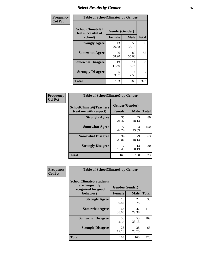# *Select Results by Gender* **65**

| Frequency      | <b>Table of SchoolClimate2 by Gender</b>          |                                 |             |              |
|----------------|---------------------------------------------------|---------------------------------|-------------|--------------|
| <b>Col Pct</b> | SchoolClimate2(I<br>feel successful at<br>school) | Gender(Gender)<br><b>Female</b> | <b>Male</b> | <b>Total</b> |
|                | <b>Strongly Agree</b>                             | 43<br>26.38                     | 53<br>33.13 | 96           |
|                | <b>Somewhat Agree</b>                             | 96<br>58.90                     | 89<br>55.63 | 185          |
|                | <b>Somewhat Disagree</b>                          | 19<br>11.66                     | 14<br>8.75  | 33           |
|                | <b>Strongly Disagree</b>                          | 5<br>3.07                       | 4<br>2.50   | 9            |
|                | <b>Total</b>                                      | 163                             | 160         | 323          |

| <b>Frequency</b> | <b>Table of SchoolClimate6 by Gender</b>                 |               |                               |              |
|------------------|----------------------------------------------------------|---------------|-------------------------------|--------------|
| <b>Col Pct</b>   | <b>SchoolClimate6(Teachers</b><br>treat me with respect) | <b>Female</b> | Gender(Gender)<br><b>Male</b> | <b>Total</b> |
|                  | <b>Strongly Agree</b>                                    | 35<br>21.47   | 45<br>28.13                   | 80           |
|                  | <b>Somewhat Agree</b>                                    | 77<br>47.24   | 73<br>45.63                   | 150          |
|                  | <b>Somewhat Disagree</b>                                 | 34<br>20.86   | 29<br>18.13                   | 63           |
|                  | <b>Strongly Disagree</b>                                 | 17<br>10.43   | 13<br>8.13                    | 30           |
|                  | <b>Total</b>                                             | 163           | 160                           | 323          |

| Frequency      | <b>Table of SchoolClimate8 by Gender</b>                                             |                                 |             |              |  |
|----------------|--------------------------------------------------------------------------------------|---------------------------------|-------------|--------------|--|
| <b>Col Pct</b> | <b>SchoolClimate8(Students</b><br>are frequently<br>recognized for good<br>behavior) | Gender(Gender)<br><b>Female</b> | <b>Male</b> | <b>Total</b> |  |
|                | <b>Strongly Agree</b>                                                                | 16<br>9.82                      | 22<br>13.75 | 38           |  |
|                | <b>Somewhat Agree</b>                                                                | 63<br>38.65                     | 47<br>29.38 | 110          |  |
|                | <b>Somewhat Disagree</b>                                                             | 56<br>34.36                     | 53<br>33.13 | 109          |  |
|                | <b>Strongly Disagree</b>                                                             | 28<br>17.18                     | 38<br>23.75 | 66           |  |
|                | Total                                                                                | 163                             | 160         | 323          |  |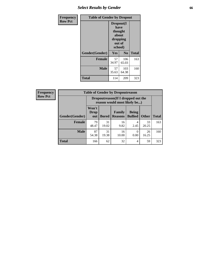# *Select Results by Gender* **66**

| Frequency      | <b>Table of Gender by Dropout</b> |                                                                        |                |              |
|----------------|-----------------------------------|------------------------------------------------------------------------|----------------|--------------|
| <b>Row Pct</b> |                                   | Dropout(I<br>have<br>thought<br>about<br>dropping<br>out of<br>school) |                |              |
|                | Gender(Gender)                    | Yes                                                                    | N <sub>0</sub> | <b>Total</b> |
|                | <b>Female</b>                     | 57<br>34.97                                                            | 106<br>65.03   | 163          |
|                | <b>Male</b>                       | 57<br>35.63                                                            | 103<br>64.38   | 160          |
|                | <b>Total</b>                      | 114                                                                    | 209            | 323          |

| <b>Frequency</b> | <b>Table of Gender by Dropoutreason</b> |                                                                     |              |                          |                                |              |              |
|------------------|-----------------------------------------|---------------------------------------------------------------------|--------------|--------------------------|--------------------------------|--------------|--------------|
| <b>Row Pct</b>   |                                         | Dropoutreason (If I dropped out the<br>reason would most likely be) |              |                          |                                |              |              |
|                  | Gender(Gender)                          | Won't<br><b>Drop</b><br>out                                         | <b>Bored</b> | Family<br><b>Reasons</b> | <b>Being</b><br><b>Bullied</b> | <b>Other</b> | <b>Total</b> |
|                  | <b>Female</b>                           | 79<br>48.47                                                         | 31<br>19.02  | 16<br>9.82               | $\overline{4}$<br>2.45         | 33<br>20.25  | 163          |
|                  | <b>Male</b>                             | 87<br>54.38                                                         | 31<br>19.38  | 16<br>10.00              | 0.00                           | 26<br>16.25  | 160          |
|                  | <b>Total</b>                            | 166                                                                 | 62           | 32                       | $\overline{4}$                 | 59           | 323          |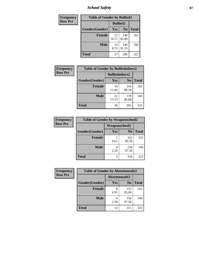*School Safety* **67**

| Frequency      | <b>Table of Gender by Bullied2</b> |                 |                |              |
|----------------|------------------------------------|-----------------|----------------|--------------|
| <b>Row Pct</b> |                                    | <b>Bullied2</b> |                |              |
|                | Gender(Gender)                     | Yes             | N <sub>0</sub> | <b>Total</b> |
|                | <b>Female</b>                      | 23<br>14.11     | 140<br>85.89   | 163          |
|                | <b>Male</b>                        | 14<br>8.75      | 146<br>91.25   | 160          |
|                | <b>Total</b>                       | 37              | 286            | 323          |

| Frequency      | <b>Table of Gender by Bulliedothers2</b> |                       |                |              |
|----------------|------------------------------------------|-----------------------|----------------|--------------|
| <b>Row Pct</b> |                                          | <b>Bulliedothers2</b> |                |              |
|                | Gender(Gender)                           | Yes                   | N <sub>0</sub> | <b>Total</b> |
|                | <b>Female</b>                            | 19<br>11.66           | 144<br>88.34   | 163          |
|                | <b>Male</b>                              | 21<br>13.13           | 139<br>86.88   | 160          |
|                | <b>Total</b>                             | 40                    | 283            | 323          |

| Frequency      | <b>Table of Gender by Weaponschool2</b> |                      |                |              |
|----------------|-----------------------------------------|----------------------|----------------|--------------|
| <b>Row Pct</b> |                                         | <b>Weaponschool2</b> |                |              |
|                | Gender(Gender)                          | <b>Yes</b>           | N <sub>0</sub> | <b>Total</b> |
|                | <b>Female</b>                           | 0.61                 | 162<br>99.39   | 163          |
|                | <b>Male</b>                             | 2.50                 | 156<br>97.50   | 160          |
|                | <b>Total</b>                            | 5                    | 318            | 323          |

| Frequency      | <b>Table of Gender by Absentunsafe2</b> |               |                |              |
|----------------|-----------------------------------------|---------------|----------------|--------------|
| <b>Row Pct</b> |                                         | Absentunsafe2 |                |              |
|                | Gender(Gender)                          | Yes           | N <sub>0</sub> | <b>Total</b> |
|                | <b>Female</b>                           | 8<br>4.91     | 155<br>95.09   | 163          |
|                | <b>Male</b>                             | 2.50          | 156<br>97.50   | 160          |
|                | <b>Total</b>                            | 12            | 311            | 323          |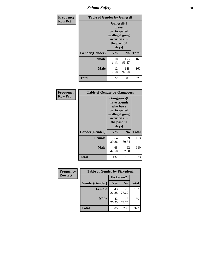*School Safety* **68**

| Frequency      | <b>Table of Gender by Gangself</b> |                                                                                                        |              |              |  |
|----------------|------------------------------------|--------------------------------------------------------------------------------------------------------|--------------|--------------|--|
| <b>Row Pct</b> |                                    | <b>Gangself</b> (I<br>have<br>participated<br>in illegal gang<br>activities in<br>the past 30<br>days) |              |              |  |
|                | Gender(Gender)                     | Yes                                                                                                    | No           | <b>Total</b> |  |
|                | <b>Female</b>                      | 10<br>6.13                                                                                             | 153<br>93.87 | 163          |  |
|                | <b>Male</b>                        | 12<br>7.50                                                                                             | 148<br>92.50 | 160          |  |
|                | <b>Total</b>                       | 22                                                                                                     | 301          | 323          |  |

| <b>Frequency</b> | <b>Table of Gender by Gangpeers</b>                                                                                         |             |                |              |
|------------------|-----------------------------------------------------------------------------------------------------------------------------|-------------|----------------|--------------|
| <b>Row Pct</b>   | <b>Gangpeers</b> (I<br>have friends<br>who have<br>participated<br>in illegal gang<br>activities in<br>the past 30<br>days) |             |                |              |
|                  | Gender(Gender)                                                                                                              | <b>Yes</b>  | N <sub>0</sub> | <b>Total</b> |
|                  | <b>Female</b>                                                                                                               | 64<br>39.26 | 99<br>60.74    | 163          |
|                  | <b>Male</b>                                                                                                                 | 68<br>42.50 | 92<br>57.50    | 160          |
|                  | Total                                                                                                                       | 132         | 191            | 323          |

| Frequency      | <b>Table of Gender by Pickedon2</b> |             |                |              |
|----------------|-------------------------------------|-------------|----------------|--------------|
| <b>Row Pct</b> |                                     | Pickedon2   |                |              |
|                | Gender(Gender)                      | Yes         | N <sub>0</sub> | <b>Total</b> |
|                | <b>Female</b>                       | 43<br>26.38 | 120<br>73.62   | 163          |
|                | <b>Male</b>                         | 42<br>26.25 | 118<br>73.75   | 160          |
|                | <b>Total</b>                        | 85          | 238            | 323          |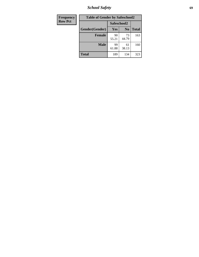*School Safety* **69**

| Frequency      | <b>Table of Gender by Safeschool2</b> |             |                |              |
|----------------|---------------------------------------|-------------|----------------|--------------|
| <b>Row Pct</b> |                                       | Safeschool2 |                |              |
|                | Gender(Gender)                        | Yes         | N <sub>0</sub> | <b>Total</b> |
|                | <b>Female</b>                         | 90<br>55.21 | 73<br>44.79    | 163          |
|                | Male                                  | 99<br>61.88 | 61<br>38.13    | 160          |
|                | <b>Total</b>                          | 189         | 134            | 323          |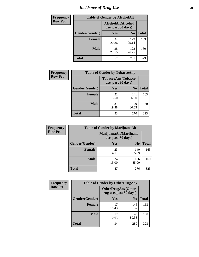# *Incidence of Drug Use* **70**

| <b>Frequency</b> | <b>Table of Gender by AlcoholAlt</b> |                                          |                |              |
|------------------|--------------------------------------|------------------------------------------|----------------|--------------|
| <b>Row Pct</b>   |                                      | AlcoholAlt(Alcohol<br>use, past 30 days) |                |              |
|                  | Gender(Gender)                       | <b>Yes</b>                               | N <sub>0</sub> | <b>Total</b> |
|                  | <b>Female</b>                        | 34<br>20.86                              | 129<br>79.14   | 163          |
|                  | <b>Male</b>                          | 38<br>23.75                              | 122<br>76.25   | 160          |
|                  | <b>Total</b>                         | 72                                       | 251            | 323          |

| Frequency      | <b>Table of Gender by TobaccoAny</b> |                                          |                |              |  |
|----------------|--------------------------------------|------------------------------------------|----------------|--------------|--|
| <b>Row Pct</b> |                                      | TobaccoAny(Tobacco<br>use, past 30 days) |                |              |  |
|                | Gender(Gender)                       | Yes                                      | N <sub>0</sub> | <b>Total</b> |  |
|                | <b>Female</b>                        | 22<br>13.50                              | 141<br>86.50   | 163          |  |
|                | <b>Male</b>                          | 31<br>19.38                              | 129<br>80.63   | 160          |  |
|                | Total                                | 53                                       | 270            | 323          |  |

| <b>Frequency</b> | <b>Table of Gender by MarijuanaAlt</b> |             |                                              |              |
|------------------|----------------------------------------|-------------|----------------------------------------------|--------------|
| <b>Row Pct</b>   |                                        |             | MarijuanaAlt(Marijuana<br>use, past 30 days) |              |
|                  | Gender(Gender)                         | <b>Yes</b>  | N <sub>0</sub>                               | <b>Total</b> |
|                  | <b>Female</b>                          | 23<br>14.11 | 140<br>85.89                                 | 163          |
|                  | <b>Male</b>                            | 24<br>15.00 | 136<br>85.00                                 | 160          |
|                  | <b>Total</b>                           | 47          | 276                                          | 323          |

| <b>Frequency</b> | <b>Table of Gender by OtherDrugAny</b> |                                                      |                |              |
|------------------|----------------------------------------|------------------------------------------------------|----------------|--------------|
| <b>Row Pct</b>   |                                        | <b>OtherDrugAny(Other</b><br>drug use, past 30 days) |                |              |
|                  | Gender(Gender)                         | <b>Yes</b>                                           | N <sub>0</sub> | <b>Total</b> |
|                  | <b>Female</b>                          | 17<br>10.43                                          | 146<br>89.57   | 163          |
|                  | <b>Male</b>                            | 17<br>10.63                                          | 143<br>89.38   | 160          |
|                  | <b>Total</b>                           | 34                                                   | 289            | 323          |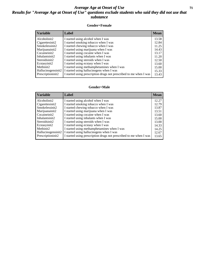### *Average Age at Onset of Use* **71** *Results for "Average Age at Onset of Use" questions exclude students who said they did not use that substance*

#### **Gender=Female**

| <b>Variable</b>    | <b>Label</b>                                                       | <b>Mean</b> |
|--------------------|--------------------------------------------------------------------|-------------|
| Alcoholinit2       | I started using alcohol when I was                                 | 13.58       |
| Cigarettesinit2    | I started smoking tobacco when I was                               | 12.84       |
| Smokelessinit2     | I started chewing tobacco when I was                               | 11.25       |
| Marijuanainit2     | I started using marijuana when I was                               | 14.43       |
| Cocaineinit2       | I started using cocaine when I was                                 | 13.17       |
| Inhalantsinit2     | I started using inhalants when I was                               | 11.20       |
| Steroidsinit2      | I started using steroids when I was                                | 12.50       |
| Ecstasyinit2       | I started using ecstasy when I was                                 | 13.60       |
| Methinit2          | I started using methamphetamines when I was                        | 15.00       |
| Hallucinogensinit2 | I started using hallucinogens when I was                           | 15.33       |
| Prescription in t2 | I started using prescription drugs not prescribed to me when I was | 13.43       |

#### **Gender=Male**

| <i><b>Variable</b></i> | Label                                                              | <b>Mean</b> |
|------------------------|--------------------------------------------------------------------|-------------|
| Alcoholinit2           | I started using alcohol when I was                                 | 12.27       |
| Cigarettesinit2        | I started smoking tobacco when I was                               | 12.79       |
| Smokelessinit2         | I started chewing tobacco when I was                               | 13.87       |
| Marijuanainit2         | I started using marijuana when I was                               | 13.51       |
| Cocaineinit2           | I started using cocaine when I was                                 | 13.60       |
| Inhalantsinit2         | I started using inhalants when I was                               | 15.00       |
| Steroidsinit2          | I started using steroids when I was                                | 13.00       |
| Ecstasyinit2           | I started using ecstasy when I was                                 | 14.33       |
| Methinit2              | I started using methamphetamines when I was                        | 14.25       |
| Hallucinogensinit2     | I started using hallucinogens when I was                           | 12.67       |
| Prescriptioninit2      | I started using prescription drugs not prescribed to me when I was | 13.65       |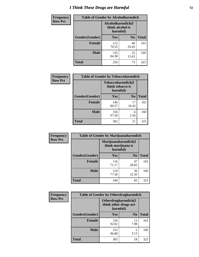# *I Think These Drugs are Harmful* **72**

| <b>Frequency</b> | <b>Table of Gender by Alcoholharmdich</b> |                                                   |                |              |
|------------------|-------------------------------------------|---------------------------------------------------|----------------|--------------|
| <b>Row Pct</b>   |                                           | Alcoholharmdich(I<br>think alcohol is<br>harmful) |                |              |
|                  | Gender(Gender)                            | <b>Yes</b>                                        | N <sub>0</sub> | <b>Total</b> |
|                  | Female                                    | 115<br>70.55                                      | 48<br>29.45    | 163          |
|                  | <b>Male</b>                               | 135<br>84.38                                      | 25<br>15.63    | 160          |
|                  | Total                                     | 250                                               | 73             | 323          |

| Frequency      | <b>Table of Gender by Tobaccoharmdich</b> |                              |                   |              |
|----------------|-------------------------------------------|------------------------------|-------------------|--------------|
| <b>Row Pct</b> |                                           | think tobacco is<br>harmful) | Tobaccoharmdich(I |              |
|                | Gender(Gender)                            | Yes                          | N <sub>0</sub>    | <b>Total</b> |
|                | <b>Female</b>                             | 146<br>89.57                 | 17<br>10.43       | 163          |
|                | <b>Male</b>                               | 156<br>97.50                 | 4<br>2.50         | 160          |
|                | <b>Total</b>                              | 302                          | 21                | 323          |

| Frequency      | <b>Table of Gender by Marijuanaharmdich</b> |                                                       |                |              |  |
|----------------|---------------------------------------------|-------------------------------------------------------|----------------|--------------|--|
| <b>Row Pct</b> |                                             | Marijuanaharmdich(I<br>think marijuana is<br>harmful) |                |              |  |
|                | Gender(Gender)                              | <b>Yes</b>                                            | N <sub>0</sub> | <b>Total</b> |  |
|                | <b>Female</b>                               | 116<br>71.17                                          | 47<br>28.83    | 163          |  |
|                | <b>Male</b>                                 | 124<br>77.50                                          | 36<br>22.50    | 160          |  |
|                | <b>Total</b>                                | 240                                                   | 83             | 323          |  |

| Frequency      | <b>Table of Gender by Otherdrugharmdich</b> |                                                          |                |              |  |
|----------------|---------------------------------------------|----------------------------------------------------------|----------------|--------------|--|
| <b>Row Pct</b> |                                             | Otherdrugharmdich(I<br>think other drugs are<br>harmful) |                |              |  |
|                | Gender(Gender)                              | <b>Yes</b>                                               | N <sub>0</sub> | <b>Total</b> |  |
|                | <b>Female</b>                               | 150<br>92.02                                             | 13<br>7.98     | 163          |  |
|                | <b>Male</b>                                 | 155<br>96.88                                             | 5<br>3.13      | 160          |  |
|                | <b>Total</b>                                | 305                                                      | 18             | 323          |  |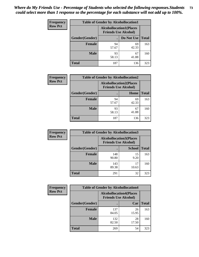| <b>Frequency</b> | <b>Table of Gender by Alcohollocation1</b> |                                                               |             |              |
|------------------|--------------------------------------------|---------------------------------------------------------------|-------------|--------------|
| <b>Row Pct</b>   |                                            | <b>Alcohollocation1(Places</b><br><b>Friends Use Alcohol)</b> |             |              |
|                  | Gender(Gender)                             |                                                               | Do Not Use  | <b>Total</b> |
|                  | <b>Female</b>                              | 94<br>57.67                                                   | 69<br>42.33 | 163          |
|                  | <b>Male</b>                                | 93<br>58.13                                                   | 67<br>41.88 | 160          |
|                  | Total                                      | 187                                                           | 136         | 323          |

| <b>Frequency</b> | <b>Table of Gender by Alcohollocation2</b> |                                |                             |              |
|------------------|--------------------------------------------|--------------------------------|-----------------------------|--------------|
| <b>Row Pct</b>   |                                            | <b>Alcohollocation2(Places</b> | <b>Friends Use Alcohol)</b> |              |
|                  | Gender(Gender)                             |                                | Home                        | <b>Total</b> |
|                  | Female                                     | 94<br>57.67                    | 69<br>42.33                 | 163          |
|                  | <b>Male</b>                                | 93<br>58.13                    | 67<br>41.88                 | 160          |
|                  | <b>Total</b>                               | 187                            | 136                         | 323          |

| Frequency      | <b>Table of Gender by Alcohollocation3</b> |                                                               |               |              |
|----------------|--------------------------------------------|---------------------------------------------------------------|---------------|--------------|
| <b>Row Pct</b> |                                            | <b>Alcohollocation3(Places</b><br><b>Friends Use Alcohol)</b> |               |              |
|                | Gender(Gender)                             |                                                               | <b>School</b> | <b>Total</b> |
|                | <b>Female</b>                              | 148<br>90.80                                                  | 15<br>9.20    | 163          |
|                | <b>Male</b>                                | 143<br>89.38                                                  | 17<br>10.63   | 160          |
|                | <b>Total</b>                               | 291                                                           | 32            | 323          |

| Frequency      |                | <b>Table of Gender by Alcohollocation4</b>                    |             |              |
|----------------|----------------|---------------------------------------------------------------|-------------|--------------|
| <b>Row Pct</b> |                | <b>Alcohollocation4(Places</b><br><b>Friends Use Alcohol)</b> |             |              |
|                | Gender(Gender) |                                                               | Car         | <b>Total</b> |
|                | <b>Female</b>  | 137<br>84.05                                                  | 26<br>15.95 | 163          |
|                | <b>Male</b>    | 132<br>82.50                                                  | 28<br>17.50 | 160          |
|                | <b>Total</b>   | 269                                                           | 54          | 323          |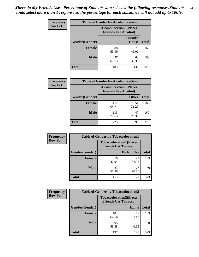| <b>Frequency</b> |                | <b>Table of Gender by Alcohollocation5</b>                    |                                 |              |
|------------------|----------------|---------------------------------------------------------------|---------------------------------|--------------|
| <b>Row Pct</b>   |                | <b>Alcohollocation5(Places</b><br><b>Friends Use Alcohol)</b> |                                 |              |
|                  | Gender(Gender) | $\bullet$                                                     | <b>Friend's</b><br><b>House</b> | <b>Total</b> |
|                  | <b>Female</b>  | 88<br>53.99                                                   | 75<br>46.01                     | 163          |
|                  | <b>Male</b>    | 97<br>60.63                                                   | 63<br>39.38                     | 160          |
|                  | <b>Total</b>   | 185                                                           | 138                             | 323          |

| Frequency      | <b>Table of Gender by Alcohollocation6</b> |                                                               |              |              |  |
|----------------|--------------------------------------------|---------------------------------------------------------------|--------------|--------------|--|
| <b>Row Pct</b> |                                            | <b>Alcohollocation6(Places</b><br><b>Friends Use Alcohol)</b> |              |              |  |
|                | <b>Gender</b> (Gender)                     |                                                               | <b>Other</b> | <b>Total</b> |  |
|                | Female                                     | 112<br>68.71                                                  | 51<br>31.29  | 163          |  |
|                | <b>Male</b>                                | 113<br>70.63                                                  | 47<br>29.38  | 160          |  |
|                | <b>Total</b>                               | 225                                                           | 98           | 323          |  |

| Frequency      | <b>Table of Gender by Tobaccolocation1</b> |                                                               |             |              |  |
|----------------|--------------------------------------------|---------------------------------------------------------------|-------------|--------------|--|
| <b>Row Pct</b> |                                            | <b>Tobaccolocation1(Places</b><br><b>Friends Use Tobacco)</b> |             |              |  |
|                | Gender(Gender)                             |                                                               | Do Not Use  | <b>Total</b> |  |
|                | Female                                     | 70<br>42.94                                                   | 93<br>57.06 | 163          |  |
|                | <b>Male</b>                                | 83<br>51.88                                                   | 77<br>48.13 | 160          |  |
|                | <b>Total</b>                               | 153                                                           | 170         | 323          |  |

| <b>Frequency</b> |                | <b>Table of Gender by Tobaccolocation2</b> |                                |              |
|------------------|----------------|--------------------------------------------|--------------------------------|--------------|
| <b>Row Pct</b>   |                | <b>Friends Use Tobacco)</b>                | <b>Tobaccolocation2(Places</b> |              |
|                  | Gender(Gender) |                                            | Home                           | <b>Total</b> |
|                  | Female         | 102<br>62.58                               | 61<br>37.42                    | 163          |
|                  | <b>Male</b>    | 95<br>59.38                                | 65<br>40.63                    | 160          |
|                  | <b>Total</b>   | 197                                        | 126                            | 323          |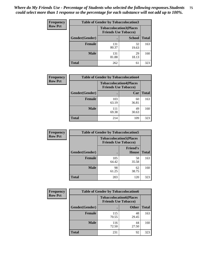| <b>Frequency</b> | <b>Table of Gender by Tobaccolocation3</b> |                                                               |               |              |
|------------------|--------------------------------------------|---------------------------------------------------------------|---------------|--------------|
| <b>Row Pct</b>   |                                            | <b>Tobaccolocation3(Places</b><br><b>Friends Use Tobacco)</b> |               |              |
|                  | Gender(Gender)                             |                                                               | <b>School</b> | <b>Total</b> |
|                  | <b>Female</b>                              | 131<br>80.37                                                  | 32<br>19.63   | 163          |
|                  | <b>Male</b>                                | 131<br>81.88                                                  | 29<br>18.13   | 160          |
|                  | <b>Total</b>                               | 262                                                           | 61            | 323          |

| <b>Frequency</b> | <b>Table of Gender by Tobaccolocation4</b> |                                                               |             |              |
|------------------|--------------------------------------------|---------------------------------------------------------------|-------------|--------------|
| <b>Row Pct</b>   |                                            | <b>Tobaccolocation4(Places</b><br><b>Friends Use Tobacco)</b> |             |              |
|                  | Gender(Gender)                             |                                                               | Car         | <b>Total</b> |
|                  | <b>Female</b>                              | 103<br>63.19                                                  | 60<br>36.81 | 163          |
|                  | <b>Male</b>                                | 111<br>69.38                                                  | 49<br>30.63 | 160          |
|                  | <b>Total</b>                               | 214                                                           | 109         | 323          |

| <b>Frequency</b> | <b>Table of Gender by Tobaccolocation5</b> |                                                               |                                 |              |
|------------------|--------------------------------------------|---------------------------------------------------------------|---------------------------------|--------------|
| <b>Row Pct</b>   |                                            | <b>Tobaccolocation5(Places</b><br><b>Friends Use Tobacco)</b> |                                 |              |
|                  | Gender(Gender)                             |                                                               | <b>Friend's</b><br><b>House</b> | <b>Total</b> |
|                  | Female                                     | 105<br>64.42                                                  | 58<br>35.58                     | 163          |
|                  | <b>Male</b>                                | 98<br>61.25                                                   | 62<br>38.75                     | 160          |
|                  | <b>Total</b>                               | 203                                                           | 120                             | 323          |

| <b>Frequency</b> | <b>Table of Gender by Tobaccolocation6</b> |                                                               |              |              |
|------------------|--------------------------------------------|---------------------------------------------------------------|--------------|--------------|
| <b>Row Pct</b>   |                                            | <b>Tobaccolocation6(Places</b><br><b>Friends Use Tobacco)</b> |              |              |
|                  | Gender(Gender)                             |                                                               | <b>Other</b> | <b>Total</b> |
|                  | Female                                     | 115<br>70.55                                                  | 48<br>29.45  | 163          |
|                  | <b>Male</b>                                | 116<br>72.50                                                  | 44<br>27.50  | 160          |
|                  | <b>Total</b>                               | 231                                                           | 92           | 323          |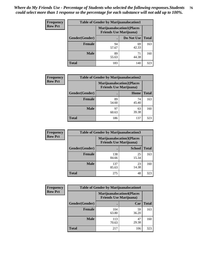| <b>Frequency</b> | <b>Table of Gender by Marijuanalocation1</b> |                                                                    |             |              |
|------------------|----------------------------------------------|--------------------------------------------------------------------|-------------|--------------|
| <b>Row Pct</b>   |                                              | <b>Marijuanalocation1(Places</b><br><b>Friends Use Marijuana</b> ) |             |              |
|                  | Gender(Gender)                               |                                                                    | Do Not Use  | <b>Total</b> |
|                  | <b>Female</b>                                | 94<br>57.67                                                        | 69<br>42.33 | 163          |
|                  | <b>Male</b>                                  | 89<br>55.63                                                        | 71<br>44.38 | 160          |
|                  | <b>Total</b>                                 | 183                                                                | 140         | 323          |

| <b>Frequency</b> | <b>Table of Gender by Marijuanalocation2</b> |                                                                    |             |       |
|------------------|----------------------------------------------|--------------------------------------------------------------------|-------------|-------|
| <b>Row Pct</b>   |                                              | <b>Marijuanalocation2(Places</b><br><b>Friends Use Marijuana</b> ) |             |       |
|                  | Gender(Gender)                               |                                                                    | Home        | Total |
|                  | <b>Female</b>                                | 89<br>54.60                                                        | 74<br>45.40 | 163   |
|                  | <b>Male</b>                                  | 97<br>60.63                                                        | 63<br>39.38 | 160   |
|                  | <b>Total</b>                                 | 186                                                                | 137         | 323   |

| Frequency      | <b>Table of Gender by Marijuanalocation3</b> |                                                                    |               |              |
|----------------|----------------------------------------------|--------------------------------------------------------------------|---------------|--------------|
| <b>Row Pct</b> |                                              | <b>Marijuanalocation3(Places</b><br><b>Friends Use Marijuana</b> ) |               |              |
|                | Gender(Gender)                               |                                                                    | <b>School</b> | <b>Total</b> |
|                | Female                                       | 138<br>84.66                                                       | 25<br>15.34   | 163          |
|                | <b>Male</b>                                  | 137<br>85.63                                                       | 23<br>14.38   | 160          |
|                | <b>Total</b>                                 | 275                                                                | 48            | 323          |

| Frequency      | <b>Table of Gender by Marijuanalocation4</b> |                                |                                  |              |
|----------------|----------------------------------------------|--------------------------------|----------------------------------|--------------|
| <b>Row Pct</b> |                                              | <b>Friends Use Marijuana</b> ) | <b>Marijuanalocation4(Places</b> |              |
|                | <b>Gender</b> (Gender)                       |                                | Car                              | <b>Total</b> |
|                | <b>Female</b>                                | 104<br>63.80                   | 59<br>36.20                      | 163          |
|                | <b>Male</b>                                  | 113<br>70.63                   | 47<br>29.38                      | 160          |
|                | <b>Total</b>                                 | 217                            | 106                              | 323          |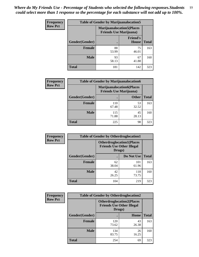| <b>Frequency</b> | <b>Table of Gender by Marijuanalocation5</b> |                                                                     |                                 |              |
|------------------|----------------------------------------------|---------------------------------------------------------------------|---------------------------------|--------------|
| <b>Row Pct</b>   |                                              | <b>Marijuanalocation5</b> (Places<br><b>Friends Use Marijuana</b> ) |                                 |              |
|                  | Gender(Gender)                               |                                                                     | <b>Friend's</b><br><b>House</b> | <b>Total</b> |
|                  | <b>Female</b>                                | 88<br>53.99                                                         | 75<br>46.01                     | 163          |
|                  | <b>Male</b>                                  | 93<br>58.13                                                         | 67<br>41.88                     | 160          |
|                  | <b>Total</b>                                 | 181                                                                 | 142                             | 323          |

| <b>Frequency</b> | <b>Table of Gender by Marijuanalocation6</b> |                                |                                  |              |
|------------------|----------------------------------------------|--------------------------------|----------------------------------|--------------|
| <b>Row Pct</b>   |                                              | <b>Friends Use Marijuana</b> ) | <b>Marijuanalocation6(Places</b> |              |
|                  | <b>Gender</b> (Gender)                       |                                | <b>Other</b>                     | <b>Total</b> |
|                  | <b>Female</b>                                | 110<br>67.48                   | 53<br>32.52                      | 163          |
|                  | <b>Male</b>                                  | 115<br>71.88                   | 45<br>28.13                      | 160          |
|                  | <b>Total</b>                                 | 225                            | 98                               | 323          |

| <b>Frequency</b> | <b>Table of Gender by Otherdruglocation1</b> |                                                                                |              |              |
|------------------|----------------------------------------------|--------------------------------------------------------------------------------|--------------|--------------|
| <b>Row Pct</b>   |                                              | <b>Otherdruglocation1(Places</b><br><b>Friends Use Other Illegal</b><br>Drugs) |              |              |
|                  | Gender(Gender)                               |                                                                                | Do Not Use   | <b>Total</b> |
|                  | <b>Female</b>                                | 62<br>38.04                                                                    | 101<br>61.96 | 163          |
|                  | <b>Male</b>                                  | 42<br>26.25                                                                    | 118<br>73.75 | 160          |
|                  | <b>Total</b>                                 | 104                                                                            | 219          | 323          |

| <b>Frequency</b> | <b>Table of Gender by Otherdruglocation2</b> |                                            |                                  |              |
|------------------|----------------------------------------------|--------------------------------------------|----------------------------------|--------------|
| <b>Row Pct</b>   |                                              | <b>Friends Use Other Illegal</b><br>Drugs) | <b>Otherdruglocation2(Places</b> |              |
|                  | Gender(Gender)                               |                                            | Home                             | <b>Total</b> |
|                  | Female                                       | 120<br>73.62                               | 43<br>26.38                      | 163          |
|                  | <b>Male</b>                                  | 134<br>83.75                               | 26<br>16.25                      | 160          |
|                  | <b>Total</b>                                 | 254                                        | 69                               | 323          |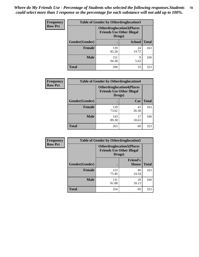| <b>Frequency</b> | <b>Table of Gender by Otherdruglocation3</b> |                                                                                |               |              |
|------------------|----------------------------------------------|--------------------------------------------------------------------------------|---------------|--------------|
| <b>Row Pct</b>   |                                              | <b>Otherdruglocation3(Places</b><br><b>Friends Use Other Illegal</b><br>Drugs) |               |              |
|                  | Gender(Gender)                               |                                                                                | <b>School</b> | <b>Total</b> |
|                  | <b>Female</b>                                | 139<br>85.28                                                                   | 24<br>14.72   | 163          |
|                  | <b>Male</b>                                  | 151<br>94.38                                                                   | Q<br>5.63     | 160          |
|                  | <b>Total</b>                                 | 290                                                                            | 33            | 323          |

| Frequency      | <b>Table of Gender by Otherdruglocation4</b> |                                                                                |             |              |
|----------------|----------------------------------------------|--------------------------------------------------------------------------------|-------------|--------------|
| <b>Row Pct</b> |                                              | <b>Otherdruglocation4(Places</b><br><b>Friends Use Other Illegal</b><br>Drugs) |             |              |
|                | Gender(Gender)                               |                                                                                | Car         | <b>Total</b> |
|                | <b>Female</b>                                | 120<br>73.62                                                                   | 43<br>26.38 | 163          |
|                | <b>Male</b>                                  | 143<br>89.38                                                                   | 17<br>10.63 | 160          |
|                | <b>Total</b>                                 | 263                                                                            | 60          | 323          |

| Frequency      | <b>Table of Gender by Otherdruglocation5</b> |                                                                                |                                 |              |
|----------------|----------------------------------------------|--------------------------------------------------------------------------------|---------------------------------|--------------|
| <b>Row Pct</b> |                                              | <b>Otherdruglocation5(Places</b><br><b>Friends Use Other Illegal</b><br>Drugs) |                                 |              |
|                | Gender(Gender)                               |                                                                                | <b>Friend's</b><br><b>House</b> | <b>Total</b> |
|                | <b>Female</b>                                | 123<br>75.46                                                                   | 40<br>24.54                     | 163          |
|                | <b>Male</b>                                  | 131<br>81.88                                                                   | 29<br>18.13                     | 160          |
|                | <b>Total</b>                                 | 254                                                                            | 69                              | 323          |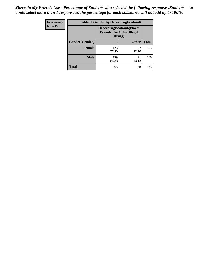| Frequency      | <b>Table of Gender by Otherdruglocation6</b> |                                                                                |              |              |
|----------------|----------------------------------------------|--------------------------------------------------------------------------------|--------------|--------------|
| <b>Row Pct</b> |                                              | <b>Otherdruglocation6(Places</b><br><b>Friends Use Other Illegal</b><br>Drugs) |              |              |
|                | Gender(Gender)                               |                                                                                | <b>Other</b> | <b>Total</b> |
|                | <b>Female</b>                                | 126<br>77.30                                                                   | 37<br>22.70  | 163          |
|                | <b>Male</b>                                  | 139<br>86.88                                                                   | 21<br>13.13  | 160          |
|                | <b>Total</b>                                 | 265                                                                            | 58           | 323          |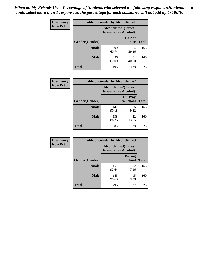| <b>Frequency</b> | <b>Table of Gender by Alcoholtime1</b> |                                                          |                      |              |
|------------------|----------------------------------------|----------------------------------------------------------|----------------------|--------------|
| <b>Row Pct</b>   |                                        | <b>Alcoholtime1(Times</b><br><b>Friends Use Alcohol)</b> |                      |              |
|                  | Gender(Gender)                         | $\bullet$                                                | Do Not<br><b>Use</b> | <b>Total</b> |
|                  | <b>Female</b>                          | 99<br>60.74                                              | 64<br>39.26          | 163          |
|                  | <b>Male</b>                            | 96<br>60.00                                              | 64<br>40.00          | 160          |
|                  | <b>Total</b>                           | 195                                                      | 128                  | 323          |

| <b>Frequency</b> | <b>Table of Gender by Alcoholtime2</b> |              |                                                          |              |  |
|------------------|----------------------------------------|--------------|----------------------------------------------------------|--------------|--|
| <b>Row Pct</b>   |                                        |              | <b>Alcoholtime2(Times</b><br><b>Friends Use Alcohol)</b> |              |  |
|                  | Gender(Gender)                         |              | <b>On Way</b><br>to School                               | <b>Total</b> |  |
|                  | <b>Female</b>                          | 147<br>90.18 | 16<br>9.82                                               | 163          |  |
|                  | <b>Male</b>                            | 138<br>86.25 | 22<br>13.75                                              | 160          |  |
|                  | <b>Total</b>                           | 285          | 38                                                       | 323          |  |

| Frequency      | <b>Table of Gender by Alcoholtime3</b> |                                                   |                                |              |
|----------------|----------------------------------------|---------------------------------------------------|--------------------------------|--------------|
| <b>Row Pct</b> |                                        | Alcoholtime3(Times<br><b>Friends Use Alcohol)</b> |                                |              |
|                | Gender(Gender)                         |                                                   | <b>During</b><br><b>School</b> | <b>Total</b> |
|                | Female                                 | 151<br>92.64                                      | 12<br>7.36                     | 163          |
|                | <b>Male</b>                            | 145<br>90.63                                      | 15<br>9.38                     | 160          |
|                | <b>Total</b>                           | 296                                               | 27                             | 323          |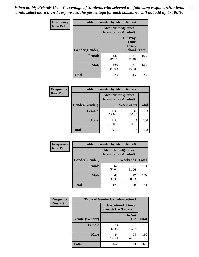*When do My Friends Use - Percentage of Students who selected the following responses.Students could select more than 1 response so the percentage for each substance will not add up to 100%.* **81**

| <b>Frequency</b> | <b>Table of Gender by Alcoholtime4</b> |                                                          |                                                |              |
|------------------|----------------------------------------|----------------------------------------------------------|------------------------------------------------|--------------|
| <b>Row Pct</b>   |                                        | <b>Alcoholtime4(Times</b><br><b>Friends Use Alcohol)</b> |                                                |              |
|                  | Gender(Gender)                         |                                                          | <b>On Way</b><br>Home<br>From<br><b>School</b> | <b>Total</b> |
|                  | <b>Female</b>                          | 142<br>87.12                                             | 21<br>12.88                                    | 163          |
|                  | <b>Male</b>                            | 136<br>85.00                                             | 24<br>15.00                                    | 160          |
|                  | <b>Total</b>                           | 278                                                      | 45                                             | 323          |

| <b>Frequency</b> | <b>Table of Gender by Alcoholtime5</b> |                                                           |                   |              |
|------------------|----------------------------------------|-----------------------------------------------------------|-------------------|--------------|
| <b>Row Pct</b>   |                                        | <b>Alcoholtime5</b> (Times<br><b>Friends Use Alcohol)</b> |                   |              |
|                  | Gender(Gender)                         |                                                           | <b>Weeknights</b> | <b>Total</b> |
|                  | <b>Female</b>                          | 114<br>69.94                                              | 49<br>30.06       | 163          |
|                  | <b>Male</b>                            | 112<br>70.00                                              | 48<br>30.00       | 160          |
|                  | <b>Total</b>                           | 226                                                       | 97                | 323          |

| <b>Frequency</b> | <b>Table of Gender by Alcoholtime6</b> |             |                                                           |              |
|------------------|----------------------------------------|-------------|-----------------------------------------------------------|--------------|
| <b>Row Pct</b>   |                                        |             | <b>Alcoholtime6</b> (Times<br><b>Friends Use Alcohol)</b> |              |
|                  | Gender(Gender)                         |             | Weekends                                                  | <b>Total</b> |
|                  | Female                                 | 62<br>38.04 | 101<br>61.96                                              | 163          |
|                  | <b>Male</b>                            | 63<br>39.38 | 97<br>60.63                                               | 160          |
|                  | <b>Total</b>                           | 125         | 198                                                       | 323          |

| <b>Frequency</b> | <b>Table of Gender by Tobaccotime1</b> |                                                          |                      |              |
|------------------|----------------------------------------|----------------------------------------------------------|----------------------|--------------|
| <b>Row Pct</b>   |                                        | <b>Tobaccotime1(Times</b><br><b>Friends Use Tobacco)</b> |                      |              |
|                  | Gender(Gender)                         |                                                          | Do Not<br><b>Use</b> | <b>Total</b> |
|                  | <b>Female</b>                          | 78<br>47.85                                              | 85<br>52.15          | 163          |
|                  | <b>Male</b>                            | 84<br>52.50                                              | 76<br>47.50          | 160          |
|                  | <b>Total</b>                           | 162                                                      | 161                  | 323          |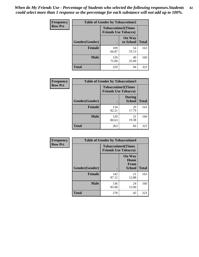| <b>Frequency</b> | <b>Table of Gender by Tobaccotime2</b> |                                                          |                            |              |
|------------------|----------------------------------------|----------------------------------------------------------|----------------------------|--------------|
| <b>Row Pct</b>   |                                        | <b>Tobaccotime2(Times</b><br><b>Friends Use Tobacco)</b> |                            |              |
|                  | Gender(Gender)                         |                                                          | <b>On Way</b><br>to School | <b>Total</b> |
|                  | <b>Female</b>                          | 109<br>66.87                                             | 54<br>33.13                | 163          |
|                  | <b>Male</b>                            | 120<br>75.00                                             | 40<br>25.00                | 160          |
|                  | <b>Total</b>                           | 229                                                      | 94                         | 323          |

| Frequency      | <b>Table of Gender by Tobaccotime3</b> |                                                          |                                |              |
|----------------|----------------------------------------|----------------------------------------------------------|--------------------------------|--------------|
| <b>Row Pct</b> |                                        | <b>Tobaccotime3(Times</b><br><b>Friends Use Tobacco)</b> |                                |              |
|                | Gender(Gender)                         |                                                          | <b>During</b><br><b>School</b> | <b>Total</b> |
|                | <b>Female</b>                          | 134<br>82.21                                             | 29<br>17.79                    | 163          |
|                | <b>Male</b>                            | 129<br>80.63                                             | 31<br>19.38                    | 160          |
|                | <b>Total</b>                           | 263                                                      | 60                             | 323          |

| <b>Frequency</b> | <b>Table of Gender by Tobaccotime4</b> |                                                          |                                                |              |
|------------------|----------------------------------------|----------------------------------------------------------|------------------------------------------------|--------------|
| <b>Row Pct</b>   |                                        | <b>Tobaccotime4(Times</b><br><b>Friends Use Tobacco)</b> |                                                |              |
|                  | Gender(Gender)                         |                                                          | <b>On Way</b><br>Home<br><b>From</b><br>School | <b>Total</b> |
|                  | <b>Female</b>                          | 142<br>87.12                                             | 21<br>12.88                                    | 163          |
|                  | <b>Male</b>                            | 136<br>85.00                                             | 24<br>15.00                                    | 160          |
|                  | <b>Total</b>                           | 278                                                      | 45                                             | 323          |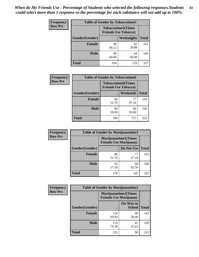| <b>Frequency</b> | <b>Table of Gender by Tobaccotime5</b> |             |                                                           |              |
|------------------|----------------------------------------|-------------|-----------------------------------------------------------|--------------|
| <b>Row Pct</b>   |                                        |             | <b>Tobaccotime5</b> (Times<br><b>Friends Use Tobacco)</b> |              |
|                  | Gender(Gender)                         |             | <b>Weeknights</b>                                         | <b>Total</b> |
|                  | <b>Female</b>                          | 98<br>60.12 | 65<br>39.88                                               | 163          |
|                  | <b>Male</b>                            | 96<br>60.00 | 64<br>40.00                                               | 160          |
|                  | <b>Total</b>                           | 194         | 129                                                       | 323          |

| Frequency      | <b>Table of Gender by Tobaccotime6</b> |                                                          |             |              |
|----------------|----------------------------------------|----------------------------------------------------------|-------------|--------------|
| <b>Row Pct</b> |                                        | <b>Tobaccotime6(Times</b><br><b>Friends Use Tobacco)</b> |             |              |
|                | Gender(Gender)                         |                                                          | Weekends    | <b>Total</b> |
|                | <b>Female</b>                          | 86<br>52.76                                              | 77<br>47.24 | 163          |
|                | <b>Male</b>                            | 80<br>50.00                                              | 80<br>50.00 | 160          |
|                | <b>Total</b>                           | 166                                                      | 157         | 323          |

| <b>Frequency</b> | <b>Table of Gender by Marijuanatime1</b> |                                                               |             |              |
|------------------|------------------------------------------|---------------------------------------------------------------|-------------|--------------|
| <b>Row Pct</b>   |                                          | <b>Marijuanatime1(Times</b><br><b>Friends Use Marijuana</b> ) |             |              |
|                  | Gender(Gender)                           |                                                               | Do Not Use  | <b>Total</b> |
|                  | <b>Female</b>                            | 86<br>52.76                                                   | 77<br>47.24 | 163          |
|                  | <b>Male</b>                              | 92<br>57.50                                                   | 68<br>42.50 | 160          |
|                  | <b>Total</b>                             | 178                                                           | 145         | 323          |

| <b>Frequency</b> | <b>Table of Gender by Marijuanatime2</b> |                                                        |                            |              |
|------------------|------------------------------------------|--------------------------------------------------------|----------------------------|--------------|
| <b>Row Pct</b>   |                                          | Marijuanatime2(Times<br><b>Friends Use Marijuana</b> ) |                            |              |
|                  | Gender(Gender)                           |                                                        | On Way to<br><b>School</b> | <b>Total</b> |
|                  | Female                                   | 114<br>69.94                                           | 49<br>30.06                | 163          |
|                  | <b>Male</b>                              | 119<br>74.38                                           | 41<br>25.63                | 160          |
|                  | <b>Total</b>                             | 233                                                    | 90                         | 323          |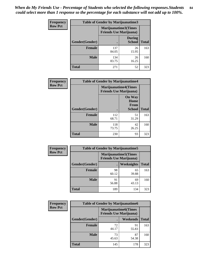*When do My Friends Use - Percentage of Students who selected the following responses.Students could select more than 1 response so the percentage for each substance will not add up to 100%.* **84**

| <b>Frequency</b> | <b>Table of Gender by Marijuanatime3</b> |                                                        |                                |              |
|------------------|------------------------------------------|--------------------------------------------------------|--------------------------------|--------------|
| <b>Row Pct</b>   |                                          | Marijuanatime3(Times<br><b>Friends Use Marijuana</b> ) |                                |              |
|                  | Gender(Gender)                           |                                                        | <b>During</b><br><b>School</b> | <b>Total</b> |
|                  | <b>Female</b>                            | 137<br>84.05                                           | 26<br>15.95                    | 163          |
|                  | <b>Male</b>                              | 134<br>83.75                                           | 26<br>16.25                    | 160          |
|                  | <b>Total</b>                             | 271                                                    | 52                             | 323          |

| Frequency      | <b>Table of Gender by Marijuanatime4</b> |                                                               |                                                |              |
|----------------|------------------------------------------|---------------------------------------------------------------|------------------------------------------------|--------------|
| <b>Row Pct</b> |                                          | <b>Marijuanatime4(Times</b><br><b>Friends Use Marijuana</b> ) |                                                |              |
|                | Gender(Gender)                           |                                                               | <b>On Way</b><br>Home<br>From<br><b>School</b> | <b>Total</b> |
|                | <b>Female</b>                            | 112<br>68.71                                                  | 51<br>31.29                                    | 163          |
|                | <b>Male</b>                              | 118<br>73.75                                                  | 42<br>26.25                                    | 160          |
|                | <b>Total</b>                             | 230                                                           | 93                                             | 323          |

| Frequency      | <b>Table of Gender by Marijuanatime5</b> |                                                                |             |              |
|----------------|------------------------------------------|----------------------------------------------------------------|-------------|--------------|
| <b>Row Pct</b> |                                          | <b>Marijuanatime5</b> (Times<br><b>Friends Use Marijuana</b> ) |             |              |
|                | Gender(Gender)                           | ٠                                                              | Weeknights  | <b>Total</b> |
|                | <b>Female</b>                            | 98<br>60.12                                                    | 65<br>39.88 | 163          |
|                | <b>Male</b>                              | 91<br>56.88                                                    | 69<br>43.13 | 160          |
|                | <b>Total</b>                             | 189                                                            | 134         | 323          |

| Frequency      | <b>Table of Gender by Marijuanatime6</b> |                                                                |             |              |  |
|----------------|------------------------------------------|----------------------------------------------------------------|-------------|--------------|--|
| <b>Row Pct</b> |                                          | <b>Marijuanatime6</b> (Times<br><b>Friends Use Marijuana</b> ) |             |              |  |
|                | <b>Gender</b> (Gender)                   |                                                                | Weekends    | <b>Total</b> |  |
|                | <b>Female</b>                            | 72<br>44.17                                                    | 91<br>55.83 | 163          |  |
|                | <b>Male</b>                              | 73<br>45.63                                                    | 87<br>54.38 | 160          |  |
|                | <b>Total</b>                             | 145                                                            | 178         | 323          |  |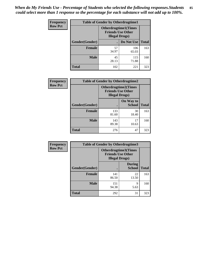*When do My Friends Use - Percentage of Students who selected the following responses.Students could select more than 1 response so the percentage for each substance will not add up to 100%.* **85**

| <b>Frequency</b> | <b>Table of Gender by Otherdrugtime1</b> |                        |                                                         |     |
|------------------|------------------------------------------|------------------------|---------------------------------------------------------|-----|
| <b>Row Pct</b>   |                                          | <b>Illegal Drugs</b> ) | <b>Otherdrugtime1(Times</b><br><b>Friends Use Other</b> |     |
|                  | Gender(Gender)                           |                        | Do Not Use   Total                                      |     |
|                  | <b>Female</b>                            | 57<br>34.97            | 106<br>65.03                                            | 163 |
|                  | <b>Male</b>                              | 45<br>28.13            | 115<br>71.88                                            | 160 |
|                  | <b>Total</b>                             | 102                    | 221                                                     | 323 |

| Frequency      | <b>Table of Gender by Otherdrugtime2</b> |                                                                                   |                            |              |
|----------------|------------------------------------------|-----------------------------------------------------------------------------------|----------------------------|--------------|
| <b>Row Pct</b> |                                          | <b>Otherdrugtime2(Times</b><br><b>Friends Use Other</b><br><b>Illegal Drugs</b> ) |                            |              |
|                | <b>Gender</b> (Gender)                   |                                                                                   | On Way to<br><b>School</b> | <b>Total</b> |
|                | <b>Female</b>                            | 133<br>81.60                                                                      | 30<br>18.40                | 163          |
|                | <b>Male</b>                              | 143<br>89.38                                                                      | 17<br>10.63                | 160          |
|                | <b>Total</b>                             | 276                                                                               | 47                         | 323          |

| <b>Frequency</b> | <b>Table of Gender by Otherdrugtime3</b> |                                                    |                                |              |
|------------------|------------------------------------------|----------------------------------------------------|--------------------------------|--------------|
| <b>Row Pct</b>   |                                          | <b>Friends Use Other</b><br><b>Illegal Drugs</b> ) | Otherdrugtime3(Times           |              |
|                  | Gender(Gender)                           |                                                    | <b>During</b><br><b>School</b> | <b>Total</b> |
|                  | <b>Female</b>                            | 141<br>86.50                                       | 22<br>13.50                    | 163          |
|                  | <b>Male</b>                              | 151<br>94.38                                       | q<br>5.63                      | 160          |
|                  | <b>Total</b>                             | 292                                                | 31                             | 323          |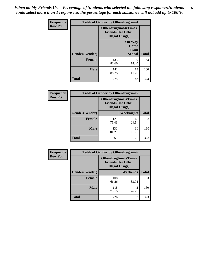*When do My Friends Use - Percentage of Students who selected the following responses.Students could select more than 1 response so the percentage for each substance will not add up to 100%.* **86**

| <b>Frequency</b> | <b>Table of Gender by Otherdrugtime4</b> |                                                    |                                                       |              |
|------------------|------------------------------------------|----------------------------------------------------|-------------------------------------------------------|--------------|
| <b>Row Pct</b>   |                                          | <b>Friends Use Other</b><br><b>Illegal Drugs</b> ) | <b>Otherdrugtime4(Times</b>                           |              |
|                  | Gender(Gender)                           |                                                    | <b>On Way</b><br>Home<br><b>From</b><br><b>School</b> | <b>Total</b> |
|                  | <b>Female</b>                            | 133<br>81.60                                       | 30<br>18.40                                           | 163          |
|                  | <b>Male</b>                              | 142<br>88.75                                       | 18<br>11.25                                           | 160          |
|                  | <b>Total</b>                             | 275                                                | 48                                                    | 323          |

| Frequency      | <b>Table of Gender by Otherdrugtime5</b> |                                                                                    |             |              |
|----------------|------------------------------------------|------------------------------------------------------------------------------------|-------------|--------------|
| <b>Row Pct</b> |                                          | <b>Otherdrugtime5</b> (Times<br><b>Friends Use Other</b><br><b>Illegal Drugs</b> ) |             |              |
|                | Gender(Gender)                           |                                                                                    | Weeknights  | <b>Total</b> |
|                | <b>Female</b>                            | 123<br>75.46                                                                       | 40<br>24.54 | 163          |
|                | <b>Male</b>                              | 130<br>81.25                                                                       | 30<br>18.75 | 160          |
|                | <b>Total</b>                             | 253                                                                                | 70          | 323          |

| Frequency      | <b>Table of Gender by Otherdrugtime6</b> |                                                                                   |             |              |  |
|----------------|------------------------------------------|-----------------------------------------------------------------------------------|-------------|--------------|--|
| <b>Row Pct</b> |                                          | <b>Otherdrugtime6(Times</b><br><b>Friends Use Other</b><br><b>Illegal Drugs</b> ) |             |              |  |
|                | Gender(Gender)                           |                                                                                   | Weekends    | <b>Total</b> |  |
|                | <b>Female</b>                            | 108<br>66.26                                                                      | 55<br>33.74 | 163          |  |
|                | <b>Male</b>                              | 118<br>73.75                                                                      | 42<br>26.25 | 160          |  |
|                | <b>Total</b>                             | 226                                                                               | 97          | 323          |  |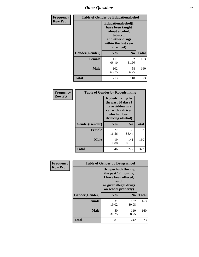# *Other Questions* **87**

| <b>Frequency</b> | <b>Table of Gender by Educationalcohol</b> |                                                                                                                                       |                |              |  |
|------------------|--------------------------------------------|---------------------------------------------------------------------------------------------------------------------------------------|----------------|--------------|--|
| <b>Row Pct</b>   |                                            | <b>Educationalcohol</b> (I<br>have been taught<br>about alcohol,<br>tobacco,<br>and other drugs<br>within the last year<br>at school) |                |              |  |
|                  | Gender(Gender)                             | <b>Yes</b>                                                                                                                            | N <sub>0</sub> | <b>Total</b> |  |
|                  | <b>Female</b>                              | 111<br>68.10                                                                                                                          | 52<br>31.90    | 163          |  |
|                  | <b>Male</b>                                | 102<br>63.75                                                                                                                          | 58<br>36.25    | 160          |  |
|                  | <b>Total</b>                               | 213                                                                                                                                   | 110            | 323          |  |

| Frequency      | <b>Table of Gender by Rodedrinking</b> |                                                                                                                     |                |              |  |
|----------------|----------------------------------------|---------------------------------------------------------------------------------------------------------------------|----------------|--------------|--|
| <b>Row Pct</b> |                                        | Rodedrinking(In<br>the past 30 days I<br>have ridden in a<br>car with a driver<br>who had been<br>drinking alcohol) |                |              |  |
|                | Gender(Gender)                         | Yes                                                                                                                 | N <sub>0</sub> | <b>Total</b> |  |
|                | <b>Female</b>                          | 27<br>16.56                                                                                                         | 136<br>83.44   | 163          |  |
|                | <b>Male</b>                            | 19<br>11.88                                                                                                         | 141<br>88.13   | 160          |  |
|                | <b>Total</b>                           | 46                                                                                                                  | 277            | 323          |  |

| Frequency      | <b>Table of Gender by Drugsschool</b> |                                                                                                                                     |                |              |  |
|----------------|---------------------------------------|-------------------------------------------------------------------------------------------------------------------------------------|----------------|--------------|--|
| <b>Row Pct</b> |                                       | <b>Drugsschool</b> (During<br>the past 12 months,<br>I have been offered,<br>sold,<br>or given illegal drugs<br>on school property) |                |              |  |
|                | Gender(Gender)                        | Yes                                                                                                                                 | N <sub>0</sub> | <b>Total</b> |  |
|                | <b>Female</b>                         | 31<br>19.02                                                                                                                         | 132<br>80.98   | 163          |  |
|                | <b>Male</b>                           | 50<br>31.25                                                                                                                         | 110<br>68.75   | 160          |  |
|                | <b>Total</b>                          | 81                                                                                                                                  | 242            | 323          |  |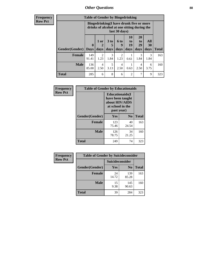## *Other Questions* **88**

**Frequency Row Pct**

| <b>Table of Gender by Bingedrinking</b> |              |                                                                                                         |           |           |                |                       |           |              |
|-----------------------------------------|--------------|---------------------------------------------------------------------------------------------------------|-----------|-----------|----------------|-----------------------|-----------|--------------|
|                                         |              | Bingedrinking(I have drunk five or more<br>drinks of alcohol at one sitting during the<br>last 30 days) |           |           |                |                       |           |              |
|                                         | $\bf{0}$     | 1 or                                                                                                    | 3 to<br>5 | 6 to<br>9 | 10<br>to<br>19 | <b>20</b><br>to<br>29 | All<br>30 |              |
| <b>Gender</b> (Gender)                  | <b>Days</b>  | days                                                                                                    | days      | days      | days           | days                  | days      | <b>Total</b> |
| <b>Female</b>                           | 149<br>91.41 | 2<br>1.23                                                                                               | 3<br>1.84 | 2<br>1.23 | 0.61           | 3<br>1.84             | 3<br>1.84 | 163          |
| <b>Male</b>                             | 136<br>85.00 | 4<br>2.50                                                                                               | 5<br>3.13 | 4<br>2.50 | 0.63           | 4<br>2.50             | 6<br>3.75 | 160          |

| Frequency      | <b>Table of Gender by Educationaids</b> |                                                                                                 |                |              |  |
|----------------|-----------------------------------------|-------------------------------------------------------------------------------------------------|----------------|--------------|--|
| <b>Row Pct</b> |                                         | <b>Educationaids</b> (I<br>have been taught<br>about HIV/AIDS<br>at school in the<br>past year) |                |              |  |
|                | Gender(Gender)                          | Yes                                                                                             | $\mathbf{N_0}$ | <b>Total</b> |  |
|                | <b>Female</b>                           | 123<br>75.46                                                                                    | 40<br>24.54    | 163          |  |
|                | <b>Male</b>                             | 126<br>78.75                                                                                    | 34<br>21.25    | 160          |  |
|                | <b>Total</b>                            | 249                                                                                             | 74             | 323          |  |

| <b>Frequency</b> | <b>Table of Gender by Suicideconsider</b> |                 |                |              |  |
|------------------|-------------------------------------------|-----------------|----------------|--------------|--|
| <b>Row Pct</b>   |                                           | Suicideconsider |                |              |  |
|                  | Gender(Gender)                            | Yes             | N <sub>0</sub> | <b>Total</b> |  |
|                  | <b>Female</b>                             | 24<br>14.72     | 139<br>85.28   | 163          |  |
|                  | <b>Male</b>                               | 15<br>9.38      | 145<br>90.63   | 160          |  |
|                  | <b>Total</b>                              | 39              | 284            | 323          |  |